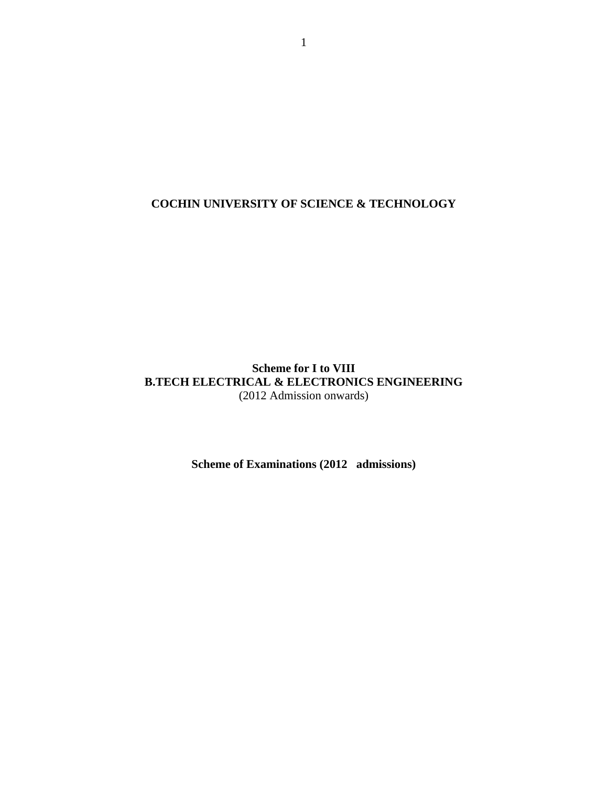**COCHIN UNIVERSITY OF SCIENCE & TECHNOLOGY**

# **Scheme for I to VIII B.TECH ELECTRICAL & ELECTRONICS ENGINEERING** (2012 Admission onwards)

**Scheme of Examinations (2012 admissions)**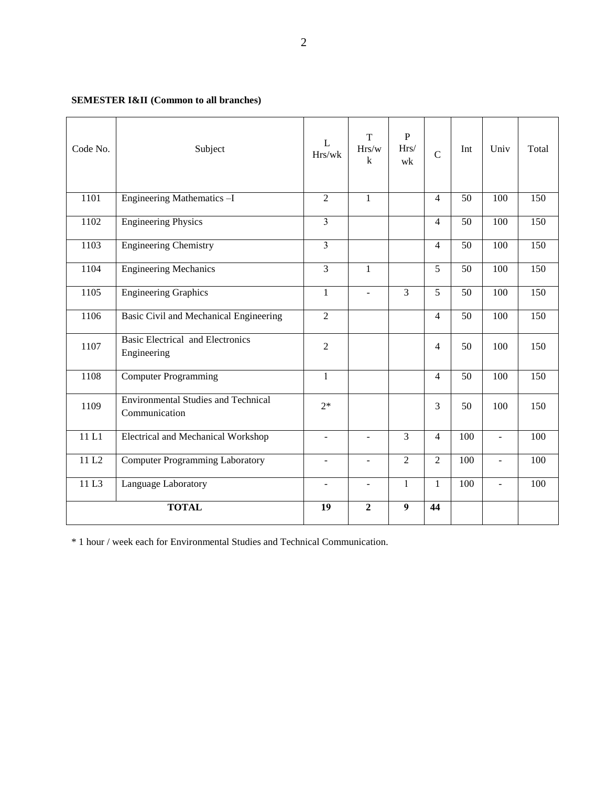# **SEMESTER I&II (Common to all branches)**

| Code No. | Subject                                                     | L<br>Hrs/wk    | $\mathbf T$<br>Hrs/w<br>k | $\, {\bf P}$<br>Hrs/<br>wk | $\overline{C}$ | Int             | Univ                     | Total |
|----------|-------------------------------------------------------------|----------------|---------------------------|----------------------------|----------------|-----------------|--------------------------|-------|
| 1101     | Engineering Mathematics -I                                  | $\overline{2}$ | $\mathbf{1}$              |                            | $\overline{4}$ | 50              | 100                      | 150   |
| 1102     | <b>Engineering Physics</b>                                  | $\overline{3}$ |                           |                            | $\overline{4}$ | 50              | 100                      | 150   |
| 1103     | <b>Engineering Chemistry</b>                                | $\overline{3}$ |                           |                            | $\overline{4}$ | 50              | 100                      | 150   |
| 1104     | <b>Engineering Mechanics</b>                                | $\overline{3}$ | $\mathbf{1}$              |                            | $\overline{5}$ | $\overline{50}$ | 100                      | 150   |
| 1105     | <b>Engineering Graphics</b>                                 | $\mathbf{1}$   | $\blacksquare$            | $\overline{3}$             | 5              | 50              | 100                      | 150   |
| 1106     | Basic Civil and Mechanical Engineering                      | $\overline{2}$ |                           |                            | $\overline{4}$ | 50              | 100                      | 150   |
| 1107     | <b>Basic Electrical and Electronics</b><br>Engineering      | $\overline{2}$ |                           |                            | $\overline{4}$ | 50              | 100                      | 150   |
| 1108     | <b>Computer Programming</b>                                 | $\mathbf{1}$   |                           |                            | $\overline{4}$ | 50              | 100                      | 150   |
| 1109     | <b>Environmental Studies and Technical</b><br>Communication | $2*$           |                           |                            | 3              | 50              | 100                      | 150   |
| 11L1     | Electrical and Mechanical Workshop                          | $\overline{a}$ | ÷.                        | $\overline{3}$             | $\overline{4}$ | 100             | $\overline{\phantom{a}}$ | 100   |
| 11L2     | <b>Computer Programming Laboratory</b>                      | $\blacksquare$ | $\blacksquare$            | 2                          | 2              | 100             | $\overline{\phantom{a}}$ | 100   |
| 11 L3    | Language Laboratory                                         | $\blacksquare$ | $\overline{\phantom{a}}$  | $\mathbf{1}$               | $\mathbf{1}$   | 100             | $\blacksquare$           | 100   |
|          | <b>TOTAL</b>                                                | 19             | $\overline{2}$            | 9                          | 44             |                 |                          |       |

\* 1 hour / week each for Environmental Studies and Technical Communication.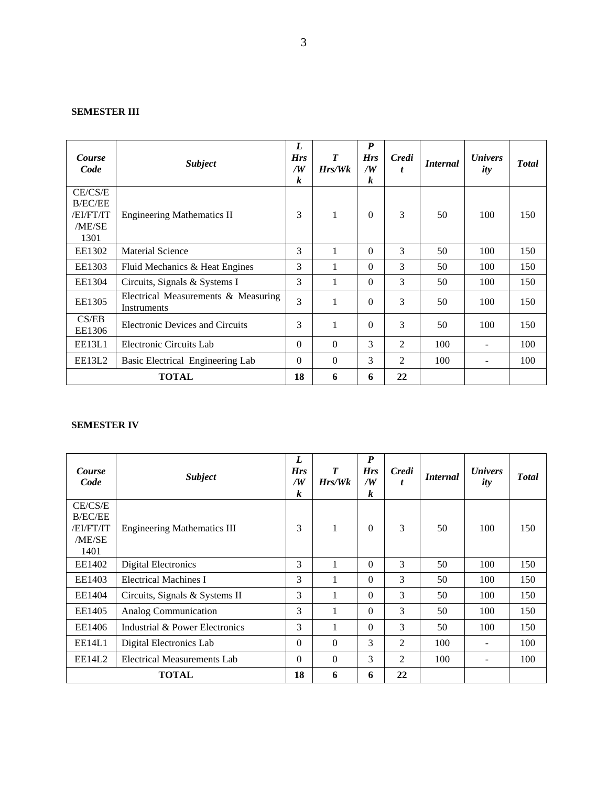# **SEMESTER III**

| Course<br>Code                                           | <b>Subject</b>                                     | L<br><b>Hrs</b><br>/W<br>k | $\boldsymbol{T}$<br>$H$ rs/W $k$ | $\boldsymbol{P}$<br><b>Hrs</b><br>/W<br>$\boldsymbol{k}$ | <b>Credi</b><br>t | <i>Internal</i> | <b><i>Univers</i></b><br>ity | <b>T</b> otal |
|----------------------------------------------------------|----------------------------------------------------|----------------------------|----------------------------------|----------------------------------------------------------|-------------------|-----------------|------------------------------|---------------|
| CE/CS/E<br><b>B/EC/EE</b><br>/EI/FT/IT<br>/ME/SE<br>1301 | <b>Engineering Mathematics II</b>                  | 3                          | 1                                | $\Omega$                                                 | 3                 | 50              | 100                          | 150           |
| EE1302                                                   | <b>Material Science</b>                            | 3                          | 1                                | $\Omega$                                                 | 3                 | 50              | 100                          | 150           |
| EE1303                                                   | Fluid Mechanics & Heat Engines                     | 3                          |                                  | $\theta$                                                 | 3                 | 50              | 100                          | 150           |
| EE1304                                                   | Circuits, Signals & Systems I                      | 3                          | 1                                | $\Omega$                                                 | 3                 | 50              | 100                          | 150           |
| EE1305                                                   | Electrical Measurements & Measuring<br>Instruments | 3                          | 1                                | $\Omega$                                                 | 3                 | 50              | 100                          | 150           |
| CS/EB<br>EE1306                                          | <b>Electronic Devices and Circuits</b>             | 3                          |                                  | $\Omega$                                                 | 3                 | 50              | 100                          | 150           |
| EE13L1                                                   | Electronic Circuits Lab                            | $\Omega$                   | $\Omega$                         | 3                                                        | 2                 | 100             |                              | 100           |
| EE13L2                                                   | Basic Electrical Engineering Lab                   | $\Omega$                   | $\Omega$                         | 3                                                        | $\overline{2}$    | 100             | $\overline{\phantom{0}}$     | 100           |
|                                                          | <b>TOTAL</b>                                       | 18                         | 6                                | 6                                                        | 22                |                 |                              |               |

# **SEMESTER IV**

| Course<br>Code                                           | <b>Subject</b>                     | L<br><b>Hrs</b><br>$\sqrt{W}$<br>$\boldsymbol{k}$ | T<br>$H$ rs/W $k$ | $\boldsymbol{P}$<br><b>Hrs</b><br>/W<br>$\boldsymbol{k}$ | Credi<br>t | <i>Internal</i> | <i>Univers</i><br>ity | <b>Total</b> |
|----------------------------------------------------------|------------------------------------|---------------------------------------------------|-------------------|----------------------------------------------------------|------------|-----------------|-----------------------|--------------|
| CE/CS/E<br><b>B/EC/EE</b><br>/EI/FT/IT<br>/ME/SE<br>1401 | <b>Engineering Mathematics III</b> | 3                                                 | 1                 | $\Omega$                                                 | 3          | 50              | 100                   | 150          |
| EE1402                                                   | <b>Digital Electronics</b>         | 3                                                 |                   | $\Omega$                                                 | 3          | 50              | 100                   | 150          |
| EE1403                                                   | <b>Electrical Machines I</b>       | 3                                                 | 1                 | $\theta$                                                 | 3          | 50              | 100                   | 150          |
| EE1404                                                   | Circuits, Signals & Systems II     | 3                                                 | 1                 | $\Omega$                                                 | 3          | 50              | 100                   | 150          |
| EE1405                                                   | Analog Communication               | 3                                                 | $\mathbf{1}$      | $\Omega$                                                 | 3          | 50              | 100                   | 150          |
| EE1406                                                   | Industrial & Power Electronics     | 3                                                 | 1                 | $\Omega$                                                 | 3          | 50              | 100                   | 150          |
| EE14L1                                                   | Digital Electronics Lab            | $\Omega$                                          | $\Omega$          | 3                                                        | 2          | 100             |                       | 100          |
| EE14L2                                                   | <b>Electrical Measurements Lab</b> | $\theta$                                          | $\Omega$          | 3                                                        | 2          | 100             |                       | 100          |
|                                                          | <b>TOTAL</b>                       | 18                                                | 6                 | 6                                                        | 22         |                 |                       |              |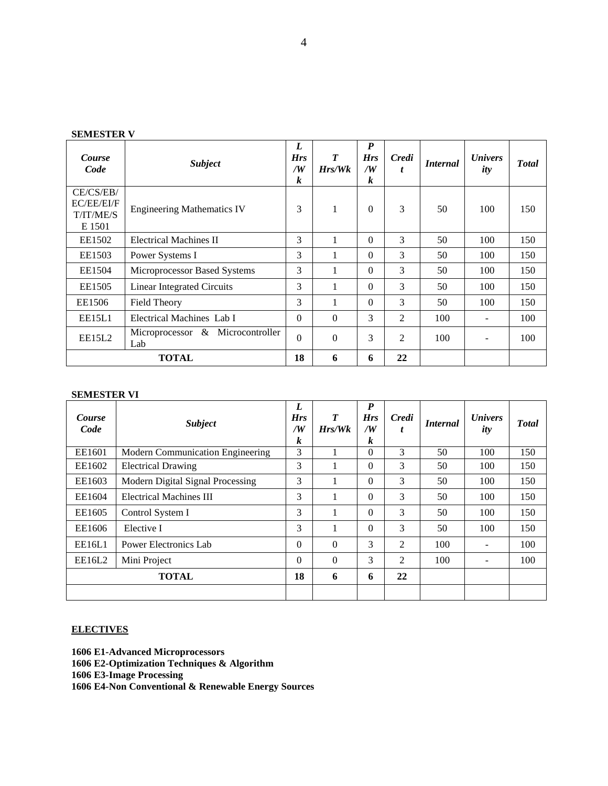| Course<br>Code                                 | <b>Subject</b>                          | L<br><b>Hrs</b><br>/W<br>k | $\boldsymbol{T}$<br>Hrs/Wk | $\boldsymbol{P}$<br><b>Hrs</b><br>$\sqrt{W}$<br>$\boldsymbol{k}$ | <b>Credi</b><br>t | <i>Internal</i> | <i>Univers</i><br>ity | <b>T</b> otal |
|------------------------------------------------|-----------------------------------------|----------------------------|----------------------------|------------------------------------------------------------------|-------------------|-----------------|-----------------------|---------------|
| CE/CS/EB/<br>EC/EE/EI/F<br>T/IT/ME/S<br>E 1501 | <b>Engineering Mathematics IV</b>       | 3                          |                            | $\Omega$                                                         | 3                 | 50              | 100                   | 150           |
| EE1502                                         | Electrical Machines II                  | 3                          |                            | $\Omega$                                                         | 3                 | 50              | 100                   | 150           |
| EE1503                                         | Power Systems I                         | 3                          |                            | $\Omega$                                                         | 3                 | 50              | 100                   | 150           |
| EE1504                                         | Microprocessor Based Systems            | 3                          |                            | $\Omega$                                                         | 3                 | 50              | 100                   | 150           |
| EE1505                                         | <b>Linear Integrated Circuits</b>       | 3                          |                            | $\Omega$                                                         | 3                 | 50              | 100                   | 150           |
| EE1506                                         | <b>Field Theory</b>                     | 3                          |                            | $\Omega$                                                         | 3                 | 50              | 100                   | 150           |
| EE15L1                                         | Electrical Machines Lab I               | $\Omega$                   | $\Omega$                   | 3                                                                | $\overline{2}$    | 100             |                       | 100           |
| EE15L2                                         | Microprocessor & Microcontroller<br>Lab | $\theta$                   | $\Omega$                   | 3                                                                | 2                 | 100             |                       | 100           |
|                                                | <b>TOTAL</b>                            | 18                         | 6                          | 6                                                                | 22                |                 |                       |               |

# **SEMESTER V**

# **SEMESTER VI**

| Course<br>Code | <b>Subject</b>                   | L<br><b>Hrs</b><br>/W<br>k | $\boldsymbol{T}$<br>Hrs/Wk | $\boldsymbol{P}$<br><b>Hrs</b><br>/W<br>k | Credi<br>t | <i>Internal</i> | <b><i>Univers</i></b><br>ity | <b>Total</b> |
|----------------|----------------------------------|----------------------------|----------------------------|-------------------------------------------|------------|-----------------|------------------------------|--------------|
| EE1601         | Modern Communication Engineering | 3                          |                            | $\Omega$                                  | 3          | 50              | 100                          | 150          |
| EE1602         | <b>Electrical Drawing</b>        | 3                          |                            | $\Omega$                                  | 3          | 50              | 100                          | 150          |
| EE1603         | Modern Digital Signal Processing | 3                          |                            | $\Omega$                                  | 3          | 50              | 100                          | 150          |
| EE1604         | <b>Electrical Machines III</b>   | 3                          | 1                          | $\Omega$                                  | 3          | 50              | 100                          | 150          |
| EE1605         | Control System I                 | 3                          | 1                          | $\theta$                                  | 3          | 50              | 100                          | 150          |
| EE1606         | Elective I                       | 3                          | 1                          | $\theta$                                  | 3          | 50              | 100                          | 150          |
| EE16L1         | Power Electronics Lab            | $\theta$                   | $\theta$                   | 3                                         | 2          | 100             | Ξ.                           | 100          |
| EE16L2         | Mini Project                     | $\Omega$                   | $\Omega$                   | 3                                         | 2          | 100             | $\overline{\phantom{a}}$     | 100          |
|                | <b>TOTAL</b>                     | 18                         | 6                          | 6                                         | 22         |                 |                              |              |
|                |                                  |                            |                            |                                           |            |                 |                              |              |

# **ELECTIVES**

**1606 E1-Advanced Microprocessors 1606 E2-Optimization Techniques & Algorithm 1606 E3-Image Processing 1606 E4-Non Conventional & Renewable Energy Sources**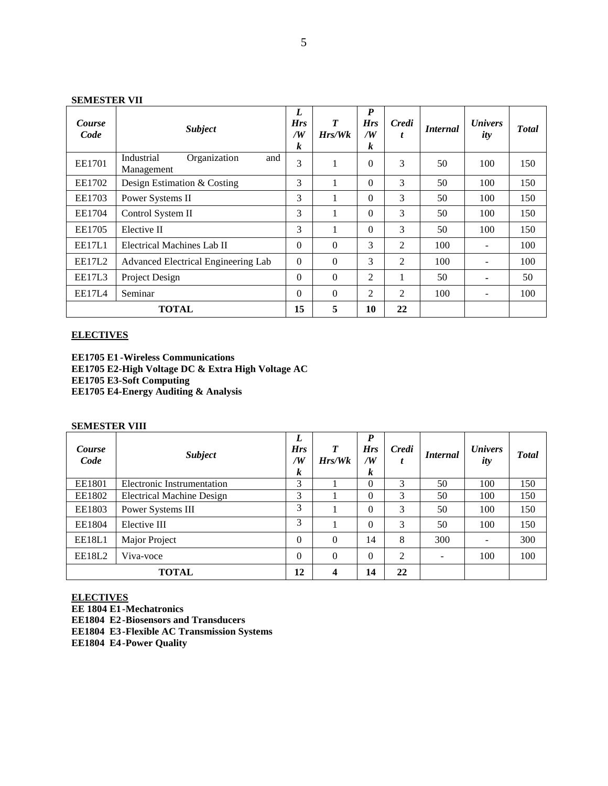### **SEMESTER VII**

| Course<br>Code | <b>Subject</b>                                  | L<br><b>Hrs</b><br>/W<br>k | $\boldsymbol{T}$<br>$H$ rs/W $k$ | P<br><b>Hrs</b><br>/W<br>k | Credi<br>t | <i>Internal</i> | <i>Univers</i><br>ity    | <b>Total</b> |
|----------------|-------------------------------------------------|----------------------------|----------------------------------|----------------------------|------------|-----------------|--------------------------|--------------|
| EE1701         | Organization<br>Industrial<br>and<br>Management | 3                          | 1                                | $\theta$                   | 3          | 50              | 100                      | 150          |
| EE1702         | Design Estimation & Costing                     | 3                          | 1                                | $\Omega$                   | 3          | 50              | 100                      | 150          |
| EE1703         | Power Systems II                                | 3                          | 1                                | $\Omega$                   | 3          | 50              | 100                      | 150          |
| EE1704         | Control System II                               | 3                          | 1                                | $\Omega$                   | 3          | 50              | 100                      | 150          |
| EE1705         | Elective II                                     | 3                          | 1                                | $\Omega$                   | 3          | 50              | 100                      | 150          |
| <b>EE17L1</b>  | Electrical Machines Lab II                      | $\Omega$                   | $\theta$                         | 3                          | 2          | 100             | $\overline{\phantom{a}}$ | 100          |
| EE17L2         | Advanced Electrical Engineering Lab             | $\Omega$                   | $\Omega$                         | 3                          | 2          | 100             |                          | 100          |
| EE17L3         | Project Design                                  | $\Omega$                   | $\Omega$                         | 2                          | 1          | 50              | ۰                        | 50           |
| <b>EE17L4</b>  | Seminar                                         | $\Omega$                   | $\Omega$                         | 2                          | 2          | 100             | ۰                        | 100          |
|                | <b>TOTAL</b>                                    | 15                         | 5                                | 10                         | 22         |                 |                          |              |

# **ELECTIVES**

**EE1705 E1 -Wireless Communications EE1705 E2-High Voltage DC & Extra High Voltage AC EE1705 E3-Soft Computing EE1705 E4-Energy Auditing & Analysis**

# **SEMESTER VIII**

| Course<br>Code | <b>Subject</b>                   | L<br><b>Hrs</b><br>$\sqrt{W}$<br>k | $\boldsymbol{T}$<br>Hrs/Wk | P<br><b>Hrs</b><br>/W<br>k | Credi<br>ı | <i>Internal</i>          | <b><i>Univers</i></b><br>ity | <b>T</b> otal |
|----------------|----------------------------------|------------------------------------|----------------------------|----------------------------|------------|--------------------------|------------------------------|---------------|
| EE1801         | Electronic Instrumentation       | 3                                  |                            | $\Omega$                   | 3          | 50                       | 100                          | 150           |
| EE1802         | <b>Electrical Machine Design</b> | 3                                  |                            | $\Omega$                   | 3          | 50                       | 100                          | 150           |
| EE1803         | Power Systems III                | 3                                  |                            | $\theta$                   | 3          | 50                       | 100                          | 150           |
| EE1804         | Elective III                     | 3                                  |                            | $\Omega$                   | 3          | 50                       | 100                          | 150           |
| EE18L1         | Major Project                    | $\overline{0}$                     | $\Omega$                   | 14                         | 8          | 300                      | $\overline{\phantom{a}}$     | 300           |
| EE18L2         | Viva-voce                        | $\overline{0}$                     | $\Omega$                   | $\Omega$                   | 2          | $\overline{\phantom{a}}$ | 100                          | 100           |
|                | <b>TOTAL</b>                     | 12                                 | 4                          | 14                         | 22         |                          |                              |               |

# **ELECTIVES**

**EE 1804 E1-Mechatronics EE1804 E2-Biosensors and Transducers**

**EE1804 E3-Flexible AC Transmission Systems**

**EE1804 E4-Power Quality**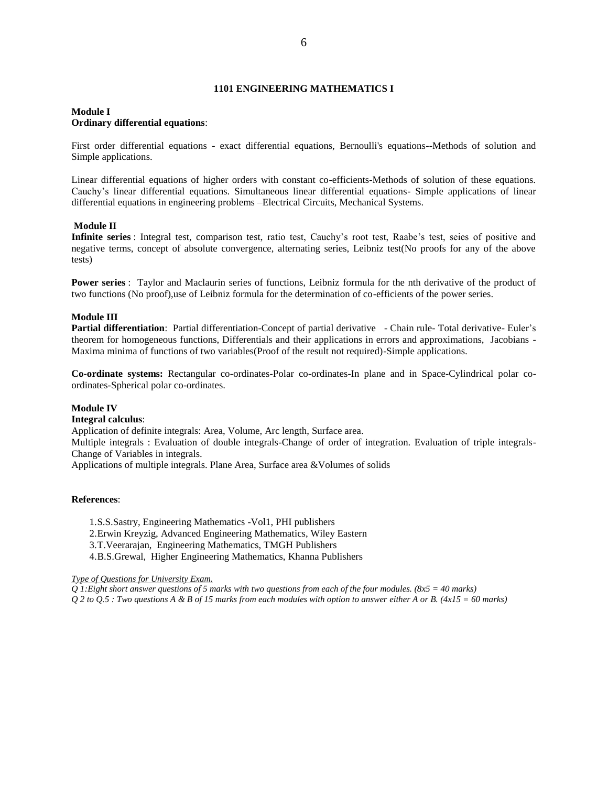#### **1101 ENGINEERING MATHEMATICS I**

#### **Module I Ordinary differential equations**:

First order differential equations - exact differential equations, Bernoulli's equations--Methods of solution and Simple applications.

Linear differential equations of higher orders with constant co-efficients-Methods of solution of these equations. Cauchy's linear differential equations. Simultaneous linear differential equations- Simple applications of linear differential equations in engineering problems –Electrical Circuits, Mechanical Systems.

#### **Module II**

**Infinite series** : Integral test, comparison test, ratio test, Cauchy's root test, Raabe's test, seies of positive and negative terms, concept of absolute convergence, alternating series, Leibniz test(No proofs for any of the above tests)

**Power series** : Taylor and Maclaurin series of functions, Leibniz formula for the nth derivative of the product of two functions (No proof),use of Leibniz formula for the determination of co-efficients of the power series.

#### **Module III**

**Partial differentiation**: Partial differentiation-Concept of partial derivative - Chain rule- Total derivative- Euler's theorem for homogeneous functions, Differentials and their applications in errors and approximations, Jacobians - Maxima minima of functions of two variables(Proof of the result not required)-Simple applications.

**Co-ordinate systems:** Rectangular co-ordinates-Polar co-ordinates-In plane and in Space-Cylindrical polar coordinates-Spherical polar co-ordinates.

#### **Module IV**

#### **Integral calculus**:

Application of definite integrals: Area, Volume, Arc length, Surface area.

Multiple integrals : Evaluation of double integrals-Change of order of integration. Evaluation of triple integrals-Change of Variables in integrals.

Applications of multiple integrals. Plane Area, Surface area &Volumes of solids

#### **References**:

1.S.S.Sastry, Engineering Mathematics -Vol1, PHI publishers 2.Erwin Kreyzig, Advanced Engineering Mathematics, Wiley Eastern 3.T.Veerarajan, Engineering Mathematics, TMGH Publishers 4.B.S.Grewal, Higher Engineering Mathematics, Khanna Publishers

*Type of Questions for University Exam.*

*Q 1:Eight short answer questions of 5 marks with two questions from each of the four modules. (8x5 = 40 marks) Q 2 to Q.5 : Two questions A & B of 15 marks from each modules with option to answer either A or B. (4x15 = 60 marks)*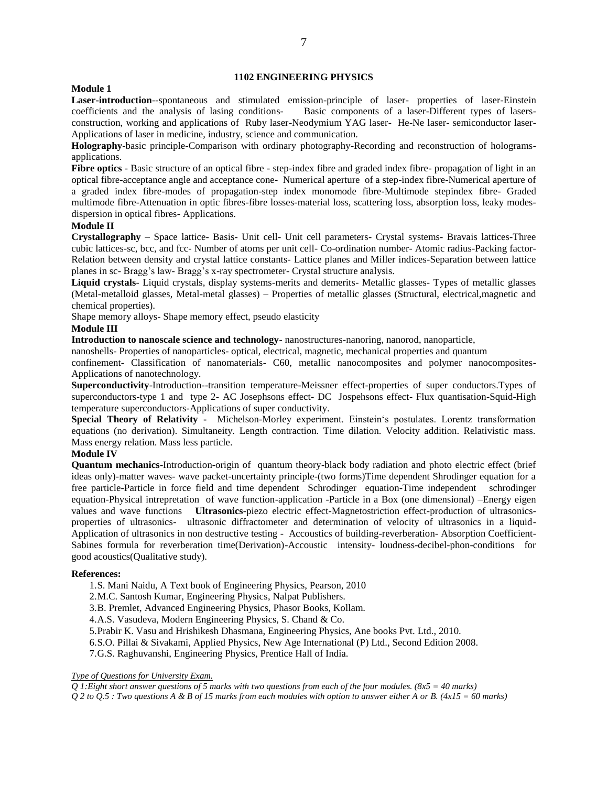# **1102 ENGINEERING PHYSICS**

#### **Module 1**

**Laser-introduction**--spontaneous and stimulated emission-principle of laser- properties of laser-Einstein coefficients and the analysis of lasing conditions- Basic components of a laser-Different types of lasersconstruction, working and applications of Ruby laser-Neodymium YAG laser- He-Ne laser- semiconductor laser-Applications of laser in medicine, industry, science and communication.

**Holography**-basic principle-Comparison with ordinary photography-Recording and reconstruction of hologramsapplications.

Fibre optics - Basic structure of an optical fibre - step-index fibre and graded index fibre- propagation of light in an optical fibre-acceptance angle and acceptance cone- Numerical aperture of a step-index fibre-Numerical aperture of a graded index fibre-modes of propagation-step index monomode fibre-Multimode stepindex fibre- Graded multimode fibre-Attenuation in optic fibres-fibre losses-material loss, scattering loss, absorption loss, leaky modesdispersion in optical fibres- Applications.

#### **Module II**

**Crystallography** – Space lattice- Basis- Unit cell- Unit cell parameters- Crystal systems- Bravais lattices-Three cubic lattices-sc, bcc, and fcc- Number of atoms per unit cell- Co-ordination number- Atomic radius-Packing factor-Relation between density and crystal lattice constants- Lattice planes and Miller indices-Separation between lattice planes in sc- Bragg's law- Bragg's x-ray spectrometer- Crystal structure analysis.

**Liquid crystals**- Liquid crystals, display systems-merits and demerits- Metallic glasses- Types of metallic glasses (Metal-metalloid glasses, Metal-metal glasses) – Properties of metallic glasses (Structural, electrical,magnetic and chemical properties).

Shape memory alloys- Shape memory effect, pseudo elasticity

# **Module III**

**Introduction to nanoscale science and technology**- nanostructures-nanoring, nanorod, nanoparticle,

nanoshells- Properties of nanoparticles- optical, electrical, magnetic, mechanical properties and quantum

confinement- Classification of nanomaterials- C60, metallic nanocomposites and polymer nanocomposites-Applications of nanotechnology.

**Superconductivity**-Introduction--transition temperature-Meissner effect-properties of super conductors.Types of superconductors-type 1 and type 2- AC Josephsons effect- DC Jospehsons effect- Flux quantisation-Squid-High temperature superconductors-Applications of super conductivity.

**Special Theory of Relativity -** Michelson-Morley experiment. Einstein's postulates. Lorentz transformation equations (no derivation). Simultaneity. Length contraction. Time dilation. Velocity addition. Relativistic mass. Mass energy relation. Mass less particle.

## **Module IV**

**Quantum mechanics**-Introduction-origin of quantum theory-black body radiation and photo electric effect (brief ideas only)-matter waves- wave packet-uncertainty principle-(two forms)Time dependent Shrodinger equation for a free particle-Particle in force field and time dependent Schrodinger equation-Time independent schrodinger equation-Physical intrepretation of wave function-application -Particle in a Box (one dimensional) –Energy eigen values and wave functions **Ultrasonics**-piezo electric effect-Magnetostriction effect-production of ultrasonicsproperties of ultrasonics- ultrasonic diffractometer and determination of velocity of ultrasonics in a liquid-Application of ultrasonics in non destructive testing - Accoustics of building-reverberation- Absorption Coefficient-Sabines formula for reverberation time(Derivation)-Accoustic intensity- loudness-decibel-phon-conditions for good acoustics(Qualitative study).

#### **References:**

1.S. Mani Naidu, A Text book of Engineering Physics, Pearson, 2010

2.M.C. Santosh Kumar, Engineering Physics, Nalpat Publishers.

3.B. Premlet, Advanced Engineering Physics, Phasor Books, Kollam.

4.A.S. Vasudeva, Modern Engineering Physics, S. Chand & Co.

5.Prabir K. Vasu and Hrishikesh Dhasmana, Engineering Physics, Ane books Pvt. Ltd., 2010.

6.S.O. Pillai & Sivakami, Applied Physics, New Age International (P) Ltd., Second Edition 2008.

7.G.S. Raghuvanshi, Engineering Physics, Prentice Hall of India.

#### *Type of Questions for University Exam.*

*Q 1:Eight short answer questions of 5 marks with two questions from each of the four modules. (8x5 = 40 marks)*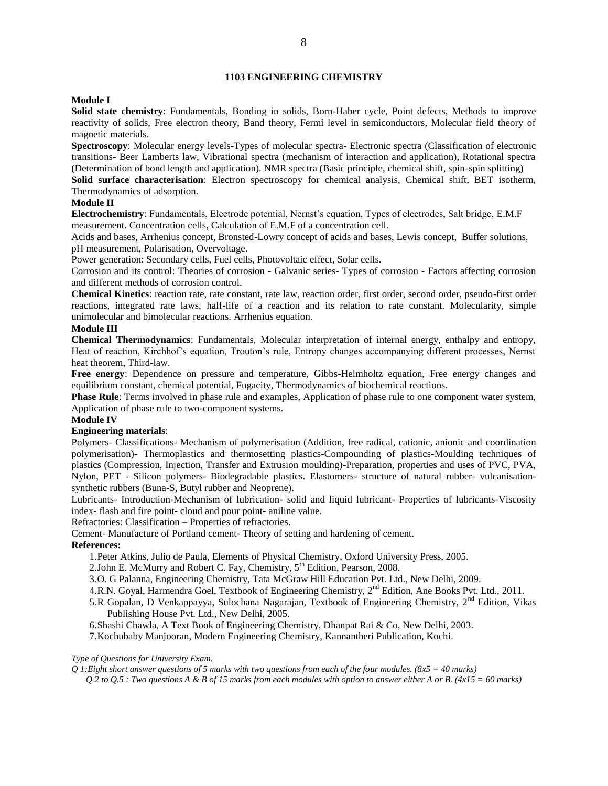# **1103 ENGINEERING CHEMISTRY**

# **Module I**

**Solid state chemistry**: Fundamentals, Bonding in solids, Born-Haber cycle, Point defects, Methods to improve reactivity of solids, Free electron theory, Band theory, Fermi level in semiconductors, Molecular field theory of magnetic materials.

**Spectroscopy**: Molecular energy levels-Types of molecular spectra- Electronic spectra (Classification of electronic transitions- Beer Lamberts law, Vibrational spectra (mechanism of interaction and application), Rotational spectra (Determination of bond length and application). NMR spectra (Basic principle, chemical shift, spin-spin splitting)

**Solid surface characterisation**: Electron spectroscopy for chemical analysis, Chemical shift, BET isotherm, Thermodynamics of adsorption.

# **Module II**

**Electrochemistry**: Fundamentals, Electrode potential, Nernst's equation, Types of electrodes, Salt bridge, E.M.F measurement. Concentration cells, Calculation of E.M.F of a concentration cell.

Acids and bases, Arrhenius concept, Bronsted-Lowry concept of acids and bases, Lewis concept, Buffer solutions, pH measurement, Polarisation, Overvoltage.

Power generation: Secondary cells, Fuel cells, Photovoltaic effect, Solar cells.

Corrosion and its control: Theories of corrosion - Galvanic series- Types of corrosion - Factors affecting corrosion and different methods of corrosion control.

**Chemical Kinetics**: reaction rate, rate constant, rate law, reaction order, first order, second order, pseudo-first order reactions, integrated rate laws, half-life of a reaction and its relation to rate constant. Molecularity, simple unimolecular and bimolecular reactions. Arrhenius equation.

#### **Module III**

**Chemical Thermodynamics**: Fundamentals, Molecular interpretation of internal energy, enthalpy and entropy, Heat of reaction, Kirchhof's equation, Trouton's rule, Entropy changes accompanying different processes, Nernst heat theorem, Third-law.

**Free energy**: Dependence on pressure and temperature, Gibbs-Helmholtz equation, Free energy changes and equilibrium constant, chemical potential, Fugacity, Thermodynamics of biochemical reactions.

**Phase Rule**: Terms involved in phase rule and examples, Application of phase rule to one component water system, Application of phase rule to two-component systems.

#### **Module IV**

# **Engineering materials**:

Polymers- Classifications- Mechanism of polymerisation (Addition, free radical, cationic, anionic and coordination polymerisation)- Thermoplastics and thermosetting plastics-Compounding of plastics-Moulding techniques of plastics (Compression, Injection, Transfer and Extrusion moulding)-Preparation, properties and uses of PVC, PVA, Nylon, PET - Silicon polymers- Biodegradable plastics. Elastomers- structure of natural rubber- vulcanisationsynthetic rubbers (Buna-S, Butyl rubber and Neoprene).

Lubricants- Introduction-Mechanism of lubrication- solid and liquid lubricant- Properties of lubricants-Viscosity index- flash and fire point- cloud and pour point- aniline value.

Refractories: Classification – Properties of refractories.

Cement- Manufacture of Portland cement- Theory of setting and hardening of cement.

#### **References:**

- 1.Peter Atkins, Julio de Paula, Elements of Physical Chemistry, Oxford University Press, 2005.
- 2.John E. McMurry and Robert C. Fay, Chemistry, 5<sup>th</sup> Edition, Pearson, 2008.
- 3.O. G Palanna, Engineering Chemistry, Tata McGraw Hill Education Pvt. Ltd., New Delhi, 2009.
- 4.R.N. Goyal, Harmendra Goel, Textbook of Engineering Chemistry, 2<sup>nd</sup> Edition, Ane Books Pvt. Ltd., 2011.
- 5.R Gopalan, D Venkappayya, Sulochana Nagarajan, Textbook of Engineering Chemistry, 2nd Edition, Vikas Publishing House Pvt. Ltd., New Delhi, 2005.
- 6.Shashi Chawla, A Text Book of Engineering Chemistry, Dhanpat Rai & Co, New Delhi, 2003.
- 7.Kochubaby Manjooran, Modern Engineering Chemistry, Kannantheri Publication, Kochi.

#### *Type of Questions for University Exam.*

*Q 1:Eight short answer questions of 5 marks with two questions from each of the four modules. (8x5 = 40 marks)*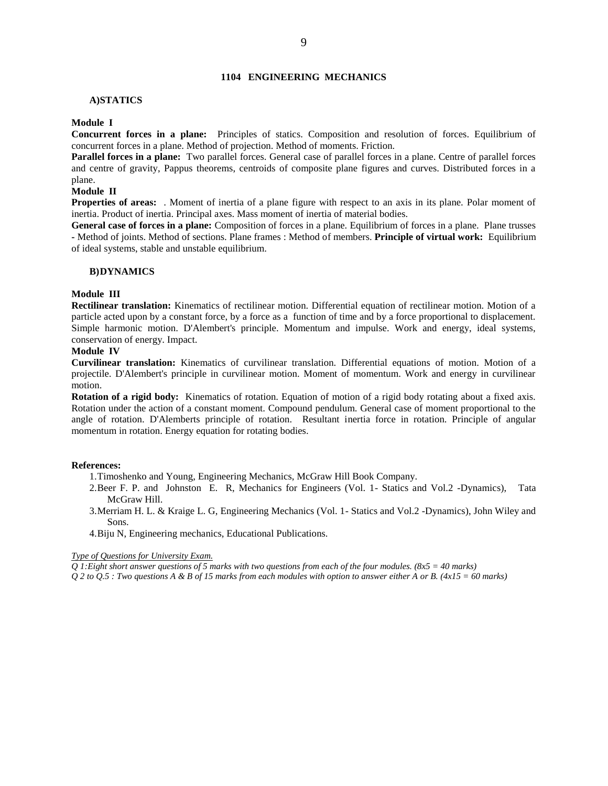# **1104 ENGINEERING MECHANICS**

#### **A)STATICS**

#### **Module I**

**Concurrent forces in a plane:** Principles of statics. Composition and resolution of forces. Equilibrium of concurrent forces in a plane. Method of projection. Method of moments. Friction.

**Parallel forces in a plane:** Two parallel forces. General case of parallel forces in a plane. Centre of parallel forces and centre of gravity, Pappus theorems, centroids of composite plane figures and curves. Distributed forces in a plane.

# **Module II**

**Properties of areas:** . Moment of inertia of a plane figure with respect to an axis in its plane. Polar moment of inertia. Product of inertia. Principal axes. Mass moment of inertia of material bodies.

**General case of forces in a plane:** Composition of forces in a plane. Equilibrium of forces in a plane. Plane trusses **-** Method of joints. Method of sections. Plane frames : Method of members. **Principle of virtual work:** Equilibrium of ideal systems, stable and unstable equilibrium.

#### **B)DYNAMICS**

#### **Module III**

**Rectilinear translation:** Kinematics of rectilinear motion. Differential equation of rectilinear motion. Motion of a particle acted upon by a constant force, by a force as a function of time and by a force proportional to displacement. Simple harmonic motion. D'Alembert's principle. Momentum and impulse. Work and energy, ideal systems, conservation of energy. Impact.

#### **Module IV**

**Curvilinear translation:** Kinematics of curvilinear translation. Differential equations of motion. Motion of a projectile. D'Alembert's principle in curvilinear motion. Moment of momentum. Work and energy in curvilinear motion.

**Rotation of a rigid body:** Kinematics of rotation. Equation of motion of a rigid body rotating about a fixed axis. Rotation under the action of a constant moment. Compound pendulum. General case of moment proportional to the angle of rotation. D'Alemberts principle of rotation. Resultant inertia force in rotation. Principle of angular momentum in rotation. Energy equation for rotating bodies.

#### **References:**

- 1.Timoshenko and Young, Engineering Mechanics, McGraw Hill Book Company.
- 2.Beer F. P. and Johnston E. R, Mechanics for Engineers (Vol. 1- Statics and Vol.2 -Dynamics), Tata McGraw Hill.
- 3.Merriam H. L. & Kraige L. G, Engineering Mechanics (Vol. 1- Statics and Vol.2 -Dynamics), John Wiley and Sons.
- 4.Biju N, Engineering mechanics, Educational Publications.

#### *Type of Questions for University Exam.*

*Q 1:Eight short answer questions of 5 marks with two questions from each of the four modules. (8x5 = 40 marks)*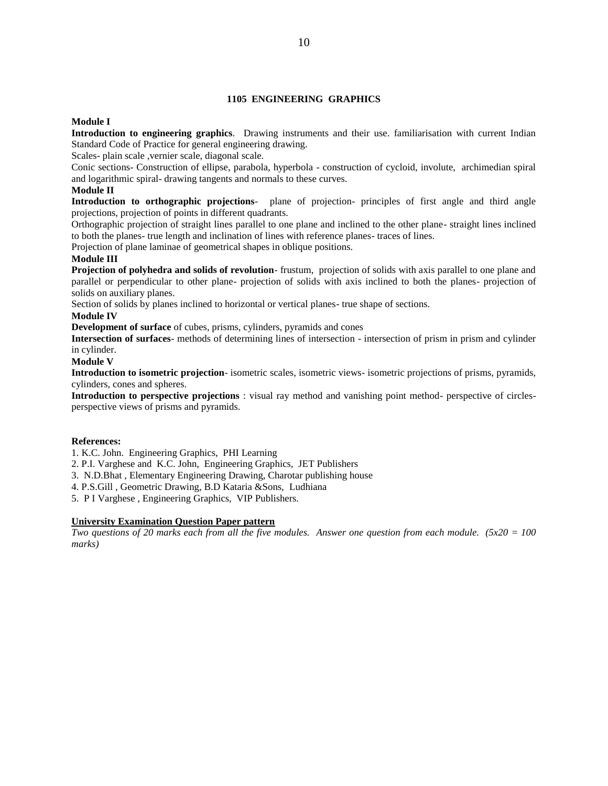# **1105 ENGINEERING GRAPHICS**

# **Module I**

**Introduction to engineering graphics**. Drawing instruments and their use. familiarisation with current Indian Standard Code of Practice for general engineering drawing.

Scales- plain scale ,vernier scale, diagonal scale.

Conic sections- Construction of ellipse, parabola, hyperbola - construction of cycloid, involute, archimedian spiral and logarithmic spiral- drawing tangents and normals to these curves.

# **Module II**

**Introduction to orthographic projections**- plane of projection- principles of first angle and third angle projections, projection of points in different quadrants.

Orthographic projection of straight lines parallel to one plane and inclined to the other plane- straight lines inclined to both the planes- true length and inclination of lines with reference planes- traces of lines.

Projection of plane laminae of geometrical shapes in oblique positions.

# **Module III**

**Projection of polyhedra and solids of revolution**- frustum, projection of solids with axis parallel to one plane and parallel or perpendicular to other plane- projection of solids with axis inclined to both the planes- projection of solids on auxiliary planes.

Section of solids by planes inclined to horizontal or vertical planes- true shape of sections.

# **Module IV**

**Development of surface** of cubes, prisms, cylinders, pyramids and cones

**Intersection of surfaces**- methods of determining lines of intersection - intersection of prism in prism and cylinder in cylinder.

**Module V**

**Introduction to isometric projection**- isometric scales, isometric views- isometric projections of prisms, pyramids, cylinders, cones and spheres.

**Introduction to perspective projections** : visual ray method and vanishing point method- perspective of circlesperspective views of prisms and pyramids.

#### **References:**

1. K.C. John. Engineering Graphics, PHI Learning

2. P.I. Varghese and K.C. John, Engineering Graphics, JET Publishers

3. N.D.Bhat , Elementary Engineering Drawing, Charotar publishing house

4. P.S.Gill , Geometric Drawing, B.D Kataria &Sons, Ludhiana

5. P I Varghese , Engineering Graphics, VIP Publishers.

#### **University Examination Question Paper pattern**

*Two questions of 20 marks each from all the five modules. Answer one question from each module. (5x20 = 100 marks)*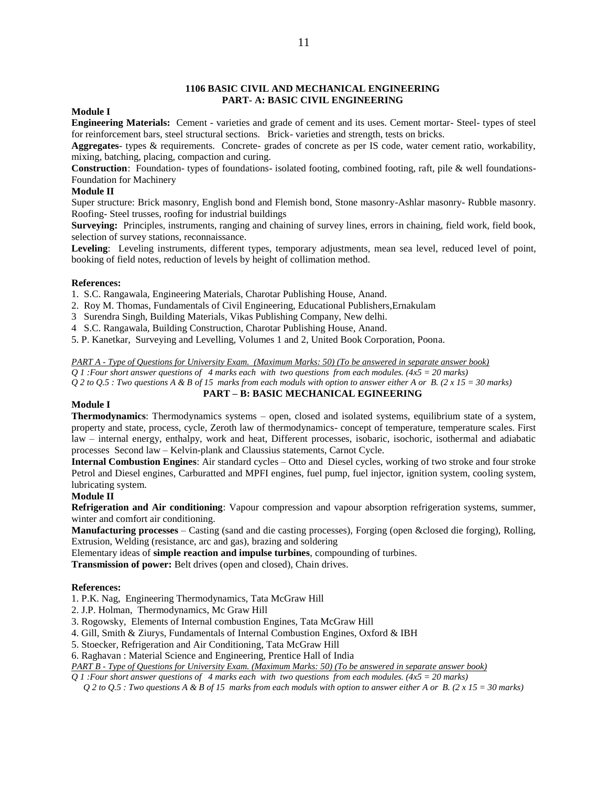#### **1106 BASIC CIVIL AND MECHANICAL ENGINEERING PART- A: BASIC CIVIL ENGINEERING**

#### **Module I**

**Engineering Materials:** Cement - varieties and grade of cement and its uses. Cement mortar- Steel- types of steel for reinforcement bars, steel structural sections. Brick- varieties and strength, tests on bricks.

**Aggregates**- types & requirements. Concrete- grades of concrete as per IS code, water cement ratio, workability, mixing, batching, placing, compaction and curing.

**Construction**: Foundation- types of foundations- isolated footing, combined footing, raft, pile & well foundations-Foundation for Machinery

# **Module II**

Super structure: Brick masonry, English bond and Flemish bond, Stone masonry-Ashlar masonry- Rubble masonry. Roofing- Steel trusses, roofing for industrial buildings

**Surveying:** Principles, instruments, ranging and chaining of survey lines, errors in chaining, field work, field book, selection of survey stations, reconnaissance.

**Leveling**: Leveling instruments, different types, temporary adjustments, mean sea level, reduced level of point, booking of field notes, reduction of levels by height of collimation method.

#### **References:**

1. S.C. Rangawala, Engineering Materials, Charotar Publishing House, Anand.

- 2. Roy M. Thomas, Fundamentals of Civil Engineering, Educational Publishers,Ernakulam
- 3 Surendra Singh, Building Materials, Vikas Publishing Company, New delhi.
- 4 S.C. Rangawala, Building Construction, Charotar Publishing House, Anand.
- 5. P. Kanetkar, Surveying and Levelling, Volumes 1 and 2, United Book Corporation, Poona.

# *PART A - Type of Questions for University Exam. (Maximum Marks: 50) (To be answered in separate answer book)*

*Q 1 :Four short answer questions of 4 marks each with two questions from each modules. (4x5 = 20 marks) Q 2 to Q.5 : Two questions A & B of 15 marks from each moduls with option to answer either A or B. (2 x 15 = 30 marks)* **PART – B: BASIC MECHANICAL EGINEERING**

#### **Module I**

**Thermodynamics**: Thermodynamics systems – open, closed and isolated systems, equilibrium state of a system, property and state, process, cycle, Zeroth law of thermodynamics- concept of temperature, temperature scales. First law – internal energy, enthalpy, work and heat, Different processes, isobaric, isochoric, isothermal and adiabatic processes Second law – Kelvin-plank and Claussius statements, Carnot Cycle.

**Internal Combustion Engines**: Air standard cycles – Otto and Diesel cycles, working of two stroke and four stroke Petrol and Diesel engines, Carburatted and MPFI engines, fuel pump, fuel injector, ignition system, cooling system, lubricating system.

# **Module II**

**Refrigeration and Air conditioning**: Vapour compression and vapour absorption refrigeration systems, summer, winter and comfort air conditioning.

**Manufacturing processes** – Casting (sand and die casting processes), Forging (open &closed die forging), Rolling, Extrusion, Welding (resistance, arc and gas), brazing and soldering

Elementary ideas of **simple reaction and impulse turbines**, compounding of turbines.

**Transmission of power:** Belt drives (open and closed), Chain drives.

#### **References:**

1. P.K. Nag, Engineering Thermodynamics, Tata McGraw Hill

- 2. J.P. Holman, Thermodynamics, Mc Graw Hill
- 3. Rogowsky, Elements of Internal combustion Engines, Tata McGraw Hill
- 4. Gill, Smith & Ziurys, Fundamentals of Internal Combustion Engines, Oxford & IBH
- 5. Stoecker, Refrigeration and Air Conditioning, Tata McGraw Hill
- 6. Raghavan : Material Science and Engineering, Prentice Hall of India

*PART B - Type of Questions for University Exam. (Maximum Marks: 50) (To be answered in separate answer book)*

- *Q 1 :Four short answer questions of 4 marks each with two questions from each modules. (4x5 = 20 marks)*
	- *Q 2 to Q.5 : Two questions A & B of 15 marks from each moduls with option to answer either A or B. (2 x 15 = 30 marks)*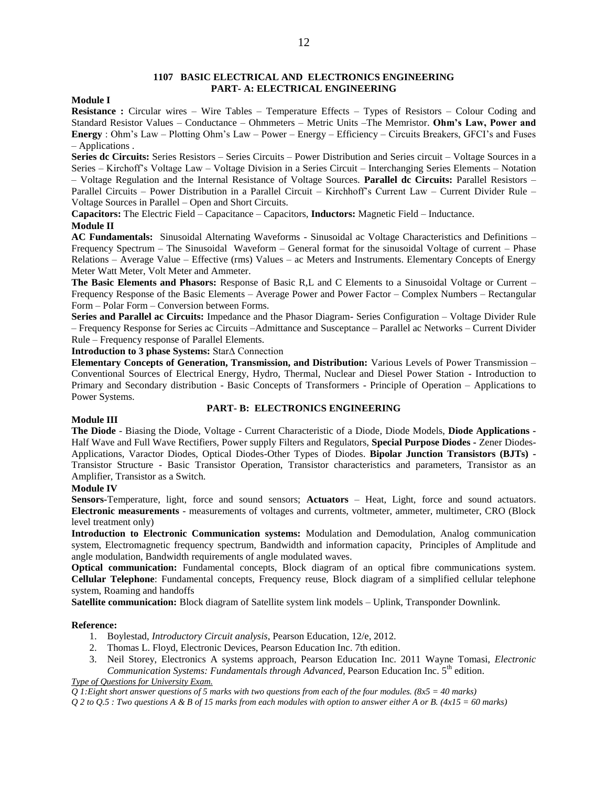# **1107 BASIC ELECTRICAL AND ELECTRONICS ENGINEERING PART- A: ELECTRICAL ENGINEERING**

#### **Module I**

**Resistance :** Circular wires – Wire Tables – Temperature Effects – Types of Resistors – Colour Coding and Standard Resistor Values – Conductance – Ohmmeters – Metric Units –The Memristor. **Ohm's Law, Power and Energy** : Ohm's Law – Plotting Ohm's Law – Power – Energy – Efficiency – Circuits Breakers, GFCI's and Fuses – Applications .

**Series dc Circuits:** Series Resistors – Series Circuits – Power Distribution and Series circuit – Voltage Sources in a Series – Kirchoff's Voltage Law – Voltage Division in a Series Circuit – Interchanging Series Elements – Notation – Voltage Regulation and the Internal Resistance of Voltage Sources. **Parallel dc Circuits:** Parallel Resistors – Parallel Circuits – Power Distribution in a Parallel Circuit – Kirchhoff's Current Law – Current Divider Rule – Voltage Sources in Parallel – Open and Short Circuits.

**Capacitors:** The Electric Field – Capacitance – Capacitors, **Inductors:** Magnetic Field – Inductance. **Module II**

**AC Fundamentals:** Sinusoidal Alternating Waveforms - Sinusoidal ac Voltage Characteristics and Definitions – Frequency Spectrum – The Sinusoidal Waveform – General format for the sinusoidal Voltage of current – Phase Relations – Average Value – Effective (rms) Values – ac Meters and Instruments. Elementary Concepts of Energy Meter Watt Meter, Volt Meter and Ammeter.

**The Basic Elements and Phasors:** Response of Basic R,L and C Elements to a Sinusoidal Voltage or Current – Frequency Response of the Basic Elements – Average Power and Power Factor – Complex Numbers – Rectangular Form – Polar Form – Conversion between Forms.

**Series and Parallel ac Circuits:** Impedance and the Phasor Diagram- Series Configuration – Voltage Divider Rule – Frequency Response for Series ac Circuits –Admittance and Susceptance – Parallel ac Networks – Current Divider Rule – Frequency response of Parallel Elements.

**Introduction to 3 phase Systems:** StarΔ Connection

**Elementary Concepts of Generation, Transmission, and Distribution:** Various Levels of Power Transmission – Conventional Sources of Electrical Energy, Hydro, Thermal, Nuclear and Diesel Power Station - Introduction to Primary and Secondary distribution - Basic Concepts of Transformers - Principle of Operation – Applications to Power Systems.

# **PART- B: ELECTRONICS ENGINEERING**

# **Module III**

**The Diode** - Biasing the Diode, Voltage - Current Characteristic of a Diode, Diode Models, **Diode Applications -** Half Wave and Full Wave Rectifiers, Power supply Filters and Regulators, **Special Purpose Diodes -** Zener Diodes-Applications, Varactor Diodes, Optical Diodes-Other Types of Diodes. **Bipolar Junction Transistors (BJTs) -** Transistor Structure - Basic Transistor Operation, Transistor characteristics and parameters, Transistor as an Amplifier, Transistor as a Switch.

#### **Module IV**

**Sensors-**Temperature, light, force and sound sensors; **Actuators** – Heat, Light, force and sound actuators. **Electronic measurements** - measurements of voltages and currents, voltmeter, ammeter, multimeter, CRO (Block level treatment only)

**Introduction to Electronic Communication systems:** Modulation and Demodulation, Analog communication system, Electromagnetic frequency spectrum, Bandwidth and information capacity, Principles of Amplitude and angle modulation, Bandwidth requirements of angle modulated waves.

**Optical communication:** Fundamental concepts, Block diagram of an optical fibre communications system. **Cellular Telephone**: Fundamental concepts, Frequency reuse, Block diagram of a simplified cellular telephone system, Roaming and handoffs

**Satellite communication:** Block diagram of Satellite system link models – Uplink, Transponder Downlink.

#### **Reference:**

- 1. Boylestad, *Introductory Circuit analysis*, Pearson Education, 12/e, 2012.
- 2. Thomas L. Floyd, Electronic Devices, Pearson Education Inc. 7th edition.
- 3. Neil Storey, Electronics A systems approach, Pearson Education Inc. 2011 Wayne Tomasi, *Electronic Communication Systems: Fundamentals through Advanced, Pearson Education Inc.* 5<sup>th</sup> edition.

# *Type of Questions for University Exam.*

*Q 1:Eight short answer questions of 5 marks with two questions from each of the four modules. (8x5 = 40 marks)*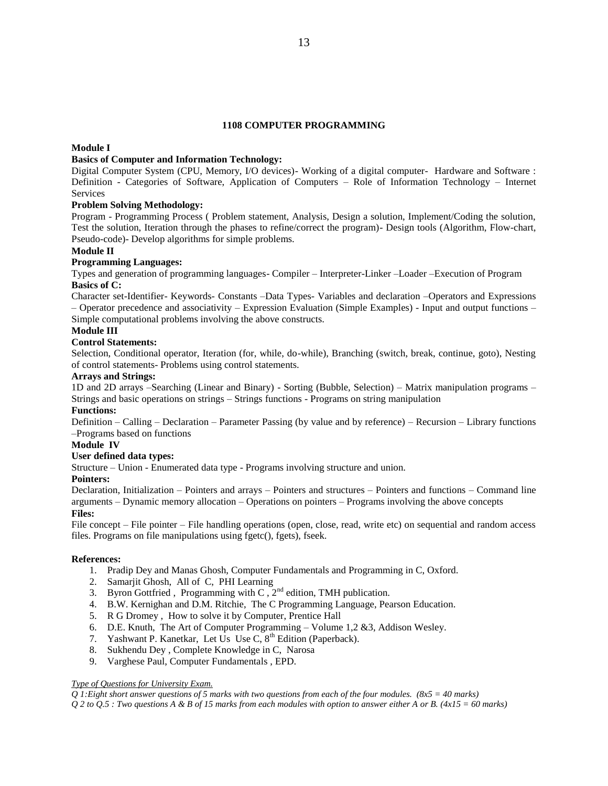# **1108 COMPUTER PROGRAMMING**

# **Module I**

# **Basics of Computer and Information Technology:**

Digital Computer System (CPU, Memory, I/O devices)- Working of a digital computer- Hardware and Software : Definition - Categories of Software, Application of Computers – Role of Information Technology – Internet **Services** 

# **Problem Solving Methodology:**

Program - Programming Process ( Problem statement, Analysis, Design a solution, Implement/Coding the solution, Test the solution, Iteration through the phases to refine/correct the program)- Design tools (Algorithm, Flow-chart, Pseudo-code)- Develop algorithms for simple problems.

# **Module II**

# **Programming Languages:**

Types and generation of programming languages- Compiler – Interpreter-Linker –Loader –Execution of Program **Basics of C:**

Character set-Identifier- Keywords- Constants –Data Types- Variables and declaration –Operators and Expressions – Operator precedence and associativity – Expression Evaluation (Simple Examples) - Input and output functions – Simple computational problems involving the above constructs.

# **Module III**

#### **Control Statements:**

Selection, Conditional operator, Iteration (for, while, do-while), Branching (switch, break, continue, goto), Nesting of control statements- Problems using control statements.

# **Arrays and Strings:**

1D and 2D arrays –Searching (Linear and Binary) - Sorting (Bubble, Selection) – Matrix manipulation programs – Strings and basic operations on strings – Strings functions - Programs on string manipulation

# **Functions:**

Definition – Calling – Declaration – Parameter Passing (by value and by reference) – Recursion – Library functions –Programs based on functions

# **Module IV**

**User defined data types:**

Structure – Union - Enumerated data type - Programs involving structure and union.

#### **Pointers:**

Declaration, Initialization – Pointers and arrays – Pointers and structures – Pointers and functions – Command line arguments – Dynamic memory allocation – Operations on pointers – Programs involving the above concepts

# **Files:**

File concept – File pointer – File handling operations (open, close, read, write etc) on sequential and random access files. Programs on file manipulations using fgetc(), fgets), fseek.

#### **References:**

- 1. Pradip Dey and Manas Ghosh, Computer Fundamentals and Programming in C, Oxford.
- 2. Samarjit Ghosh, All of C, PHI Learning
- 3. Byron Gottfried, Programming with C,  $2<sup>nd</sup>$  edition, TMH publication.
- 4. B.W. Kernighan and D.M. Ritchie, The C Programming Language, Pearson Education.
- 5. R G Dromey , How to solve it by Computer, Prentice Hall
- 6. D.E. Knuth, The Art of Computer Programming Volume 1,2 &3, Addison Wesley.
- 7. Yashwant P. Kanetkar, Let Us Use  $C$ ,  $8<sup>th</sup>$  Edition (Paperback).
- 8. Sukhendu Dey , Complete Knowledge in C, Narosa
- 9. Varghese Paul, Computer Fundamentals , EPD.

### *Type of Questions for University Exam.*

*Q 1:Eight short answer questions of 5 marks with two questions from each of the four modules. (8x5 = 40 marks)*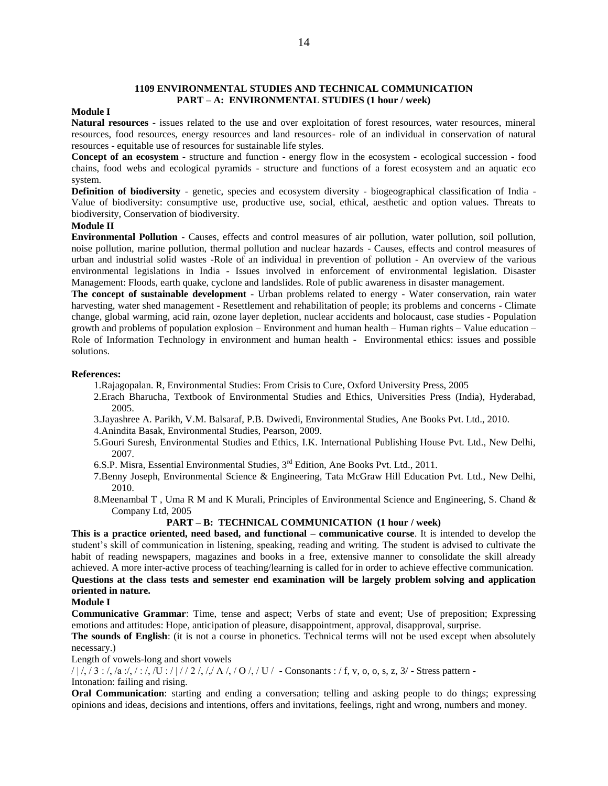### **1109 ENVIRONMENTAL STUDIES AND TECHNICAL COMMUNICATION PART – A: ENVIRONMENTAL STUDIES (1 hour / week)**

# **Module I**

**Natural resources** - issues related to the use and over exploitation of forest resources, water resources, mineral resources, food resources, energy resources and land resources- role of an individual in conservation of natural resources - equitable use of resources for sustainable life styles.

**Concept of an ecosystem** - structure and function - energy flow in the ecosystem - ecological succession - food chains, food webs and ecological pyramids - structure and functions of a forest ecosystem and an aquatic eco system.

**Definition of biodiversity** - genetic, species and ecosystem diversity - biogeographical classification of India - Value of biodiversity: consumptive use, productive use, social, ethical, aesthetic and option values. Threats to biodiversity, Conservation of biodiversity.

#### **Module II**

**Environmental Pollution** - Causes, effects and control measures of air pollution, water pollution, soil pollution, noise pollution, marine pollution, thermal pollution and nuclear hazards - Causes, effects and control measures of urban and industrial solid wastes -Role of an individual in prevention of pollution - An overview of the various environmental legislations in India - Issues involved in enforcement of environmental legislation. Disaster Management: Floods, earth quake, cyclone and landslides. Role of public awareness in disaster management.

**The concept of sustainable development** - Urban problems related to energy - Water conservation, rain water harvesting, water shed management - Resettlement and rehabilitation of people; its problems and concerns - Climate change, global warming, acid rain, ozone layer depletion, nuclear accidents and holocaust, case studies - Population growth and problems of population explosion – Environment and human health – Human rights – Value education – Role of Information Technology in environment and human health - Environmental ethics: issues and possible solutions.

#### **References:**

- 1.Rajagopalan. R, Environmental Studies: From Crisis to Cure, Oxford University Press, 2005
- 2.Erach Bharucha, Textbook of Environmental Studies and Ethics, Universities Press (India), Hyderabad, 2005.
- 3.Jayashree A. Parikh, V.M. Balsaraf, P.B. Dwivedi, Environmental Studies, Ane Books Pvt. Ltd., 2010.
- 4.Anindita Basak, Environmental Studies, Pearson, 2009.
- 5.Gouri Suresh, Environmental Studies and Ethics, I.K. International Publishing House Pvt. Ltd., New Delhi, 2007.
- 6.S.P. Misra, Essential Environmental Studies, 3rd Edition, Ane Books Pvt. Ltd., 2011.
- 7.Benny Joseph, Environmental Science & Engineering, Tata McGraw Hill Education Pvt. Ltd., New Delhi, 2010.
- 8.Meenambal T , Uma R M and K Murali, Principles of Environmental Science and Engineering, S. Chand & Company Ltd, 2005

### **PART – B: TECHNICAL COMMUNICATION (1 hour / week)**

**This is a practice oriented, need based, and functional – communicative course**. It is intended to develop the student's skill of communication in listening, speaking, reading and writing. The student is advised to cultivate the habit of reading newspapers, magazines and books in a free, extensive manner to consolidate the skill already achieved. A more inter-active process of teaching/learning is called for in order to achieve effective communication.

**Questions at the class tests and semester end examination will be largely problem solving and application oriented in nature.**

#### **Module I**

**Communicative Grammar**: Time, tense and aspect; Verbs of state and event; Use of preposition; Expressing emotions and attitudes: Hope, anticipation of pleasure, disappointment, approval, disapproval, surprise.

**The sounds of English**: (it is not a course in phonetics. Technical terms will not be used except when absolutely necessary.)

# Length of vowels-long and short vowels

 $/ / / / 3$ :/, /a :/, /:/, /U :////2/, //  $\Lambda$ /, /O/, /U / - Consonants :/f, v, o, o, s, z, 3/ - Stress pattern -Intonation: failing and rising.

**Oral Communication**: starting and ending a conversation; telling and asking people to do things; expressing opinions and ideas, decisions and intentions, offers and invitations, feelings, right and wrong, numbers and money.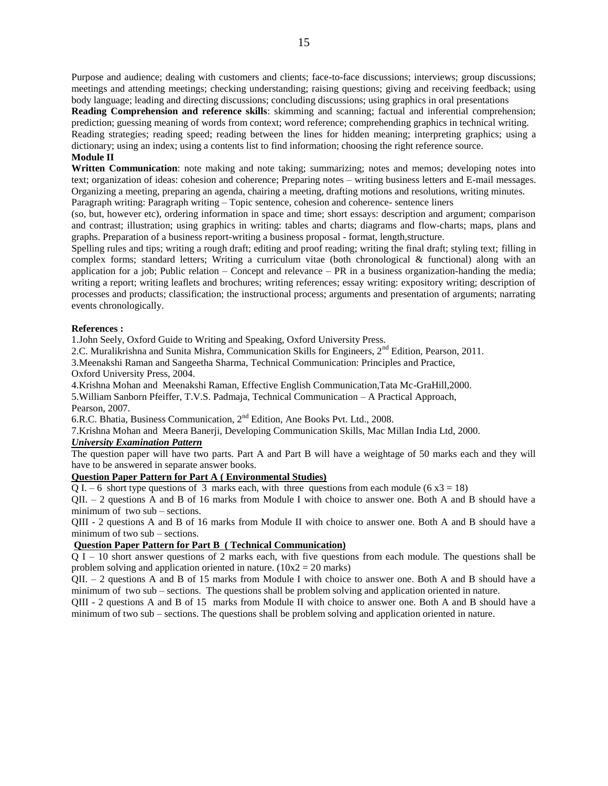Purpose and audience; dealing with customers and clients; face-to-face discussions; interviews; group discussions; meetings and attending meetings; checking understanding; raising questions; giving and receiving feedback; using body language; leading and directing discussions; concluding discussions; using graphics in oral presentations **Reading Comprehension and reference skills**: skimming and scanning; factual and inferential comprehension;

prediction; guessing meaning of words from context; word reference; comprehending graphics in technical writing. Reading strategies; reading speed; reading between the lines for hidden meaning; interpreting graphics; using a dictionary; using an index; using a contents list to find information; choosing the right reference source.

# **Module II**

**Written Communication**: note making and note taking; summarizing; notes and memos; developing notes into text; organization of ideas: cohesion and coherence; Preparing notes – writing business letters and E-mail messages. Organizing a meeting, preparing an agenda, chairing a meeting, drafting motions and resolutions, writing minutes. Paragraph writing: Paragraph writing – Topic sentence, cohesion and coherence- sentence liners

(so, but, however etc), ordering information in space and time; short essays: description and argument; comparison and contrast; illustration; using graphics in writing: tables and charts; diagrams and flow-charts; maps, plans and graphs. Preparation of a business report-writing a business proposal - format, length,structure.

Spelling rules and tips; writing a rough draft; editing and proof reading; writing the final draft; styling text; filling in complex forms; standard letters; Writing a curriculum vitae (both chronological & functional) along with an application for a job; Public relation – Concept and relevance – PR in a business organization-handing the media; writing a report; writing leaflets and brochures; writing references; essay writing: expository writing; description of processes and products; classification; the instructional process; arguments and presentation of arguments; narrating events chronologically.

# **References :**

1.John Seely, Oxford Guide to Writing and Speaking, Oxford University Press.

2.C. Muralikrishna and Sunita Mishra, Communication Skills for Engineers, 2<sup>nd</sup> Edition, Pearson, 2011.

3.Meenakshi Raman and Sangeetha Sharma, Technical Communication: Principles and Practice,

Oxford University Press, 2004.

4.Krishna Mohan and Meenakshi Raman, Effective English Communication,Tata Mc-GraHill,2000.

5.William Sanborn Pfeiffer, T.V.S. Padmaja, Technical Communication – A Practical Approach, Pearson, 2007.

6.R.C. Bhatia, Business Communication, 2nd Edition, Ane Books Pvt. Ltd., 2008.

7.Krishna Mohan and Meera Banerji, Developing Communication Skills, Mac Millan India Ltd, 2000.

# *University Examination Pattern*

The question paper will have two parts. Part A and Part B will have a weightage of 50 marks each and they will have to be answered in separate answer books.

# **Question Paper Pattern for Part A ( Environmental Studies)**

 $\overline{Q}$  I. – 6 short type questions of 3 marks each, with three questions from each module (6 x3 = 18)

QII. – 2 questions A and B of 16 marks from Module I with choice to answer one. Both A and B should have a minimum of two sub – sections.

QIII - 2 questions A and B of 16 marks from Module II with choice to answer one. Both A and B should have a minimum of two sub – sections.

# **Question Paper Pattern for Part B ( Technical Communication)**

 $\overline{Q I} - 10$  short answer questions of 2 marks each, with five questions from each module. The questions shall be problem solving and application oriented in nature.  $(10x2 = 20$  marks)

QII. – 2 questions A and B of 15 marks from Module I with choice to answer one. Both A and B should have a minimum of two sub – sections. The questions shall be problem solving and application oriented in nature.

QIII - 2 questions A and B of 15 marks from Module II with choice to answer one. Both A and B should have a minimum of two sub – sections. The questions shall be problem solving and application oriented in nature.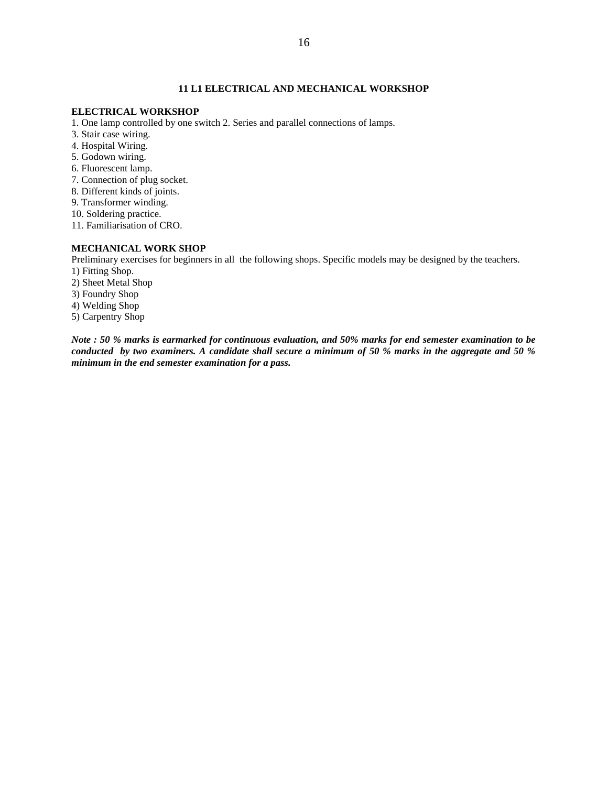# **11 L1 ELECTRICAL AND MECHANICAL WORKSHOP**

# **ELECTRICAL WORKSHOP**

1. One lamp controlled by one switch 2. Series and parallel connections of lamps.

- 3. Stair case wiring.
- 4. Hospital Wiring.
- 5. Godown wiring.
- 6. Fluorescent lamp.
- 7. Connection of plug socket.
- 8. Different kinds of joints.
- 9. Transformer winding.
- 10. Soldering practice.
- 11. Familiarisation of CRO.

#### **MECHANICAL WORK SHOP**

Preliminary exercises for beginners in all the following shops. Specific models may be designed by the teachers.

- 1) Fitting Shop.
- 2) Sheet Metal Shop
- 3) Foundry Shop
- 4) Welding Shop
- 5) Carpentry Shop

*Note : 50 % marks is earmarked for continuous evaluation, and 50% marks for end semester examination to be conducted by two examiners. A candidate shall secure a minimum of 50 % marks in the aggregate and 50 % minimum in the end semester examination for a pass.*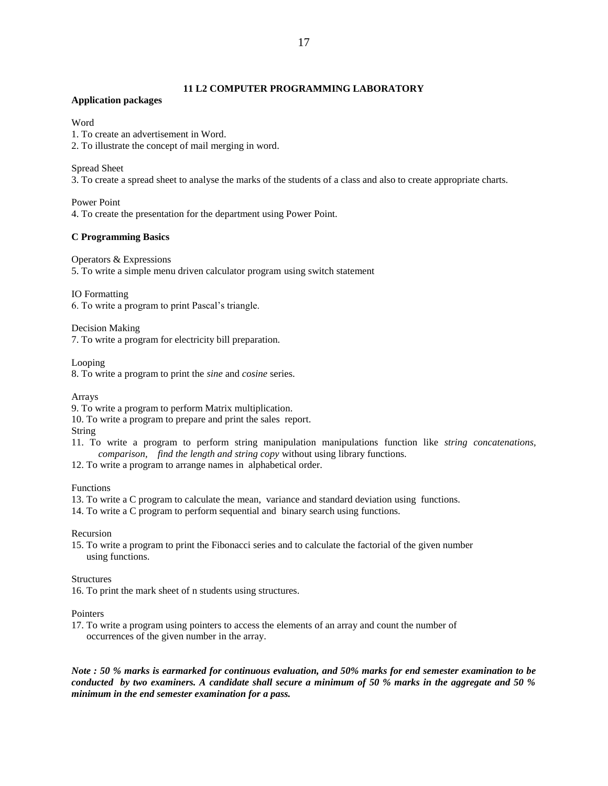# **Application packages**

# **Word**

1. To create an advertisement in Word.

2. To illustrate the concept of mail merging in word.

Spread Sheet

3. To create a spread sheet to analyse the marks of the students of a class and also to create appropriate charts.

Power Point

4. To create the presentation for the department using Power Point.

# **C Programming Basics**

Operators & Expressions

5. To write a simple menu driven calculator program using switch statement

IO Formatting

6. To write a program to print Pascal's triangle.

Decision Making

7. To write a program for electricity bill preparation.

Looping

8. To write a program to print the *sine* and *cosine* series.

Arrays

9. To write a program to perform Matrix multiplication.

10. To write a program to prepare and print the sales report.

String

- 11. To write a program to perform string manipulation manipulations function like *string concatenations, comparison, find the length and string copy* without using library functions.
- 12. To write a program to arrange names in alphabetical order.

Functions

13. To write a C program to calculate the mean, variance and standard deviation using functions.

14. To write a C program to perform sequential and binary search using functions.

Recursion

15. To write a program to print the Fibonacci series and to calculate the factorial of the given number using functions.

# Structures

16. To print the mark sheet of n students using structures.

#### Pointers

17. To write a program using pointers to access the elements of an array and count the number of occurrences of the given number in the array.

*Note : 50 % marks is earmarked for continuous evaluation, and 50% marks for end semester examination to be conducted by two examiners. A candidate shall secure a minimum of 50 % marks in the aggregate and 50 % minimum in the end semester examination for a pass.*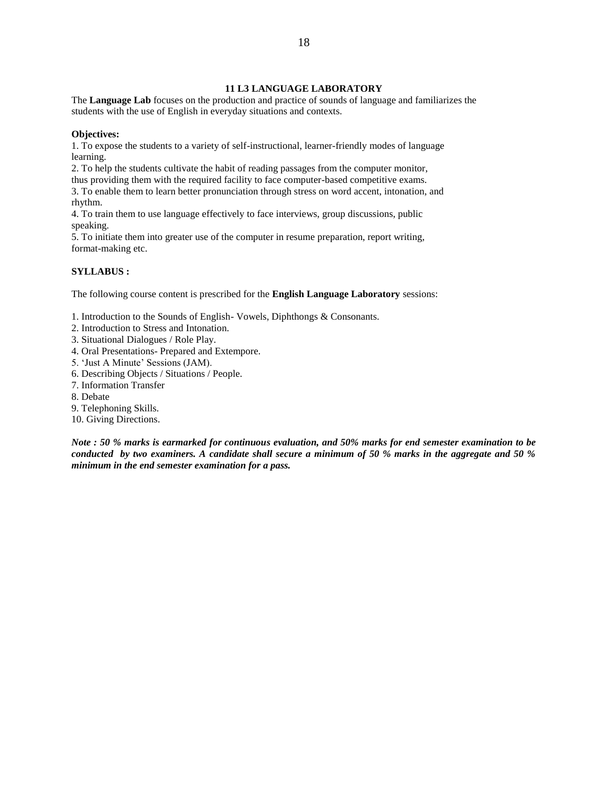# **11 L3 LANGUAGE LABORATORY**

The **Language Lab** focuses on the production and practice of sounds of language and familiarizes the students with the use of English in everyday situations and contexts.

#### **Objectives:**

1. To expose the students to a variety of self-instructional, learner-friendly modes of language learning.

2. To help the students cultivate the habit of reading passages from the computer monitor,

thus providing them with the required facility to face computer-based competitive exams.

3. To enable them to learn better pronunciation through stress on word accent, intonation, and rhythm.

4. To train them to use language effectively to face interviews, group discussions, public speaking.

5. To initiate them into greater use of the computer in resume preparation, report writing, format-making etc.

### **SYLLABUS :**

The following course content is prescribed for the **English Language Laboratory** sessions:

- 1. Introduction to the Sounds of English- Vowels, Diphthongs & Consonants.
- 2. Introduction to Stress and Intonation.
- 3. Situational Dialogues / Role Play.
- 4. Oral Presentations- Prepared and Extempore.
- 5. 'Just A Minute' Sessions (JAM).
- 6. Describing Objects / Situations / People.
- 7. Information Transfer
- 8. Debate
- 9. Telephoning Skills.
- 10. Giving Directions.

*Note : 50 % marks is earmarked for continuous evaluation, and 50% marks for end semester examination to be conducted by two examiners. A candidate shall secure a minimum of 50 % marks in the aggregate and 50 % minimum in the end semester examination for a pass.*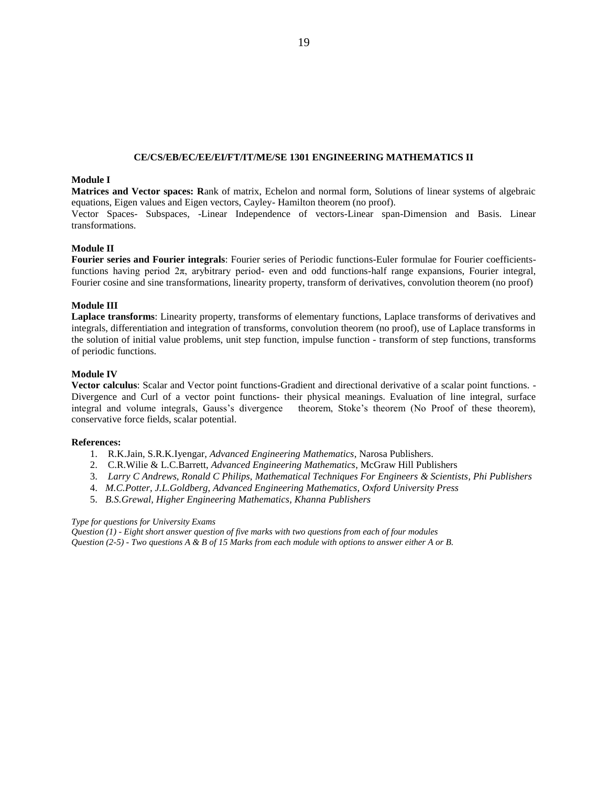## **CE/CS/EB/EC/EE/EI/FT/IT/ME/SE 1301 ENGINEERING MATHEMATICS II**

# **Module I**

**Matrices and Vector spaces: R**ank of matrix, Echelon and normal form, Solutions of linear systems of algebraic equations, Eigen values and Eigen vectors, Cayley- Hamilton theorem (no proof).

Vector Spaces- Subspaces, -Linear Independence of vectors-Linear span-Dimension and Basis. Linear transformations.

# **Module II**

**Fourier series and Fourier integrals**: Fourier series of Periodic functions-Euler formulae for Fourier coefficientsfunctions having period  $2\pi$ , ary bitrary period- even and odd functions-half range expansions, Fourier integral, Fourier cosine and sine transformations, linearity property, transform of derivatives, convolution theorem (no proof)

# **Module III**

**Laplace transforms**: Linearity property, transforms of elementary functions, Laplace transforms of derivatives and integrals, differentiation and integration of transforms, convolution theorem (no proof), use of Laplace transforms in the solution of initial value problems, unit step function, impulse function - transform of step functions, transforms of periodic functions.

#### **Module IV**

**Vector calculus**: Scalar and Vector point functions-Gradient and directional derivative of a scalar point functions. - Divergence and Curl of a vector point functions- their physical meanings. Evaluation of line integral, surface integral and volume integrals, Gauss's divergence theorem, Stoke's theorem (No Proof of these theorem), conservative force fields, scalar potential.

#### **References:**

- 1. R.K.Jain, S.R.K.Iyengar, *Advanced Engineering Mathematics*, Narosa Publishers.
- 2. C.R.Wilie & L.C.Barrett, *Advanced Engineering Mathematics*, McGraw Hill Publishers
- 3. *Larry C Andrews, Ronald C Philips, Mathematical Techniques For Engineers & Scientists, Phi Publishers*
- 4. *M.C.Potter, J.L.Goldberg, Advanced Engineering Mathematics, Oxford University Press*
- 5. *B.S.Grewal, Higher Engineering Mathematics, Khanna Publishers*

# *Type for questions for University Exams*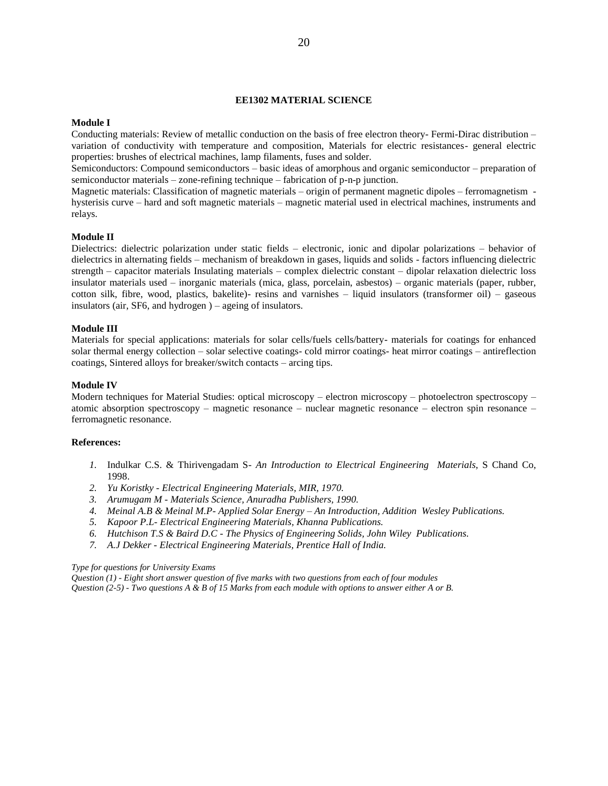#### **EE1302 MATERIAL SCIENCE**

#### **Module I**

Conducting materials: Review of metallic conduction on the basis of free electron theory- Fermi-Dirac distribution – variation of conductivity with temperature and composition, Materials for electric resistances- general electric properties: brushes of electrical machines, lamp filaments, fuses and solder.

Semiconductors: Compound semiconductors – basic ideas of amorphous and organic semiconductor – preparation of semiconductor materials – zone-refining technique – fabrication of p-n-p junction.

Magnetic materials: Classification of magnetic materials – origin of permanent magnetic dipoles – ferromagnetism hysterisis curve – hard and soft magnetic materials – magnetic material used in electrical machines, instruments and relays.

#### **Module II**

Dielectrics: dielectric polarization under static fields – electronic, ionic and dipolar polarizations – behavior of dielectrics in alternating fields – mechanism of breakdown in gases, liquids and solids - factors influencing dielectric strength – capacitor materials Insulating materials – complex dielectric constant – dipolar relaxation dielectric loss insulator materials used – inorganic materials (mica, glass, porcelain, asbestos) – organic materials (paper, rubber, cotton silk, fibre, wood, plastics, bakelite)- resins and varnishes – liquid insulators (transformer oil) – gaseous insulators (air, SF6, and hydrogen ) – ageing of insulators.

### **Module III**

Materials for special applications: materials for solar cells/fuels cells/battery- materials for coatings for enhanced solar thermal energy collection – solar selective coatings- cold mirror coatings- heat mirror coatings – antireflection coatings, Sintered alloys for breaker/switch contacts – arcing tips.

#### **Module IV**

Modern techniques for Material Studies: optical microscopy – electron microscopy – photoelectron spectroscopy – atomic absorption spectroscopy – magnetic resonance – nuclear magnetic resonance – electron spin resonance – ferromagnetic resonance.

#### **References:**

- *1.* Indulkar C.S. & Thirivengadam S- *An Introduction to Electrical Engineering Materials*, S Chand Co, 1998.
- *2. Yu Koristky - Electrical Engineering Materials, MIR, 1970.*
- *3. Arumugam M - Materials Science, Anuradha Publishers, 1990.*
- *4. Meinal A.B & Meinal M.P- Applied Solar Energy – An Introduction, Addition Wesley Publications.*
- *5. Kapoor P.L- Electrical Engineering Materials, Khanna Publications.*
- *6. Hutchison T.S & Baird D.C - The Physics of Engineering Solids, John Wiley Publications.*
- *7. A.J Dekker - Electrical Engineering Materials, Prentice Hall of India.*

#### *Type for questions for University Exams*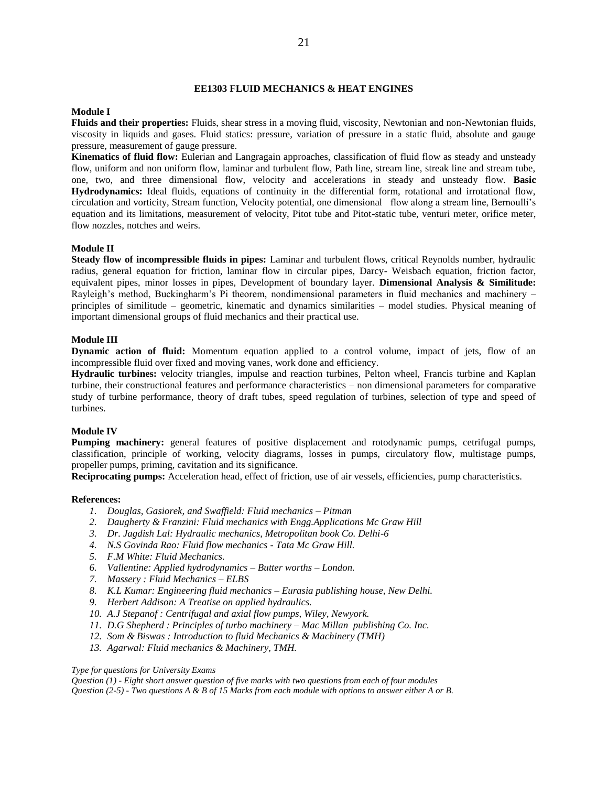#### **EE1303 FLUID MECHANICS & HEAT ENGINES**

#### **Module I**

**Fluids and their properties:** Fluids, shear stress in a moving fluid, viscosity, Newtonian and non-Newtonian fluids, viscosity in liquids and gases. Fluid statics: pressure, variation of pressure in a static fluid, absolute and gauge pressure, measurement of gauge pressure.

**Kinematics of fluid flow:** Eulerian and Langragain approaches, classification of fluid flow as steady and unsteady flow, uniform and non uniform flow, laminar and turbulent flow, Path line, stream line, streak line and stream tube, one, two, and three dimensional flow, velocity and accelerations in steady and unsteady flow. **Basic Hydrodynamics:** Ideal fluids, equations of continuity in the differential form, rotational and irrotational flow, circulation and vorticity, Stream function, Velocity potential, one dimensional flow along a stream line, Bernoulli's equation and its limitations, measurement of velocity, Pitot tube and Pitot-static tube, venturi meter, orifice meter, flow nozzles, notches and weirs.

#### **Module II**

**Steady flow of incompressible fluids in pipes:** Laminar and turbulent flows, critical Reynolds number, hydraulic radius, general equation for friction, laminar flow in circular pipes, Darcy- Weisbach equation, friction factor, equivalent pipes, minor losses in pipes, Development of boundary layer. **Dimensional Analysis & Similitude:**  Rayleigh's method, Buckingharm's Pi theorem, nondimensional parameters in fluid mechanics and machinery – principles of similitude – geometric, kinematic and dynamics similarities – model studies. Physical meaning of important dimensional groups of fluid mechanics and their practical use.

#### **Module III**

**Dynamic action of fluid:** Momentum equation applied to a control volume, impact of jets, flow of an incompressible fluid over fixed and moving vanes, work done and efficiency.

**Hydraulic turbines:** velocity triangles, impulse and reaction turbines, Pelton wheel, Francis turbine and Kaplan turbine, their constructional features and performance characteristics – non dimensional parameters for comparative study of turbine performance, theory of draft tubes, speed regulation of turbines, selection of type and speed of turbines.

#### **Module IV**

**Pumping machinery:** general features of positive displacement and rotodynamic pumps, cetrifugal pumps, classification, principle of working, velocity diagrams, losses in pumps, circulatory flow, multistage pumps, propeller pumps, priming, cavitation and its significance.

**Reciprocating pumps:** Acceleration head, effect of friction, use of air vessels, efficiencies, pump characteristics.

#### **References:**

- *1. Douglas, Gasiorek, and Swaffield: Fluid mechanics – Pitman*
- *2. Daugherty & Franzini: Fluid mechanics with Engg.Applications Mc Graw Hill*
- *3. Dr. Jagdish Lal: Hydraulic mechanics, Metropolitan book Co. Delhi-6*
- *4. N.S Govinda Rao: Fluid flow mechanics - Tata Mc Graw Hill.*
- *5. F.M White: Fluid Mechanics.*
- *6. Vallentine: Applied hydrodynamics – Butter worths – London.*
- *7. Massery : Fluid Mechanics – ELBS*
- *8. K.L Kumar: Engineering fluid mechanics – Eurasia publishing house, New Delhi.*
- *9. Herbert Addison: A Treatise on applied hydraulics.*
- *10. A.J Stepanof : Centrifugal and axial flow pumps, Wiley, Newyork.*
- *11. D.G Shepherd : Principles of turbo machinery – Mac Millan publishing Co. Inc.*
- *12. Som & Biswas : Introduction to fluid Mechanics & Machinery (TMH)*
- *13. Agarwal: Fluid mechanics & Machinery, TMH.*

#### *Type for questions for University Exams*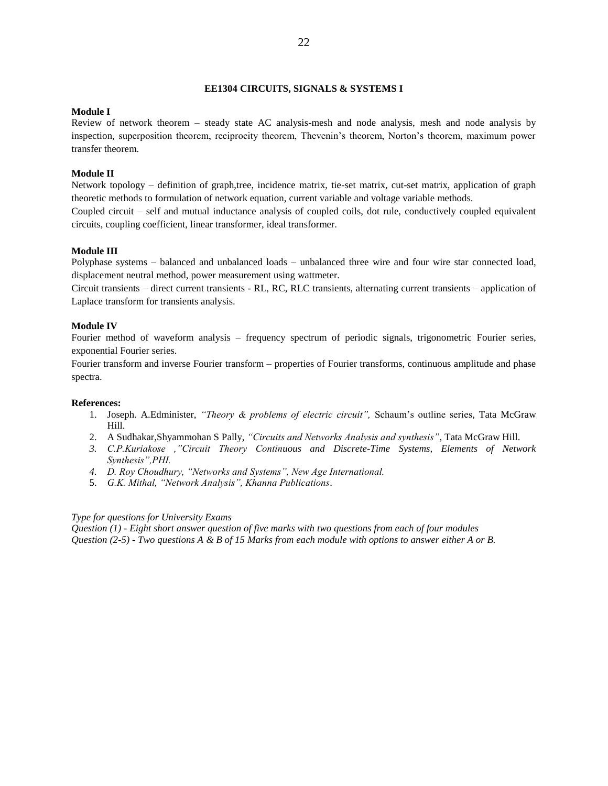# **EE1304 CIRCUITS, SIGNALS & SYSTEMS I**

# **Module I**

Review of network theorem – steady state AC analysis-mesh and node analysis, mesh and node analysis by inspection, superposition theorem, reciprocity theorem, Thevenin's theorem, Norton's theorem, maximum power transfer theorem.

# **Module II**

Network topology – definition of graph,tree, incidence matrix, tie-set matrix, cut-set matrix, application of graph theoretic methods to formulation of network equation, current variable and voltage variable methods.

Coupled circuit – self and mutual inductance analysis of coupled coils, dot rule, conductively coupled equivalent circuits, coupling coefficient, linear transformer, ideal transformer.

# **Module III**

Polyphase systems – balanced and unbalanced loads – unbalanced three wire and four wire star connected load, displacement neutral method, power measurement using wattmeter.

Circuit transients – direct current transients - RL, RC, RLC transients, alternating current transients – application of Laplace transform for transients analysis.

#### **Module IV**

Fourier method of waveform analysis – frequency spectrum of periodic signals, trigonometric Fourier series, exponential Fourier series.

Fourier transform and inverse Fourier transform – properties of Fourier transforms, continuous amplitude and phase spectra.

#### **References:**

- 1. Joseph. A.Edminister, *"Theory & problems of electric circuit",* Schaum's outline series, Tata McGraw Hill.
- 2. A Sudhakar,Shyammohan S Pally, *"Circuits and Networks Analysis and synthesis"*, Tata McGraw Hill.
- *3. C.P.Kuriakose ,"Circuit Theory Continuous and Discrete-Time Systems, Elements of Network Synthesis",PHI.*
- *4. D. Roy Choudhury, "Networks and Systems", New Age International.*
- 5. *G.K. Mithal, "Network Analysis", Khanna Publications*.

#### *Type for questions for University Exams*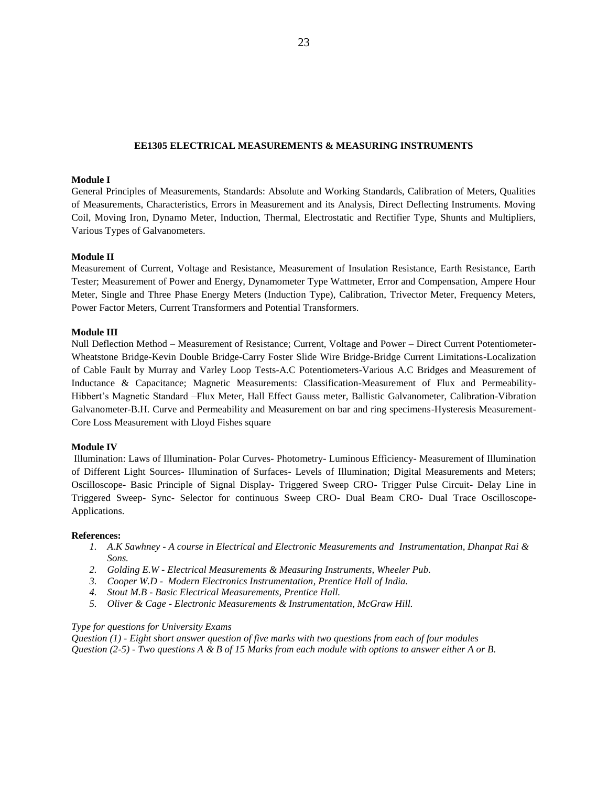#### **EE1305 ELECTRICAL MEASUREMENTS & MEASURING INSTRUMENTS**

# **Module I**

General Principles of Measurements, Standards: Absolute and Working Standards, Calibration of Meters, Qualities of Measurements, Characteristics, Errors in Measurement and its Analysis, Direct Deflecting Instruments. Moving Coil, Moving Iron, Dynamo Meter, Induction, Thermal, Electrostatic and Rectifier Type, Shunts and Multipliers, Various Types of Galvanometers.

#### **Module II**

Measurement of Current, Voltage and Resistance, Measurement of Insulation Resistance, Earth Resistance, Earth Tester; Measurement of Power and Energy, Dynamometer Type Wattmeter, Error and Compensation, Ampere Hour Meter, Single and Three Phase Energy Meters (Induction Type), Calibration, Trivector Meter, Frequency Meters, Power Factor Meters, Current Transformers and Potential Transformers.

#### **Module III**

Null Deflection Method – Measurement of Resistance; Current, Voltage and Power – Direct Current Potentiometer-Wheatstone Bridge-Kevin Double Bridge-Carry Foster Slide Wire Bridge-Bridge Current Limitations-Localization of Cable Fault by Murray and Varley Loop Tests-A.C Potentiometers-Various A.C Bridges and Measurement of Inductance & Capacitance; Magnetic Measurements: Classification-Measurement of Flux and Permeability-Hibbert's Magnetic Standard –Flux Meter, Hall Effect Gauss meter, Ballistic Galvanometer, Calibration-Vibration Galvanometer-B.H. Curve and Permeability and Measurement on bar and ring specimens-Hysteresis Measurement-Core Loss Measurement with Lloyd Fishes square

#### **Module IV**

Illumination: Laws of Illumination- Polar Curves- Photometry- Luminous Efficiency- Measurement of Illumination of Different Light Sources- Illumination of Surfaces- Levels of Illumination; Digital Measurements and Meters; Oscilloscope- Basic Principle of Signal Display- Triggered Sweep CRO- Trigger Pulse Circuit- Delay Line in Triggered Sweep- Sync- Selector for continuous Sweep CRO- Dual Beam CRO- Dual Trace Oscilloscope-Applications.

#### **References:**

- *1. A.K Sawhney - A course in Electrical and Electronic Measurements and Instrumentation, Dhanpat Rai & Sons.*
- *2. Golding E.W - Electrical Measurements & Measuring Instruments, Wheeler Pub.*
- *3. Cooper W.D Modern Electronics Instrumentation, Prentice Hall of India.*
- *4. Stout M.B - Basic Electrical Measurements, Prentice Hall.*
- *5. Oliver & Cage - Electronic Measurements & Instrumentation, McGraw Hill.*

#### *Type for questions for University Exams*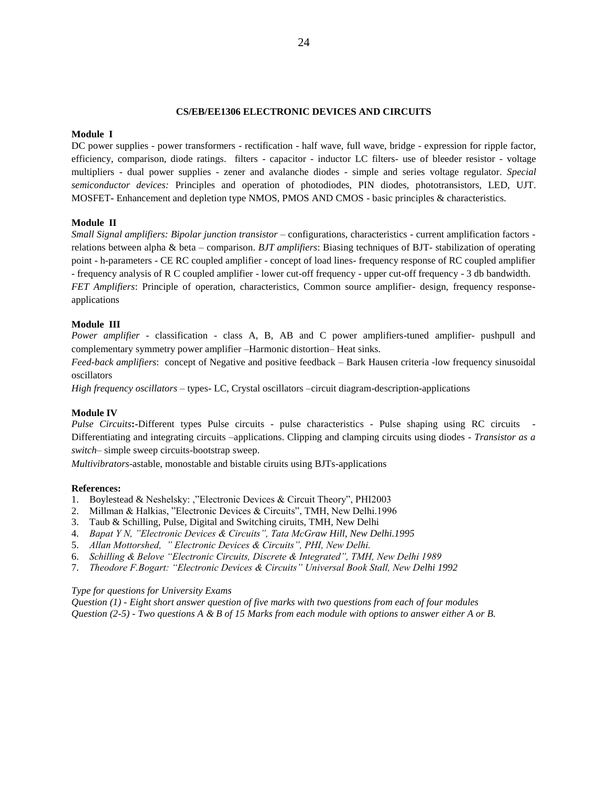### **CS/EB/EE1306 ELECTRONIC DEVICES AND CIRCUITS**

#### **Module I**

DC power supplies - power transformers - rectification - half wave, full wave, bridge - expression for ripple factor, efficiency, comparison, diode ratings. filters - capacitor - inductor LC filters- use of bleeder resistor - voltage multipliers - dual power supplies - zener and avalanche diodes - simple and series voltage regulator. *Special semiconductor devices:* Principles and operation of photodiodes, PIN diodes, phototransistors, LED, UJT. MOSFET**-** Enhancement and depletion type NMOS, PMOS AND CMOS - basic principles & characteristics.

### **Module II**

*Small Signal amplifiers: Bipolar junction transistor* – configurations, characteristics - current amplification factors relations between alpha & beta – comparison. *BJT amplifiers*: Biasing techniques of BJT- stabilization of operating point - h-parameters - CE RC coupled amplifier - concept of load lines- frequency response of RC coupled amplifier - frequency analysis of R C coupled amplifier - lower cut-off frequency - upper cut-off frequency - 3 db bandwidth. *FET Amplifiers*: Principle of operation, characteristics, Common source amplifier- design, frequency responseapplications

#### **Module III**

*Power amplifier* - classification - class A, B, AB and C power amplifiers-tuned amplifier- pushpull and complementary symmetry power amplifier –Harmonic distortion– Heat sinks.

*Feed-back amplifiers*: concept of Negative and positive feedback – Bark Hausen criteria -low frequency sinusoidal oscillators

*High frequency oscillators* – types- LC, Crystal oscillators –circuit diagram-description-applications

#### **Module IV**

*Pulse Circuits*:-Different types Pulse circuits - pulse characteristics - Pulse shaping using RC circuits -Differentiating and integrating circuits –applications. Clipping and clamping circuits using diodes - *Transistor as a switch*– simple sweep circuits-bootstrap sweep.

*Multivibrators*-astable, monostable and bistable ciruits using BJTs-applications

#### **References:**

- 1. Boylestead & Neshelsky: ,"Electronic Devices & Circuit Theory", PHI2003
- 2. Millman & Halkias, "Electronic Devices & Circuits", TMH, New Delhi.1996
- 3. Taub & Schilling, Pulse, Digital and Switching ciruits, TMH, New Delhi
- 4. *Bapat Y N, "Electronic Devices & Circuits", Tata McGraw Hill, New Delhi.1995*
- 5. *Allan Mottorshed, " Electronic Devices & Circuits", PHI, New Delhi.*
- 6. *Schilling & Belove "Electronic Circuits, Discrete & Integrated", TMH, New Delhi 1989*
- 7. *Theodore F.Bogart: "Electronic Devices & Circuits" Universal Book Stall, New Delhi 1992*

#### *Type for questions for University Exams*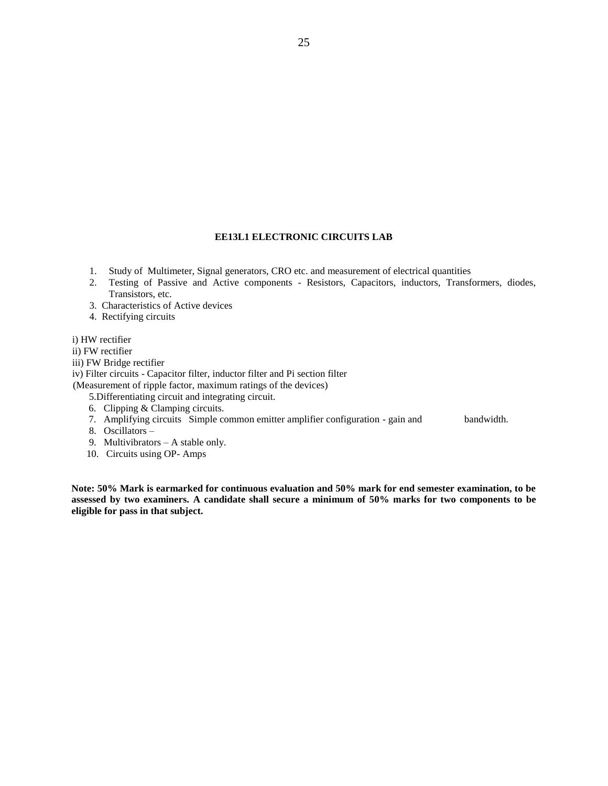# **EE13L1 ELECTRONIC CIRCUITS LAB**

- 1. Study of Multimeter, Signal generators, CRO etc. and measurement of electrical quantities
- 2. Testing of Passive and Active components Resistors, Capacitors, inductors, Transformers, diodes, Transistors, etc.
- 3. Characteristics of Active devices
- 4. Rectifying circuits
- i) HW rectifier
- ii) FW rectifier
- iii) FW Bridge rectifier

iv) Filter circuits - Capacitor filter, inductor filter and Pi section filter

(Measurement of ripple factor, maximum ratings of the devices)

5.Differentiating circuit and integrating circuit.

- 6. Clipping & Clamping circuits.
- 7. Amplifying circuits Simple common emitter amplifier configuration gain and bandwidth.
- 8. Oscillators –
- 9. Multivibrators A stable only.
- 10. Circuits using OP- Amps

**Note: 50% Mark is earmarked for continuous evaluation and 50% mark for end semester examination, to be assessed by two examiners. A candidate shall secure a minimum of 50% marks for two components to be eligible for pass in that subject.**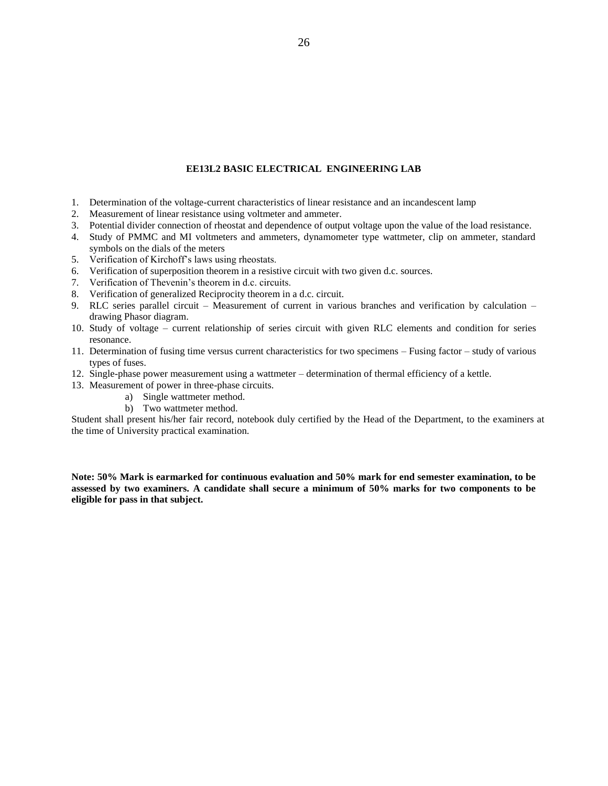### **EE13L2 BASIC ELECTRICAL ENGINEERING LAB**

- 1. Determination of the voltage-current characteristics of linear resistance and an incandescent lamp
- 2. Measurement of linear resistance using voltmeter and ammeter.
- 3. Potential divider connection of rheostat and dependence of output voltage upon the value of the load resistance.
- 4. Study of PMMC and MI voltmeters and ammeters, dynamometer type wattmeter, clip on ammeter, standard symbols on the dials of the meters
- 5. Verification of Kirchoff's laws using rheostats.
- 6. Verification of superposition theorem in a resistive circuit with two given d.c. sources.
- 7. Verification of Thevenin's theorem in d.c. circuits.
- 8. Verification of generalized Reciprocity theorem in a d.c. circuit.
- 9. RLC series parallel circuit Measurement of current in various branches and verification by calculation drawing Phasor diagram.
- 10. Study of voltage current relationship of series circuit with given RLC elements and condition for series resonance.
- 11. Determination of fusing time versus current characteristics for two specimens Fusing factor study of various types of fuses.
- 12. Single-phase power measurement using a wattmeter determination of thermal efficiency of a kettle.
- 13. Measurement of power in three-phase circuits.
	- a) Single wattmeter method.
	- b) Two wattmeter method.

Student shall present his/her fair record, notebook duly certified by the Head of the Department, to the examiners at the time of University practical examination.

**Note: 50% Mark is earmarked for continuous evaluation and 50% mark for end semester examination, to be assessed by two examiners. A candidate shall secure a minimum of 50% marks for two components to be eligible for pass in that subject.**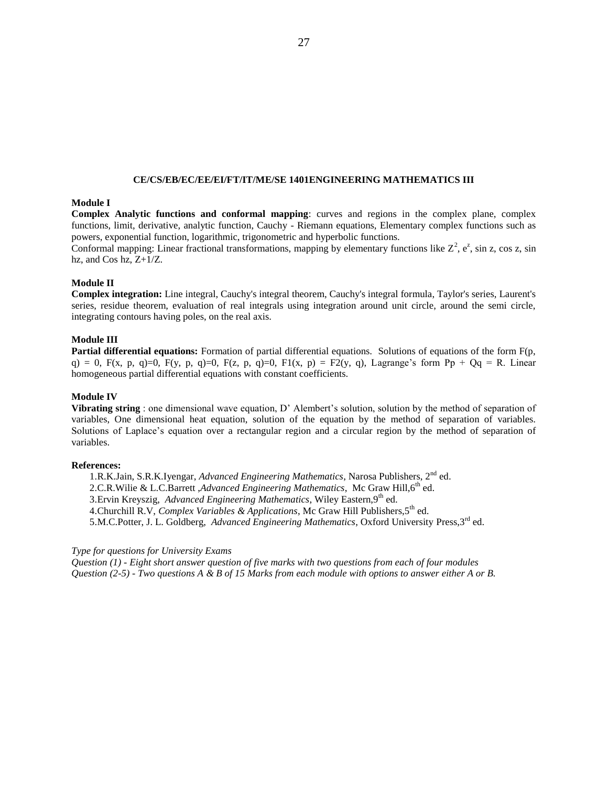# **CE/CS/EB/EC/EE/EI/FT/IT/ME/SE 1401ENGINEERING MATHEMATICS III**

# **Module I**

**Complex Analytic functions and conformal mapping**: curves and regions in the complex plane, complex functions, limit, derivative, analytic function, Cauchy - Riemann equations, Elementary complex functions such as powers, exponential function, logarithmic, trigonometric and hyperbolic functions.

Conformal mapping: Linear fractional transformations, mapping by elementary functions like  $Z^2$ ,  $e^z$ , sin z, cos z, sin hz, and Cos hz, Z+1/Z.

#### **Module II**

**Complex integration:** Line integral, Cauchy's integral theorem, Cauchy's integral formula, Taylor's series, Laurent's series, residue theorem, evaluation of real integrals using integration around unit circle, around the semi circle, integrating contours having poles, on the real axis.

#### **Module III**

**Partial differential equations:** Formation of partial differential equations. Solutions of equations of the form F(p, q) = 0, F(x, p, q)=0, F(y, p, q)=0, F(z, p, q)=0, F1(x, p) = F2(y, q), Lagrange's form Pp + Qq = R. Linear homogeneous partial differential equations with constant coefficients.

#### **Module IV**

**Vibrating string** : one dimensional wave equation, D' Alembert's solution, solution by the method of separation of variables, One dimensional heat equation, solution of the equation by the method of separation of variables. Solutions of Laplace's equation over a rectangular region and a circular region by the method of separation of variables.

### **References:**

1.R.K.Jain, S.R.K.Iyengar, *Advanced Engineering Mathematics*, Narosa Publishers, 2nd ed. 2.C.R.Wilie & L.C.Barrett ,*Advanced Engineering Mathematics*, Mc Graw Hill,6<sup>th</sup> ed. 3. Ervin Kreyszig, *Advanced Engineering Mathematics*, Wiley Eastern, 9<sup>th</sup> ed. 4. Churchill R.V, *Complex Variables & Applications*, Mc Graw Hill Publishers, 5<sup>th</sup> ed. 5.M.C.Potter, J. L. Goldberg, *Advanced Engineering Mathematics*, Oxford University Press,3rd ed.

# *Type for questions for University Exams*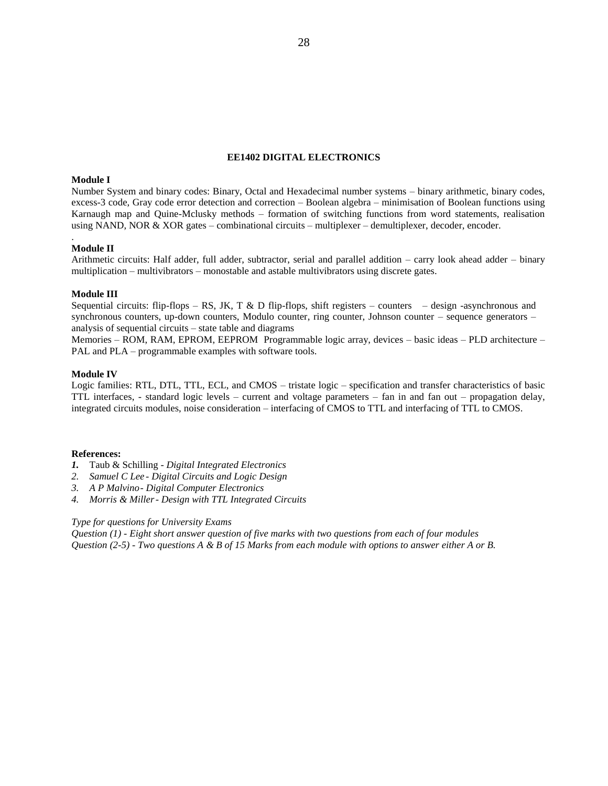### **EE1402 DIGITAL ELECTRONICS**

# **Module I**

Number System and binary codes: Binary, Octal and Hexadecimal number systems – binary arithmetic, binary codes, excess-3 code, Gray code error detection and correction – Boolean algebra – minimisation of Boolean functions using Karnaugh map and Quine-Mclusky methods – formation of switching functions from word statements, realisation using NAND, NOR & XOR gates – combinational circuits – multiplexer – demultiplexer, decoder, encoder.

#### **Module II**

.

Arithmetic circuits: Half adder, full adder, subtractor, serial and parallel addition – carry look ahead adder – binary multiplication – multivibrators – monostable and astable multivibrators using discrete gates.

#### **Module III**

Sequential circuits: flip-flops – RS, JK, T & D flip-flops, shift registers – counters – design -asynchronous and synchronous counters, up-down counters, Modulo counter, ring counter, Johnson counter – sequence generators – analysis of sequential circuits – state table and diagrams

Memories – ROM, RAM, EPROM, EEPROM Programmable logic array, devices – basic ideas – PLD architecture – PAL and PLA – programmable examples with software tools.

#### **Module IV**

Logic families: RTL, DTL, TTL, ECL, and CMOS – tristate logic – specification and transfer characteristics of basic TTL interfaces, - standard logic levels – current and voltage parameters – fan in and fan out – propagation delay, integrated circuits modules, noise consideration – interfacing of CMOS to TTL and interfacing of TTL to CMOS.

#### **References:**

- *1.* Taub & Schilling *Digital Integrated Electronics*
- *2. Samuel C Lee - Digital Circuits and Logic Design*
- *3. A P Malvino- Digital Computer Electronics*
- *4. Morris & Miller- Design with TTL Integrated Circuits*

### *Type for questions for University Exams*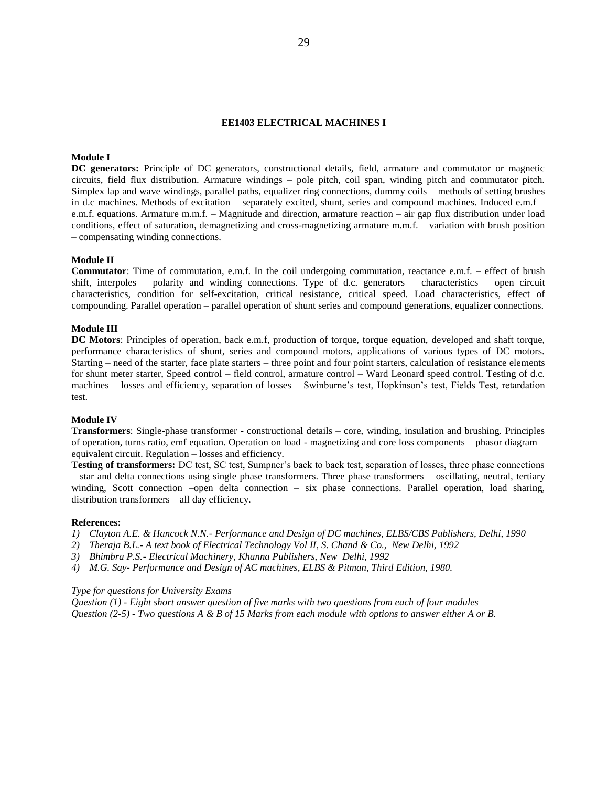#### **EE1403 ELECTRICAL MACHINES I**

# **Module I**

**DC generators:** Principle of DC generators, constructional details, field, armature and commutator or magnetic circuits, field flux distribution. Armature windings – pole pitch, coil span, winding pitch and commutator pitch. Simplex lap and wave windings, parallel paths, equalizer ring connections, dummy coils – methods of setting brushes in d.c machines. Methods of excitation – separately excited, shunt, series and compound machines. Induced e.m.f – e.m.f. equations. Armature m.m.f. – Magnitude and direction, armature reaction – air gap flux distribution under load conditions, effect of saturation, demagnetizing and cross-magnetizing armature m.m.f. – variation with brush position – compensating winding connections.

#### **Module II**

**Commutator**: Time of commutation, e.m.f. In the coil undergoing commutation, reactance e.m.f. – effect of brush shift, interpoles – polarity and winding connections. Type of d.c. generators – characteristics – open circuit characteristics, condition for self-excitation, critical resistance, critical speed. Load characteristics, effect of compounding. Parallel operation – parallel operation of shunt series and compound generations, equalizer connections.

#### **Module III**

**DC Motors**: Principles of operation, back e.m.f, production of torque, torque equation, developed and shaft torque, performance characteristics of shunt, series and compound motors, applications of various types of DC motors. Starting – need of the starter, face plate starters – three point and four point starters, calculation of resistance elements for shunt meter starter, Speed control – field control, armature control – Ward Leonard speed control. Testing of d.c. machines – losses and efficiency, separation of losses – Swinburne's test, Hopkinson's test, Fields Test, retardation test.

# **Module IV**

**Transformers**: Single-phase transformer - constructional details – core, winding, insulation and brushing. Principles of operation, turns ratio, emf equation. Operation on load - magnetizing and core loss components – phasor diagram – equivalent circuit. Regulation – losses and efficiency.

**Testing of transformers:** DC test, SC test, Sumpner's back to back test, separation of losses, three phase connections – star and delta connections using single phase transformers. Three phase transformers – oscillating, neutral, tertiary winding, Scott connection –open delta connection – six phase connections. Parallel operation, load sharing, distribution transformers – all day efficiency.

#### **References:**

- *1) Clayton A.E. & Hancock N.N.- Performance and Design of DC machines, ELBS/CBS Publishers, Delhi, 1990*
- *2) Theraja B.L.- A text book of Electrical Technology Vol II, S. Chand & Co., New Delhi, 1992*
- *3) Bhimbra P.S.- Electrical Machinery, Khanna Publishers, New Delhi, 1992*
- *4) M.G. Say- Performance and Design of AC machines, ELBS & Pitman, Third Edition, 1980.*

#### *Type for questions for University Exams*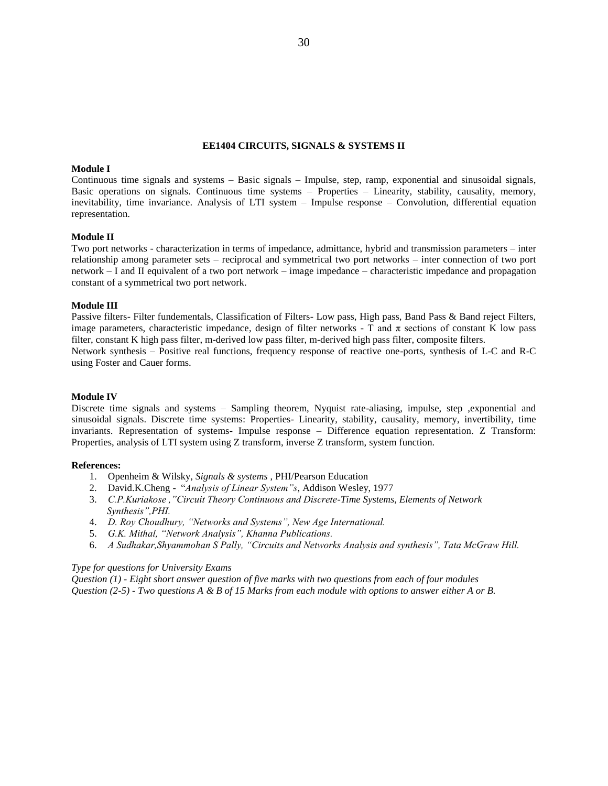#### **EE1404 CIRCUITS, SIGNALS & SYSTEMS II**

#### **Module I**

Continuous time signals and systems – Basic signals – Impulse, step, ramp, exponential and sinusoidal signals, Basic operations on signals. Continuous time systems – Properties – Linearity, stability, causality, memory, inevitability, time invariance. Analysis of LTI system – Impulse response – Convolution, differential equation representation.

#### **Module II**

Two port networks - characterization in terms of impedance, admittance, hybrid and transmission parameters – inter relationship among parameter sets – reciprocal and symmetrical two port networks – inter connection of two port network – I and II equivalent of a two port network – image impedance – characteristic impedance and propagation constant of a symmetrical two port network.

#### **Module III**

Passive filters- Filter fundementals, Classification of Filters- Low pass, High pass, Band Pass & Band reject Filters, image parameters, characteristic impedance, design of filter networks - T and  $\pi$  sections of constant K low pass filter, constant K high pass filter, m-derived low pass filter, m-derived high pass filter, composite filters. Network synthesis – Positive real functions, frequency response of reactive one-ports, synthesis of L-C and R-C using Foster and Cauer forms.

#### **Module IV**

Discrete time signals and systems – Sampling theorem, Nyquist rate-aliasing, impulse, step ,exponential and sinusoidal signals. Discrete time systems: Properties- Linearity, stability, causality, memory, invertibility, time invariants. Representation of systems- Impulse response – Difference equation representation. Z Transform: Properties, analysis of LTI system using Z transform, inverse Z transform, system function.

#### **References:**

- 1. Openheim & Wilsky, *Signals & systems* , PHI/Pearson Education
- 2. David.K.Cheng "*Analysis of Linear System"s*, Addison Wesley, 1977
- 3. *C.P.Kuriakose ,"Circuit Theory Continuous and Discrete-Time Systems, Elements of Network Synthesis",PHI.*
- 4. *D. Roy Choudhury, "Networks and Systems", New Age International.*
- 5. *G.K. Mithal, "Network Analysis", Khanna Publications.*
- 6. *A Sudhakar,Shyammohan S Pally, "Circuits and Networks Analysis and synthesis", Tata McGraw Hill.*

#### *Type for questions for University Exams*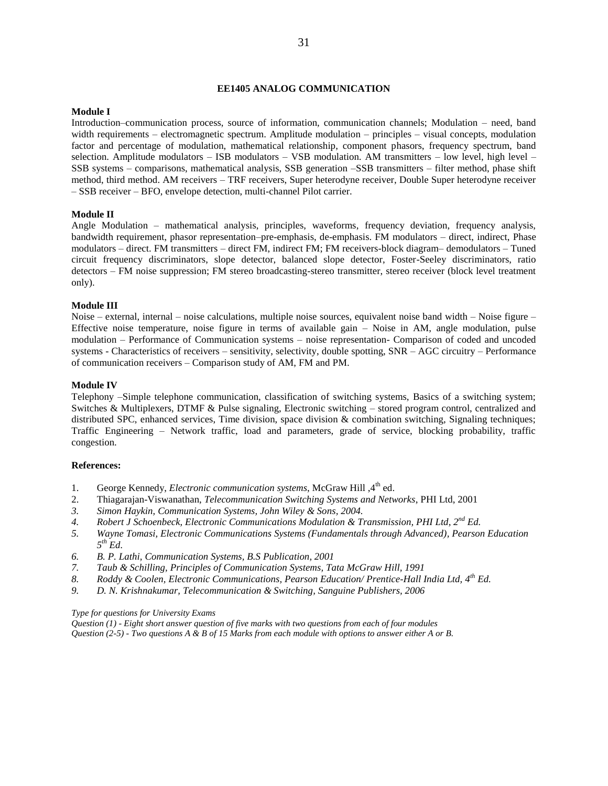#### **EE1405 ANALOG COMMUNICATION**

#### **Module I**

Introduction–communication process, source of information, communication channels; Modulation – need, band width requirements – electromagnetic spectrum. Amplitude modulation – principles – visual concepts, modulation factor and percentage of modulation, mathematical relationship, component phasors, frequency spectrum, band selection. Amplitude modulators – ISB modulators – VSB modulation. AM transmitters – low level, high level – SSB systems – comparisons, mathematical analysis, SSB generation –SSB transmitters – filter method, phase shift method, third method. AM receivers – TRF receivers, Super heterodyne receiver, Double Super heterodyne receiver – SSB receiver – BFO, envelope detection, multi-channel Pilot carrier.

#### **Module II**

Angle Modulation – mathematical analysis, principles, waveforms, frequency deviation, frequency analysis, bandwidth requirement, phasor representation–pre-emphasis, de-emphasis. FM modulators – direct, indirect, Phase modulators – direct. FM transmitters – direct FM, indirect FM; FM receivers-block diagram– demodulators – Tuned circuit frequency discriminators, slope detector, balanced slope detector, Foster-Seeley discriminators, ratio detectors – FM noise suppression; FM stereo broadcasting-stereo transmitter, stereo receiver (block level treatment only).

### **Module III**

Noise – external, internal – noise calculations, multiple noise sources, equivalent noise band width – Noise figure – Effective noise temperature, noise figure in terms of available gain – Noise in AM, angle modulation, pulse modulation – Performance of Communication systems – noise representation- Comparison of coded and uncoded systems - Characteristics of receivers – sensitivity, selectivity, double spotting, SNR – AGC circuitry – Performance of communication receivers – Comparison study of AM, FM and PM.

#### **Module IV**

Telephony –Simple telephone communication, classification of switching systems, Basics of a switching system; Switches & Multiplexers, DTMF & Pulse signaling, Electronic switching – stored program control, centralized and distributed SPC, enhanced services, Time division, space division & combination switching, Signaling techniques; Traffic Engineering – Network traffic, load and parameters, grade of service, blocking probability, traffic congestion.

#### **References:**

- 1. George Kennedy, *Electronic communication systems*, McGraw Hill,  $4<sup>th</sup>$  ed.
- 2. Thiagarajan-Viswanathan, *Telecommunication Switching Systems and Networks*, PHI Ltd, 2001
- *3. Simon Haykin, Communication Systems, John Wiley & Sons, 2004.*
- *4. Robert J Schoenbeck, Electronic Communications Modulation & Transmission, PHI Ltd, 2nd Ed.*
- *5. Wayne Tomasi, Electronic Communications Systems (Fundamentals through Advanced), Pearson Education 5 th Ed.*
- *6. B. P. Lathi, Communication Systems, B.S Publication, 2001*
- *7. Taub & Schilling, Principles of Communication Systems, Tata McGraw Hill, 1991*
- *8. Roddy & Coolen, Electronic Communications, Pearson Education/ Prentice-Hall India Ltd, 4 th Ed.*
- *9. D. N. Krishnakumar, Telecommunication & Switching, Sanguine Publishers, 2006*

#### *Type for questions for University Exams*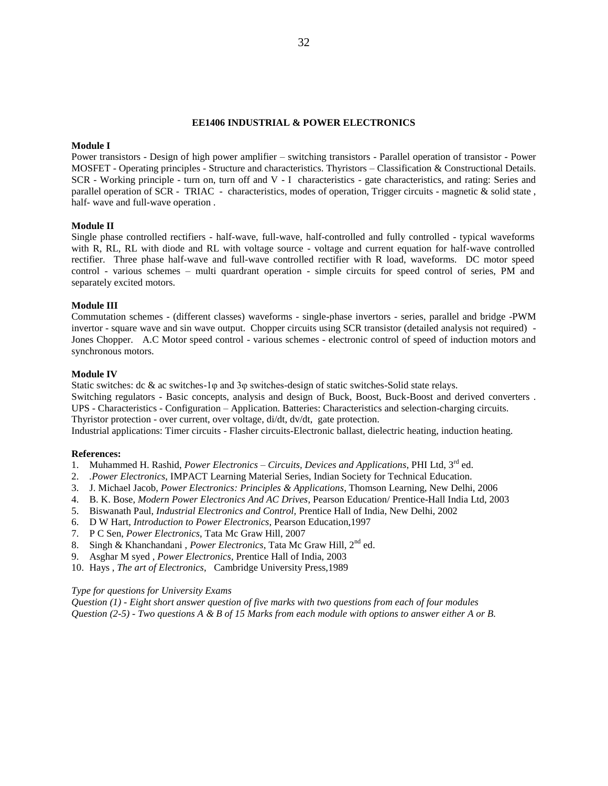#### **EE1406 INDUSTRIAL & POWER ELECTRONICS**

#### **Module I**

Power transistors - Design of high power amplifier – switching transistors - Parallel operation of transistor - Power MOSFET - Operating principles - Structure and characteristics. Thyristors – Classification & Constructional Details. SCR - Working principle - turn on, turn off and V - I characteristics - gate characteristics, and rating: Series and parallel operation of SCR - TRIAC - characteristics, modes of operation, Trigger circuits - magnetic & solid state , half- wave and full-wave operation .

#### **Module II**

Single phase controlled rectifiers - half-wave, full-wave, half-controlled and fully controlled - typical waveforms with R, RL, RL with diode and RL with voltage source - voltage and current equation for half-wave controlled rectifier. Three phase half-wave and full-wave controlled rectifier with R load, waveforms. DC motor speed control - various schemes – multi quardrant operation - simple circuits for speed control of series, PM and separately excited motors.

### **Module III**

Commutation schemes - (different classes) waveforms - single-phase invertors - series, parallel and bridge -PWM invertor - square wave and sin wave output. Chopper circuits using SCR transistor (detailed analysis not required) - Jones Chopper. A.C Motor speed control - various schemes - electronic control of speed of induction motors and synchronous motors.

#### **Module IV**

Static switches: dc & ac switches-1φ and 3φ switches-design of static switches-Solid state relays.

Switching regulators - Basic concepts, analysis and design of Buck, Boost, Buck-Boost and derived converters . UPS - Characteristics - Configuration – Application. Batteries: Characteristics and selection-charging circuits. Thyristor protection - over current, over voltage, di/dt, dv/dt, gate protection.

Industrial applications: Timer circuits - Flasher circuits-Electronic ballast, dielectric heating, induction heating.

#### **References:**

- 1. Muhammed H. Rashid, *Power Electronics – Circuits, Devices and Applications*, PHI Ltd, 3rd ed.
- 2. *.Power Electronics*, IMPACT Learning Material Series, Indian Society for Technical Education.
- 3. J. Michael Jacob, *Power Electronics: Principles & Applications*, Thomson Learning, New Delhi, 2006
- 4. B. K. Bose, *Modern Power Electronics And AC Drives*, Pearson Education/ Prentice-Hall India Ltd, 2003
- 5. Biswanath Paul, *Industrial Electronics and Control,* Prentice Hall of India, New Delhi, 2002
- 6. D W Hart, *Introduction to Power Electronics*, Pearson Education,1997
- 7. P C Sen, *Power Electronics*, Tata Mc Graw Hill, 2007
- 8. Singh & Khanchandani , *Power Electronics*, Tata Mc Graw Hill, 2nd ed.
- 9. Asghar M syed , *Power Electronics*, Prentice Hall of India, 2003
- 10. Hays , *The art of Electronics*, Cambridge University Press,1989

#### *Type for questions for University Exams*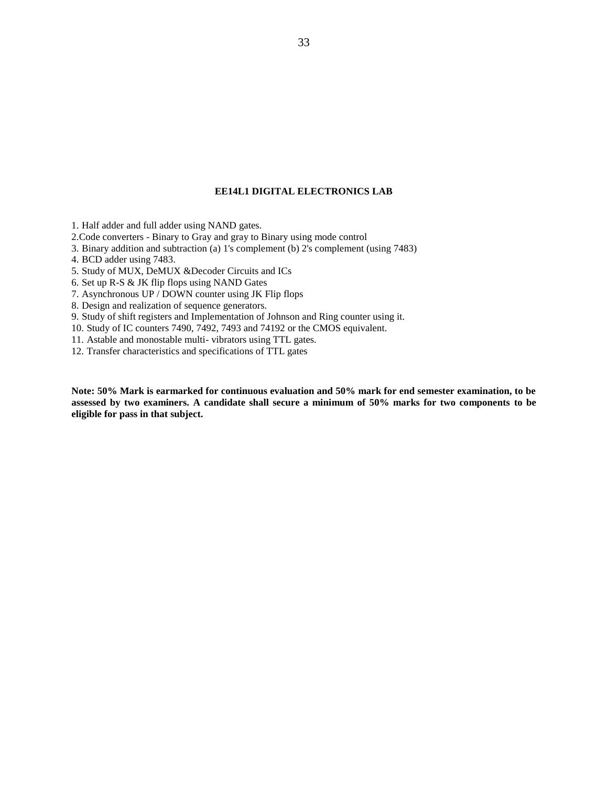# **EE14L1 DIGITAL ELECTRONICS LAB**

1. Half adder and full adder using NAND gates.

2.Code converters - Binary to Gray and gray to Binary using mode control

3. Binary addition and subtraction (a) 1's complement (b) 2's complement (using 7483)

4. BCD adder using 7483.

5. Study of MUX, DeMUX &Decoder Circuits and ICs

6. Set up R-S & JK flip flops using NAND Gates

7. Asynchronous UP / DOWN counter using JK Flip flops

8. Design and realization of sequence generators.

9. Study of shift registers and Implementation of Johnson and Ring counter using it.

10. Study of IC counters 7490, 7492, 7493 and 74192 or the CMOS equivalent.

11. Astable and monostable multi- vibrators using TTL gates.

12. Transfer characteristics and specifications of TTL gates

**Note: 50% Mark is earmarked for continuous evaluation and 50% mark for end semester examination, to be assessed by two examiners. A candidate shall secure a minimum of 50% marks for two components to be eligible for pass in that subject.**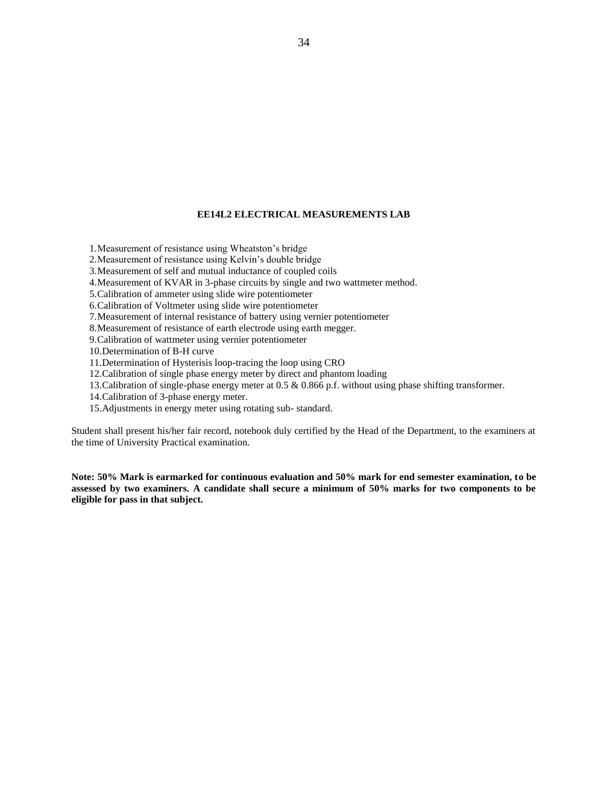### **EE14L2 ELECTRICAL MEASUREMENTS LAB**

1.Measurement of resistance using Wheatston's bridge

2.Measurement of resistance using Kelvin's double bridge

3.Measurement of self and mutual inductance of coupled coils

4.Measurement of KVAR in 3-phase circuits by single and two wattmeter method.

5.Calibration of ammeter using slide wire potentiometer

6.Calibration of Voltmeter using slide wire potentiometer

7.Measurement of internal resistance of battery using vernier potentiometer

8.Measurement of resistance of earth electrode using earth megger.

9.Calibration of wattmeter using vernier potentiometer

10.Determination of B-H curve

11.Determination of Hysterisis loop-tracing the loop using CRO

12.Calibration of single phase energy meter by direct and phantom loading

13.Calibration of single-phase energy meter at 0.5 & 0.866 p.f. without using phase shifting transformer.

14.Calibration of 3-phase energy meter.

15.Adjustments in energy meter using rotating sub- standard.

Student shall present his/her fair record, notebook duly certified by the Head of the Department, to the examiners at the time of University Practical examination.

**Note: 50% Mark is earmarked for continuous evaluation and 50% mark for end semester examination, to be assessed by two examiners. A candidate shall secure a minimum of 50% marks for two components to be eligible for pass in that subject.**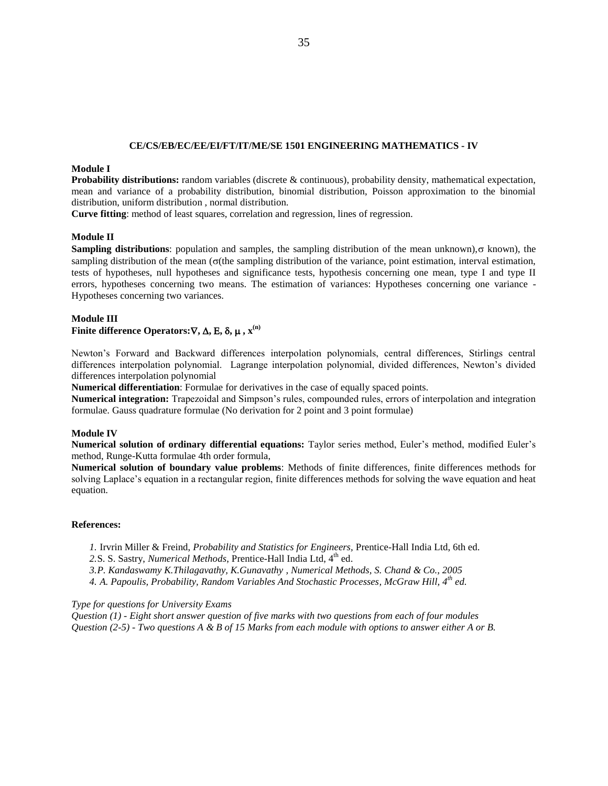## **CE/CS/EB/EC/EE/EI/FT/IT/ME/SE 1501 ENGINEERING MATHEMATICS - IV**

# **Module I**

**Probability distributions:** random variables (discrete & continuous), probability density, mathematical expectation, mean and variance of a probability distribution, binomial distribution, Poisson approximation to the binomial distribution, uniform distribution , normal distribution.

**Curve fitting**: method of least squares, correlation and regression, lines of regression.

# **Module II**

**Sampling distributions**: population and samples, the sampling distribution of the mean unknown),  $\sigma$  known), the sampling distribution of the mean ( $\sigma$ (the sampling distribution of the variance, point estimation, interval estimation, tests of hypotheses, null hypotheses and significance tests, hypothesis concerning one mean, type I and type II errors, hypotheses concerning two means. The estimation of variances: Hypotheses concerning one variance - Hypotheses concerning two variances.

# **Module III**

# **Finite difference Operators:** $\nabla$ ,  $\Delta$ ,  $E$ ,  $\delta$ ,  $\mu$ ,  $\mathbf{x}^{(n)}$

Newton's Forward and Backward differences interpolation polynomials, central differences, Stirlings central differences interpolation polynomial. Lagrange interpolation polynomial, divided differences, Newton's divided differences interpolation polynomial

**Numerical differentiation**: Formulae for derivatives in the case of equally spaced points.

**Numerical integration:** Trapezoidal and Simpson's rules, compounded rules, errors of interpolation and integration formulae. Gauss quadrature formulae (No derivation for 2 point and 3 point formulae)

#### **Module IV**

**Numerical solution of ordinary differential equations:** Taylor series method, Euler's method, modified Euler's method, Runge-Kutta formulae 4th order formula,

**Numerical solution of boundary value problems**: Methods of finite differences, finite differences methods for solving Laplace's equation in a rectangular region, finite differences methods for solving the wave equation and heat equation.

# **References:**

*1.* Irvrin Miller & Freind, *Probability and Statistics for Engineers,* Prentice-Hall India Ltd, 6th ed.

2.S. S. Sastry, *Numerical Methods*, Prentice-Hall India Ltd, 4<sup>th</sup> ed.

- *3.P. Kandaswamy K.Thilagavathy, K.Gunavathy , Numerical Methods, S. Chand & Co., 2005*
- *4. A. Papoulis, Probability, Random Variables And Stochastic Processes, McGraw Hill, 4th ed.*

#### *Type for questions for University Exams*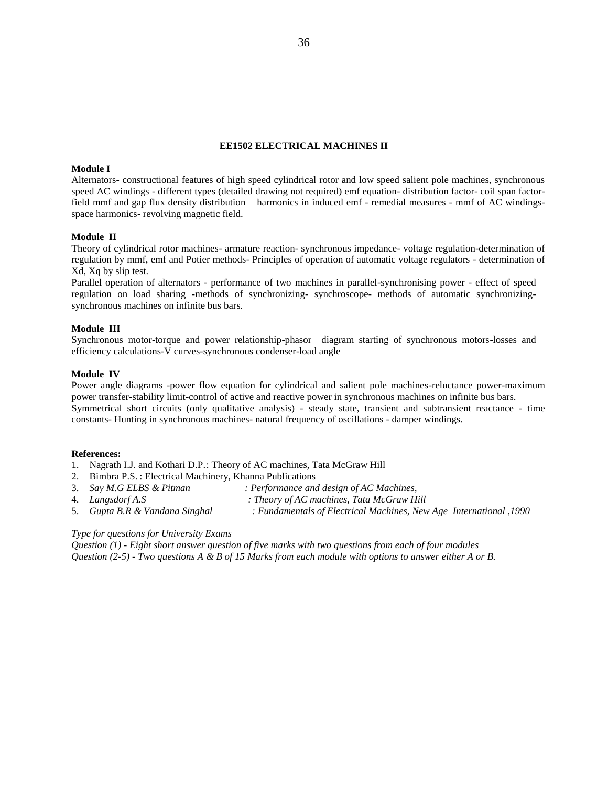#### **EE1502 ELECTRICAL MACHINES II**

#### **Module I**

Alternators- constructional features of high speed cylindrical rotor and low speed salient pole machines, synchronous speed AC windings - different types (detailed drawing not required) emf equation- distribution factor- coil span factorfield mmf and gap flux density distribution – harmonics in induced emf - remedial measures - mmf of AC windingsspace harmonics- revolving magnetic field.

#### **Module II**

Theory of cylindrical rotor machines- armature reaction- synchronous impedance- voltage regulation-determination of regulation by mmf, emf and Potier methods- Principles of operation of automatic voltage regulators - determination of Xd, Xq by slip test.

Parallel operation of alternators - performance of two machines in parallel-synchronising power - effect of speed regulation on load sharing -methods of synchronizing- synchroscope- methods of automatic synchronizingsynchronous machines on infinite bus bars.

#### **Module III**

Synchronous motor-torque and power relationship-phasor diagram starting of synchronous motors-losses and efficiency calculations-V curves-synchronous condenser-load angle

#### **Module IV**

Power angle diagrams -power flow equation for cylindrical and salient pole machines-reluctance power-maximum power transfer-stability limit-control of active and reactive power in synchronous machines on infinite bus bars. Symmetrical short circuits (only qualitative analysis) - steady state, transient and subtransient reactance - time constants- Hunting in synchronous machines- natural frequency of oscillations - damper windings.

#### **References:**

- 1. Nagrath I.J. and Kothari D.P.: Theory of AC machines, Tata McGraw Hill
- 2. Bimbra P.S. : Electrical Machinery, Khanna Publications<br>3. Say M.G ELBS & Pitman : Performance and
	- 3. *Say M.G ELBS & Pitman : Performance and design of AC Machines,*
- 
- 4. *Langsdorf A.S : Theory of AC machines, Tata McGraw Hill*
- 
- 
- 5. *Gupta B.R & Vandana Singhal : Fundamentals of Electrical Machines, New Age International ,1990*

# *Type for questions for University Exams*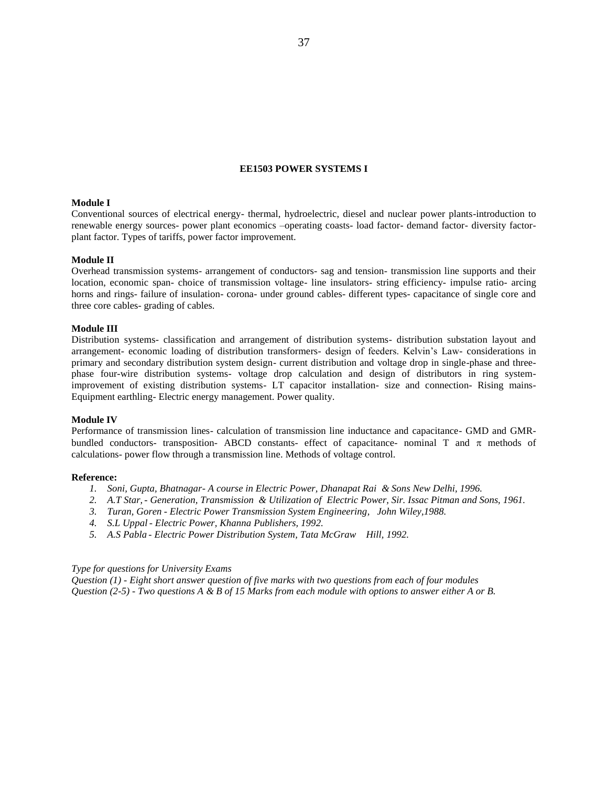## **EE1503 POWER SYSTEMS I**

### **Module I**

Conventional sources of electrical energy- thermal, hydroelectric, diesel and nuclear power plants-introduction to renewable energy sources- power plant economics –operating coasts- load factor- demand factor- diversity factorplant factor. Types of tariffs, power factor improvement.

#### **Module II**

Overhead transmission systems- arrangement of conductors- sag and tension- transmission line supports and their location, economic span- choice of transmission voltage- line insulators- string efficiency- impulse ratio- arcing horns and rings- failure of insulation- corona- under ground cables- different types- capacitance of single core and three core cables- grading of cables.

### **Module III**

Distribution systems- classification and arrangement of distribution systems- distribution substation layout and arrangement- economic loading of distribution transformers- design of feeders. Kelvin's Law- considerations in primary and secondary distribution system design- current distribution and voltage drop in single-phase and threephase four-wire distribution systems- voltage drop calculation and design of distributors in ring systemimprovement of existing distribution systems- LT capacitor installation- size and connection- Rising mains-Equipment earthling- Electric energy management. Power quality.

# **Module IV**

Performance of transmission lines- calculation of transmission line inductance and capacitance- GMD and GMRbundled conductors- transposition- ABCD constants- effect of capacitance- nominal T and  $\pi$  methods of calculations- power flow through a transmission line. Methods of voltage control.

#### **Reference:**

- *1. Soni, Gupta, Bhatnagar- A course in Electric Power, Dhanapat Rai & Sons New Delhi, 1996.*
- *2. A.T Star,- Generation, Transmission & Utilization of Electric Power, Sir. Issac Pitman and Sons, 1961.*
- *3. Turan, Goren - Electric Power Transmission System Engineering, John Wiley,1988.*
- *4. S.L Uppal - Electric Power, Khanna Publishers, 1992.*
- *5. A.S Pabla - Electric Power Distribution System, Tata McGraw Hill, 1992.*

### *Type for questions for University Exams*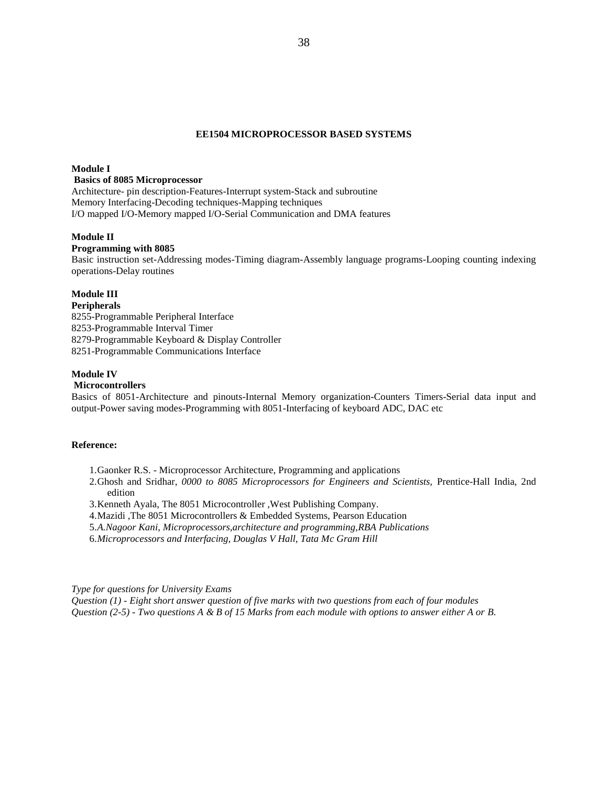# **EE1504 MICROPROCESSOR BASED SYSTEMS**

### **Module I**

# **Basics of 8085 Microprocessor**

Architecture- pin description-Features-Interrupt system-Stack and subroutine Memory Interfacing-Decoding techniques-Mapping techniques I/O mapped I/O-Memory mapped I/O-Serial Communication and DMA features

# **Module II**

### **Programming with 8085**

Basic instruction set-Addressing modes-Timing diagram-Assembly language programs-Looping counting indexing operations-Delay routines

# **Module III**

# **Peripherals**

8255-Programmable Peripheral Interface 8253-Programmable Interval Timer 8279-Programmable Keyboard & Display Controller 8251-Programmable Communications Interface

## **Module IV**

### **Microcontrollers**

Basics of 8051-Architecture and pinouts-Internal Memory organization-Counters Timers-Serial data input and output-Power saving modes-Programming with 8051-Interfacing of keyboard ADC, DAC etc

### **Reference:**

- 1.Gaonker R.S. Microprocessor Architecture, Programming and applications
- 2.Ghosh and Sridhar, *0000 to 8085 Microprocessors for Engineers and Scientists,* Prentice-Hall India, 2nd edition
- 3.Kenneth Ayala, The 8051 Microcontroller ,West Publishing Company.
- 4.Mazidi ,The 8051 Microcontrollers & Embedded Systems, Pearson Education
- 5.*A.Nagoor Kani, Microprocessors,architecture and programming,RBA Publications*

6.*Microprocessors and Interfacing, Douglas V Hall, Tata Mc Gram Hill* 

*Type for questions for University Exams*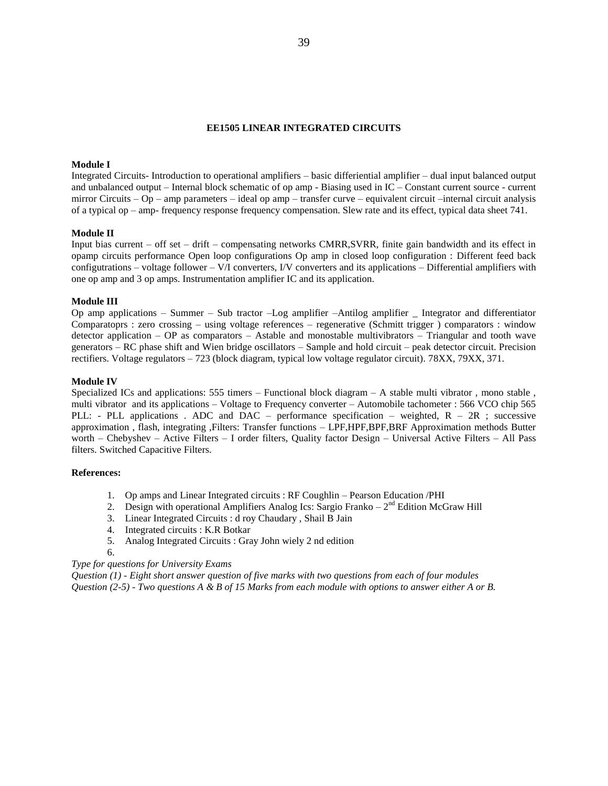### **EE1505 LINEAR INTEGRATED CIRCUITS**

### **Module I**

Integrated Circuits- Introduction to operational amplifiers – basic differiential amplifier – dual input balanced output and unbalanced output – Internal block schematic of op amp - Biasing used in IC – Constant current source - current mirror Circuits – Op – amp parameters – ideal op amp – transfer curve – equivalent circuit –internal circuit analysis of a typical op – amp- frequency response frequency compensation. Slew rate and its effect, typical data sheet 741.

### **Module II**

Input bias current – off set – drift – compensating networks CMRR,SVRR, finite gain bandwidth and its effect in opamp circuits performance Open loop configurations Op amp in closed loop configuration : Different feed back configutrations – voltage follower – V/I converters, I/V converters and its applications – Differential amplifiers with one op amp and 3 op amps. Instrumentation amplifier IC and its application.

### **Module III**

Op amp applications – Summer – Sub tractor –Log amplifier –Antilog amplifier \_ Integrator and differentiator Comparatoprs : zero crossing – using voltage references – regenerative (Schmitt trigger ) comparators : window detector application – OP as comparators – Astable and monostable multivibrators – Triangular and tooth wave generators – RC phase shift and Wien bridge oscillators – Sample and hold circuit – peak detector circuit. Precision rectifiers. Voltage regulators – 723 (block diagram, typical low voltage regulator circuit). 78XX, 79XX, 371.

### **Module IV**

Specialized ICs and applications: 555 timers – Functional block diagram – A stable multi vibrator , mono stable , multi vibrator and its applications – Voltage to Frequency converter – Automobile tachometer : 566 VCO chip 565 PLL: - PLL applications . ADC and DAC – performance specification – weighted,  $R - 2R$ ; successive approximation , flash, integrating ,Filters: Transfer functions – LPF,HPF,BPF,BRF Approximation methods Butter worth – Chebyshev – Active Filters – I order filters, Quality factor Design – Universal Active Filters – All Pass filters. Switched Capacitive Filters.

### **References:**

- 1. Op amps and Linear Integrated circuits : RF Coughlin Pearson Education /PHI
- 2. Design with operational Amplifiers Analog Ics: Sargio Franko  $-2<sup>nd</sup>$  Edition McGraw Hill
- 3. Linear Integrated Circuits : d roy Chaudary , Shail B Jain
- 4. Integrated circuits : K.R Botkar
- 5. Analog Integrated Circuits : Gray John wiely 2 nd edition
- 6.

#### *Type for questions for University Exams*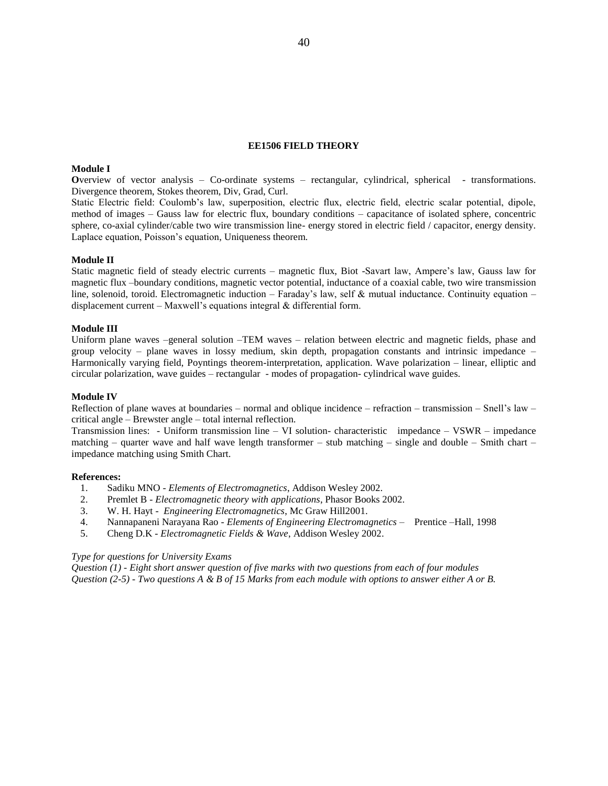# **EE1506 FIELD THEORY**

### **Module I**

**O**verview of vector analysis – Co-ordinate systems – rectangular, cylindrical, spherical - transformations. Divergence theorem, Stokes theorem, Div, Grad, Curl.

Static Electric field: Coulomb's law, superposition, electric flux, electric field, electric scalar potential, dipole, method of images – Gauss law for electric flux, boundary conditions – capacitance of isolated sphere, concentric sphere, co-axial cylinder/cable two wire transmission line- energy stored in electric field / capacitor, energy density. Laplace equation, Poisson's equation, Uniqueness theorem.

#### **Module II**

Static magnetic field of steady electric currents – magnetic flux, Biot -Savart law, Ampere's law, Gauss law for magnetic flux –boundary conditions, magnetic vector potential, inductance of a coaxial cable, two wire transmission line, solenoid, toroid. Electromagnetic induction – Faraday's law, self & mutual inductance. Continuity equation – displacement current – Maxwell's equations integral  $\&$  differential form.

# **Module III**

Uniform plane waves –general solution –TEM waves – relation between electric and magnetic fields, phase and group velocity – plane waves in lossy medium, skin depth, propagation constants and intrinsic impedance – Harmonically varying field, Poyntings theorem-interpretation, application. Wave polarization – linear, elliptic and circular polarization, wave guides – rectangular - modes of propagation- cylindrical wave guides.

#### **Module IV**

Reflection of plane waves at boundaries – normal and oblique incidence – refraction – transmission – Snell's law – critical angle – Brewster angle – total internal reflection.

Transmission lines: - Uniform transmission line – VI solution- characteristic impedance – VSWR – impedance matching – quarter wave and half wave length transformer – stub matching – single and double – Smith chart – impedance matching using Smith Chart.

#### **References:**

- 1. Sadiku MNO *Elements of Electromagnetics*, Addison Wesley 2002.
- 2. Premlet B *Electromagnetic theory with applications*, Phasor Books 2002.
- 3. W. H. Hayt *Engineering Electromagnetics*, Mc Graw Hill2001.
- 4. Nannapaneni Narayana Rao *Elements of Engineering Electromagnetics* Prentice –Hall, 1998
- 5. Cheng D.K *Electromagnetic Fields & Wave*, Addison Wesley 2002.

### *Type for questions for University Exams*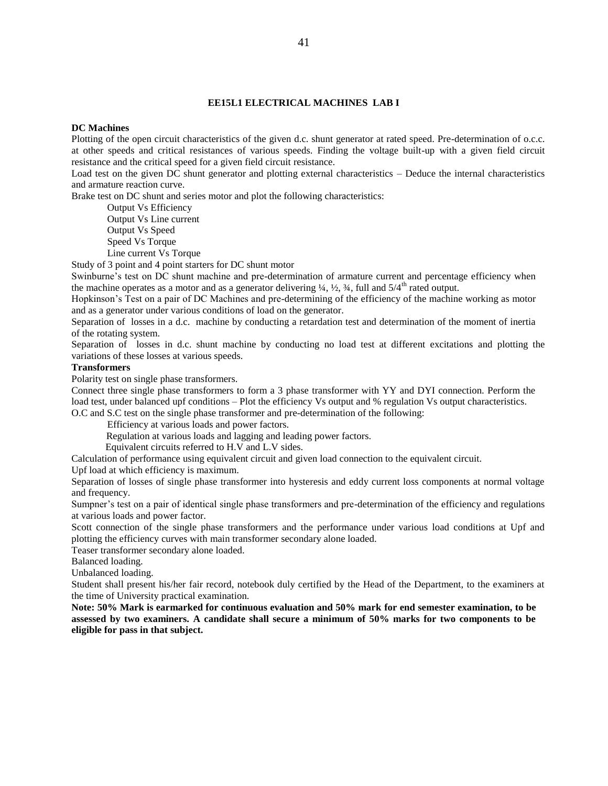### **EE15L1 ELECTRICAL MACHINES LAB I**

#### **DC Machines**

Plotting of the open circuit characteristics of the given d.c. shunt generator at rated speed. Pre-determination of o.c.c. at other speeds and critical resistances of various speeds. Finding the voltage built-up with a given field circuit resistance and the critical speed for a given field circuit resistance.

Load test on the given DC shunt generator and plotting external characteristics – Deduce the internal characteristics and armature reaction curve.

Brake test on DC shunt and series motor and plot the following characteristics:

Output Vs Efficiency

Output Vs Line current Output Vs Speed

Speed Vs Torque

Line current Vs Torque

Study of 3 point and 4 point starters for DC shunt motor

Swinburne's test on DC shunt machine and pre-determination of armature current and percentage efficiency when the machine operates as a motor and as a generator delivering  $\frac{1}{4}$ ,  $\frac{1}{2}$ ,  $\frac{3}{4}$ , full and  $\frac{5}{4}$ <sup>th</sup> rated output.

Hopkinson's Test on a pair of DC Machines and pre-determining of the efficiency of the machine working as motor and as a generator under various conditions of load on the generator.

Separation of losses in a d.c. machine by conducting a retardation test and determination of the moment of inertia of the rotating system.

Separation of losses in d.c. shunt machine by conducting no load test at different excitations and plotting the variations of these losses at various speeds.

# **Transformers**

Polarity test on single phase transformers.

Connect three single phase transformers to form a 3 phase transformer with YY and DYI connection. Perform the load test, under balanced upf conditions – Plot the efficiency Vs output and % regulation Vs output characteristics. O.C and S.C test on the single phase transformer and pre-determination of the following:

Efficiency at various loads and power factors.

Regulation at various loads and lagging and leading power factors.

Equivalent circuits referred to H.V and L.V sides.

Calculation of performance using equivalent circuit and given load connection to the equivalent circuit.

Upf load at which efficiency is maximum.

Separation of losses of single phase transformer into hysteresis and eddy current loss components at normal voltage and frequency.

Sumpner's test on a pair of identical single phase transformers and pre-determination of the efficiency and regulations at various loads and power factor.

Scott connection of the single phase transformers and the performance under various load conditions at Upf and plotting the efficiency curves with main transformer secondary alone loaded.

Teaser transformer secondary alone loaded.

Balanced loading.

Unbalanced loading.

Student shall present his/her fair record, notebook duly certified by the Head of the Department, to the examiners at the time of University practical examination.

**Note: 50% Mark is earmarked for continuous evaluation and 50% mark for end semester examination, to be assessed by two examiners. A candidate shall secure a minimum of 50% marks for two components to be eligible for pass in that subject.**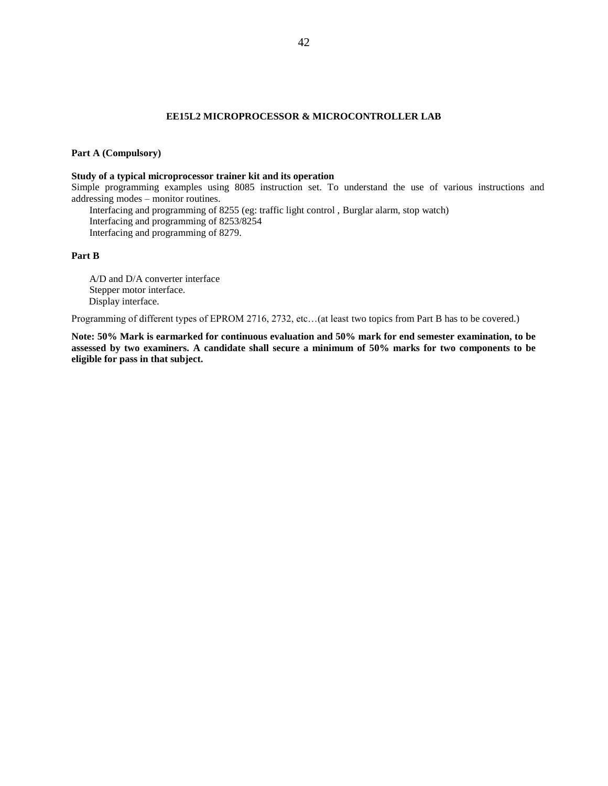# **EE15L2 MICROPROCESSOR & MICROCONTROLLER LAB**

# **Part A (Compulsory)**

### **Study of a typical microprocessor trainer kit and its operation**

Simple programming examples using 8085 instruction set. To understand the use of various instructions and addressing modes – monitor routines.

Interfacing and programming of 8255 (eg: traffic light control , Burglar alarm, stop watch) Interfacing and programming of 8253/8254 Interfacing and programming of 8279.

### **Part B**

A/D and D/A converter interface Stepper motor interface. Display interface.

Programming of different types of EPROM 2716, 2732, etc…(at least two topics from Part B has to be covered.)

**Note: 50% Mark is earmarked for continuous evaluation and 50% mark for end semester examination, to be assessed by two examiners. A candidate shall secure a minimum of 50% marks for two components to be eligible for pass in that subject.**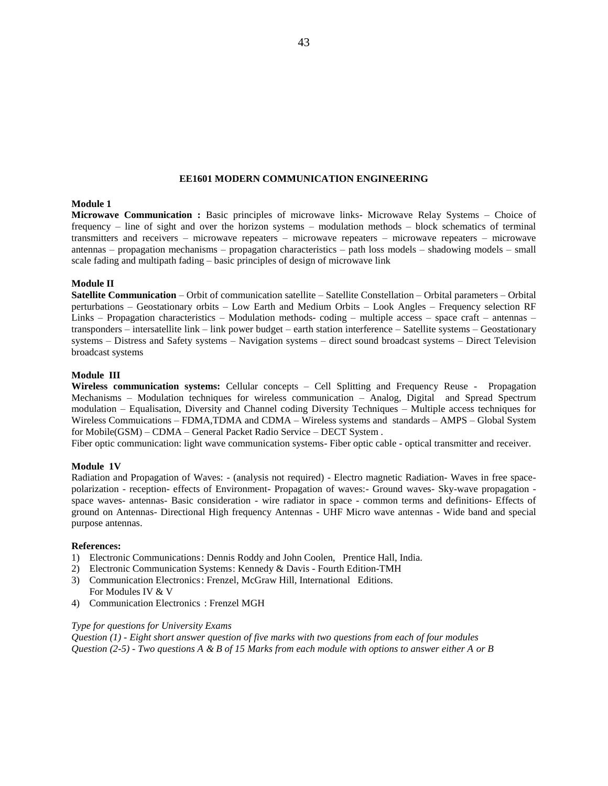### **EE1601 MODERN COMMUNICATION ENGINEERING**

### **Module 1**

**Microwave Communication :** Basic principles of microwave links- Microwave Relay Systems – Choice of frequency – line of sight and over the horizon systems – modulation methods – block schematics of terminal transmitters and receivers – microwave repeaters – microwave repeaters – microwave repeaters – microwave antennas – propagation mechanisms – propagation characteristics – path loss models – shadowing models – small scale fading and multipath fading – basic principles of design of microwave link

### **Module II**

**Satellite Communication** – Orbit of communication satellite – Satellite Constellation – Orbital parameters – Orbital perturbations – Geostationary orbits – Low Earth and Medium Orbits – Look Angles – Frequency selection RF Links – Propagation characteristics – Modulation methods- coding – multiple access – space craft – antennas – transponders – intersatellite link – link power budget – earth station interference – Satellite systems – Geostationary systems – Distress and Safety systems – Navigation systems – direct sound broadcast systems – Direct Television broadcast systems

### **Module III**

**Wireless communication systems:** Cellular concepts – Cell Splitting and Frequency Reuse - Propagation Mechanisms – Modulation techniques for wireless communication – Analog, Digital and Spread Spectrum modulation – Equalisation, Diversity and Channel coding Diversity Techniques – Multiple access techniques for Wireless Commuications – FDMA,TDMA and CDMA – Wireless systems and standards – AMPS – Global System for Mobile(GSM) – CDMA – General Packet Radio Service – DECT System .

Fiber optic communication: light wave communication systems- Fiber optic cable - optical transmitter and receiver.

#### **Module 1V**

Radiation and Propagation of Waves: - (analysis not required) - Electro magnetic Radiation- Waves in free spacepolarization - reception- effects of Environment- Propagation of waves:- Ground waves- Sky-wave propagation space waves- antennas- Basic consideration - wire radiator in space - common terms and definitions- Effects of ground on Antennas- Directional High frequency Antennas - UHF Micro wave antennas - Wide band and special purpose antennas.

#### **References:**

- 1) Electronic Communications: Dennis Roddy and John Coolen, Prentice Hall, India.
- 2) Electronic Communication Systems: Kennedy & Davis Fourth Edition-TMH 3) Communication Electronics: Frenzel, McGraw Hill, International Editions. For Modules IV & V
- 4) Communication Electronics : Frenzel MGH

#### *Type for questions for University Exams*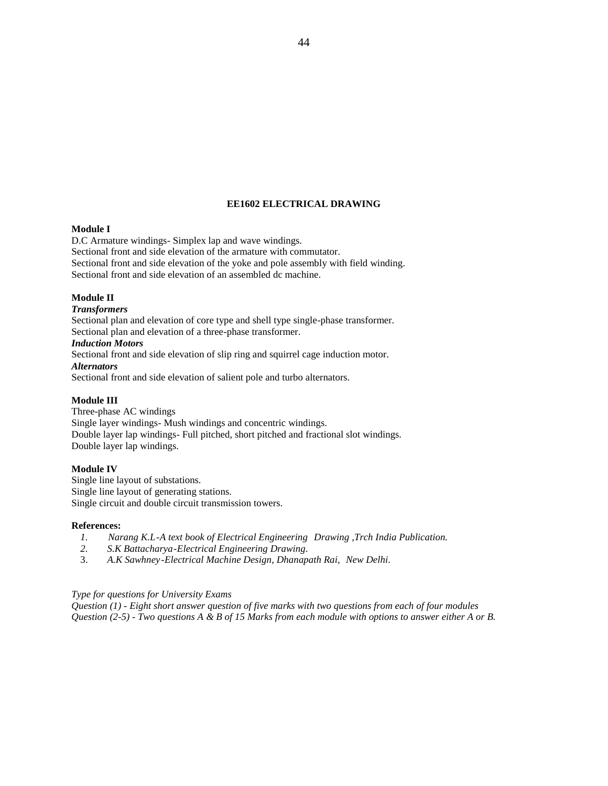# **EE1602 ELECTRICAL DRAWING**

# **Module I**

D.C Armature windings- Simplex lap and wave windings. Sectional front and side elevation of the armature with commutator. Sectional front and side elevation of the yoke and pole assembly with field winding. Sectional front and side elevation of an assembled dc machine.

# **Module II**

### *Transformers*

Sectional plan and elevation of core type and shell type single-phase transformer. Sectional plan and elevation of a three-phase transformer.

# *Induction Motors*

Sectional front and side elevation of slip ring and squirrel cage induction motor. *Alternators* Sectional front and side elevation of salient pole and turbo alternators.

### **Module III**

Three-phase AC windings Single layer windings- Mush windings and concentric windings. Double layer lap windings- Full pitched, short pitched and fractional slot windings. Double layer lap windings.

### **Module IV**

Single line layout of substations. Single line layout of generating stations. Single circuit and double circuit transmission towers.

#### **References:**

- *1. Narang K.L-A text book of Electrical Engineering Drawing ,Trch India Publication.*
- *2. S.K Battacharya-Electrical Engineering Drawing.*
- 3. *A.K Sawhney-Electrical Machine Design, Dhanapath Rai, New Delhi*.

# *Type for questions for University Exams*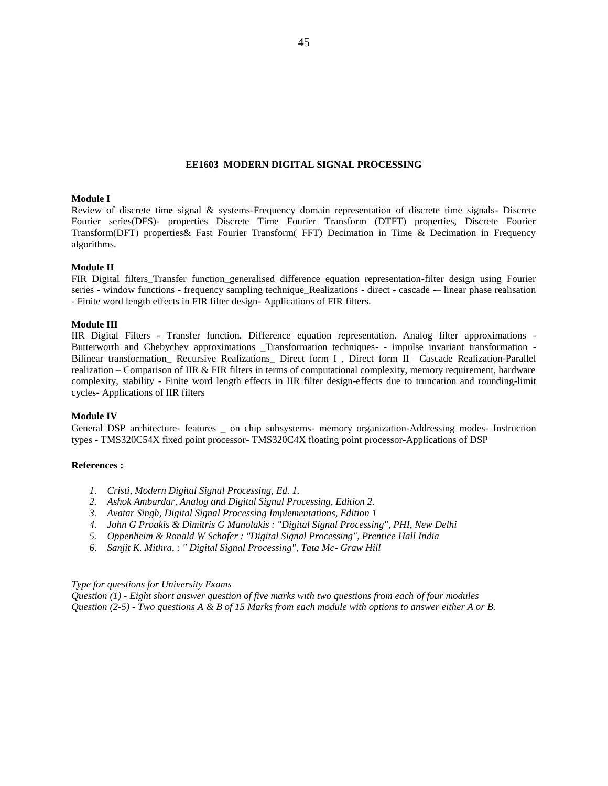#### **EE1603 MODERN DIGITAL SIGNAL PROCESSING**

### **Module I**

Review of discrete tim**e** signal & systems-Frequency domain representation of discrete time signals- Discrete Fourier series(DFS)- properties Discrete Time Fourier Transform (DTFT) properties, Discrete Fourier Transform(DFT) properties& Fast Fourier Transform( FFT) Decimation in Time & Decimation in Frequency algorithms.

# **Module II**

FIR Digital filters\_Transfer function\_generalised difference equation representation-filter design using Fourier series - window functions - frequency sampling technique\_Realizations - direct - cascade -– linear phase realisation - Finite word length effects in FIR filter design- Applications of FIR filters.

### **Module III**

IIR Digital Filters - Transfer function. Difference equation representation. Analog filter approximations - Butterworth and Chebychev approximations \_Transformation techniques- - impulse invariant transformation - Bilinear transformation Recursive Realizations Direct form I , Direct form II –Cascade Realization-Parallel realization – Comparison of IIR & FIR filters in terms of computational complexity, memory requirement, hardware complexity, stability - Finite word length effects in IIR filter design-effects due to truncation and rounding-limit cycles- Applications of IIR filters

### **Module IV**

General DSP architecture- features \_ on chip subsystems- memory organization-Addressing modes- Instruction types - TMS320C54X fixed point processor- TMS320C4X floating point processor-Applications of DSP

### **References :**

- *1. Cristi, Modern Digital Signal Processing, Ed. 1.*
- *2. Ashok Ambardar, Analog and Digital Signal Processing, Edition 2.*
- *3. Avatar Singh, Digital Signal Processing Implementations, Edition 1*
- *4. John G Proakis & Dimitris G Manolakis : "Digital Signal Processing", PHI, New Delhi*
- *5. Oppenheim & Ronald W Schafer : "Digital Signal Processing", Prentice Hall India*
- *6. Sanjit K. Mithra, : " Digital Signal Processing", Tata Mc- Graw Hill*

#### *Type for questions for University Exams*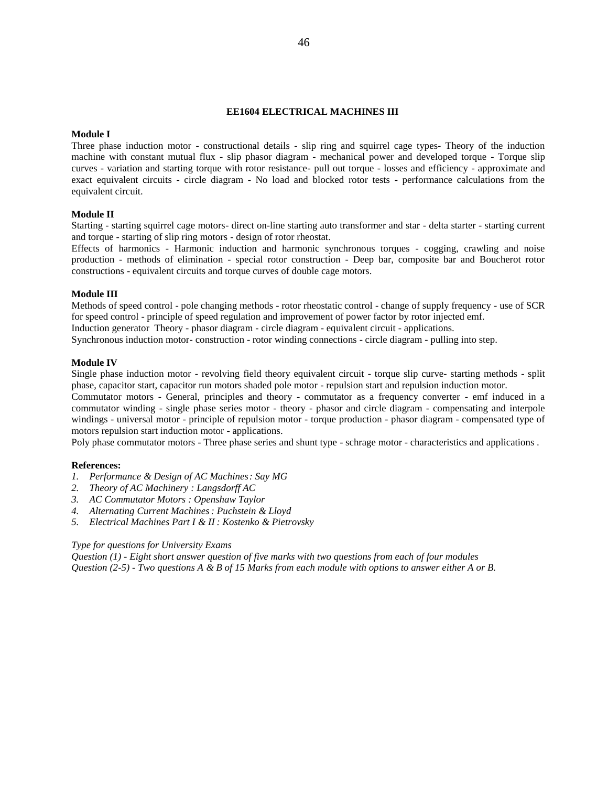# **EE1604 ELECTRICAL MACHINES III**

# **Module I**

Three phase induction motor - constructional details - slip ring and squirrel cage types- Theory of the induction machine with constant mutual flux - slip phasor diagram - mechanical power and developed torque - Torque slip curves - variation and starting torque with rotor resistance- pull out torque - losses and efficiency - approximate and exact equivalent circuits - circle diagram - No load and blocked rotor tests - performance calculations from the equivalent circuit.

### **Module II**

Starting - starting squirrel cage motors- direct on-line starting auto transformer and star - delta starter - starting current and torque - starting of slip ring motors - design of rotor rheostat.

Effects of harmonics - Harmonic induction and harmonic synchronous torques - cogging, crawling and noise production - methods of elimination - special rotor construction - Deep bar, composite bar and Boucherot rotor constructions - equivalent circuits and torque curves of double cage motors.

# **Module III**

Methods of speed control - pole changing methods - rotor rheostatic control - change of supply frequency - use of SCR for speed control - principle of speed regulation and improvement of power factor by rotor injected emf. Induction generator Theory - phasor diagram - circle diagram - equivalent circuit - applications.

Synchronous induction motor- construction - rotor winding connections - circle diagram - pulling into step.

### **Module IV**

Single phase induction motor - revolving field theory equivalent circuit - torque slip curve- starting methods - split phase, capacitor start, capacitor run motors shaded pole motor - repulsion start and repulsion induction motor.

Commutator motors - General, principles and theory - commutator as a frequency converter - emf induced in a commutator winding - single phase series motor - theory - phasor and circle diagram - compensating and interpole windings - universal motor - principle of repulsion motor - torque production - phasor diagram - compensated type of motors repulsion start induction motor - applications.

Poly phase commutator motors - Three phase series and shunt type - schrage motor - characteristics and applications .

### **References:**

- *1. Performance & Design of AC Machines: Say MG*
- *2. Theory of AC Machinery : Langsdorff AC*
- *3. AC Commutator Motors : Openshaw Taylor*
- *4. Alternating Current Machines: Puchstein & Lloyd*
- *5. Electrical Machines Part I & II : Kostenko & Pietrovsky*

### *Type for questions for University Exams*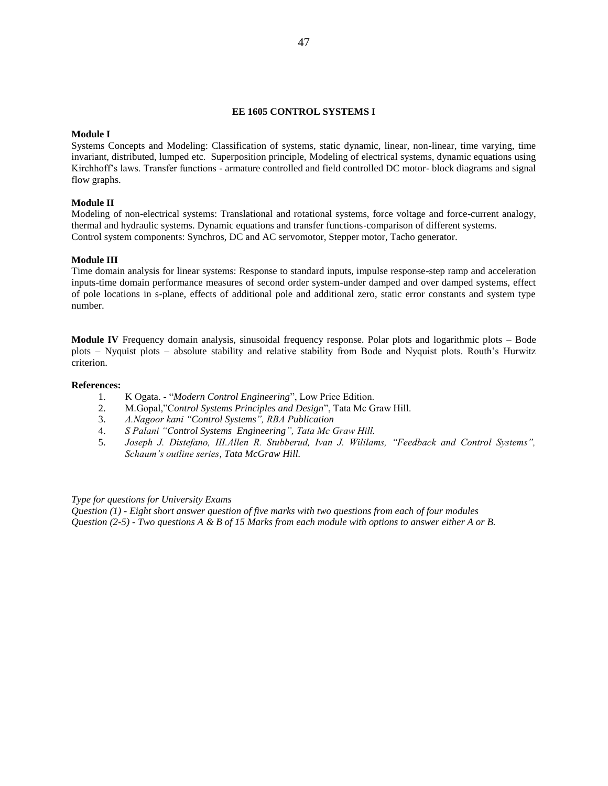# **EE 1605 CONTROL SYSTEMS I**

### **Module I**

Systems Concepts and Modeling: Classification of systems, static dynamic, linear, non-linear, time varying, time invariant, distributed, lumped etc. Superposition principle, Modeling of electrical systems, dynamic equations using Kirchhoff's laws. Transfer functions - armature controlled and field controlled DC motor- block diagrams and signal flow graphs.

# **Module II**

Modeling of non-electrical systems: Translational and rotational systems, force voltage and force-current analogy, thermal and hydraulic systems. Dynamic equations and transfer functions-comparison of different systems. Control system components: Synchros, DC and AC servomotor, Stepper motor, Tacho generator.

### **Module III**

Time domain analysis for linear systems: Response to standard inputs, impulse response-step ramp and acceleration inputs-time domain performance measures of second order system-under damped and over damped systems, effect of pole locations in s-plane, effects of additional pole and additional zero, static error constants and system type number.

**Module IV** Frequency domain analysis, sinusoidal frequency response. Polar plots and logarithmic plots – Bode plots – Nyquist plots – absolute stability and relative stability from Bode and Nyquist plots. Routh's Hurwitz criterion.

#### **References:**

- 1. K Ogata. "*Modern Control Engineering*", Low Price Edition.
- 2. M.Gopal,"C*ontrol Systems Principles and Design*", Tata Mc Graw Hill.
- 3. *A.Nagoor kani "Control Systems", RBA Publication*
- 4. *S Palani "Control Systems Engineering", Tata Mc Graw Hill.*
- 5. *Joseph J. Distefano, III.Allen R. Stubberud, Ivan J. Wililams, "Feedback and Control Systems", Schaum's outline series, Tata McGraw Hill.*

# *Type for questions for University Exams*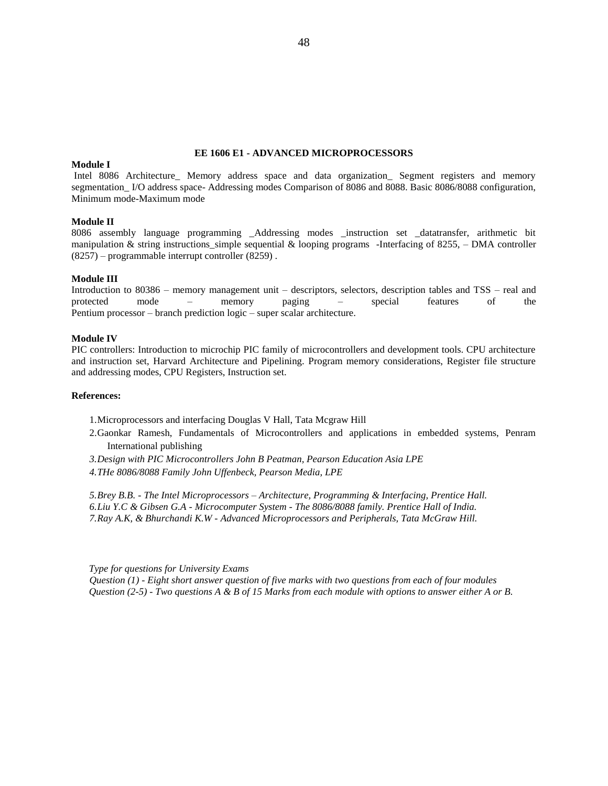### **EE 1606 E1 - ADVANCED MICROPROCESSORS**

### **Module I**

Intel 8086 Architecture\_ Memory address space and data organization\_ Segment registers and memory segmentation I/O address space- Addressing modes Comparison of 8086 and 8088. Basic 8086/8088 configuration, Minimum mode-Maximum mode

### **Module II**

8086 assembly language programming \_Addressing modes \_instruction set \_datatransfer, arithmetic bit manipulation & string instructions\_simple sequential & looping programs -Interfacing of 8255, – DMA controller (8257) – programmable interrupt controller (8259) .

### **Module III**

Introduction to 80386 – memory management unit – descriptors, selectors, description tables and TSS – real and protected mode – memory paging – special features of the Pentium processor – branch prediction logic – super scalar architecture.

# **Module IV**

PIC controllers: Introduction to microchip PIC family of microcontrollers and development tools. CPU architecture and instruction set, Harvard Architecture and Pipelining. Program memory considerations, Register file structure and addressing modes, CPU Registers, Instruction set.

### **References:**

- 1.Microprocessors and interfacing Douglas V Hall, Tata Mcgraw Hill
- 2.Gaonkar Ramesh, Fundamentals of Microcontrollers and applications in embedded systems, Penram International publishing
- *3.Design with PIC Microcontrollers John B Peatman, Pearson Education Asia LPE*
- *4.THe 8086/8088 Family John Uffenbeck, Pearson Media, LPE*

*5.Brey B.B. - The Intel Microprocessors – Architecture, Programming & Interfacing, Prentice Hall. 6.Liu Y.C & Gibsen G.A - Microcomputer System - The 8086/8088 family. Prentice Hall of India. 7.Ray A.K, & Bhurchandi K.W - Advanced Microprocessors and Peripherals, Tata McGraw Hill.*

 *Type for questions for University Exams*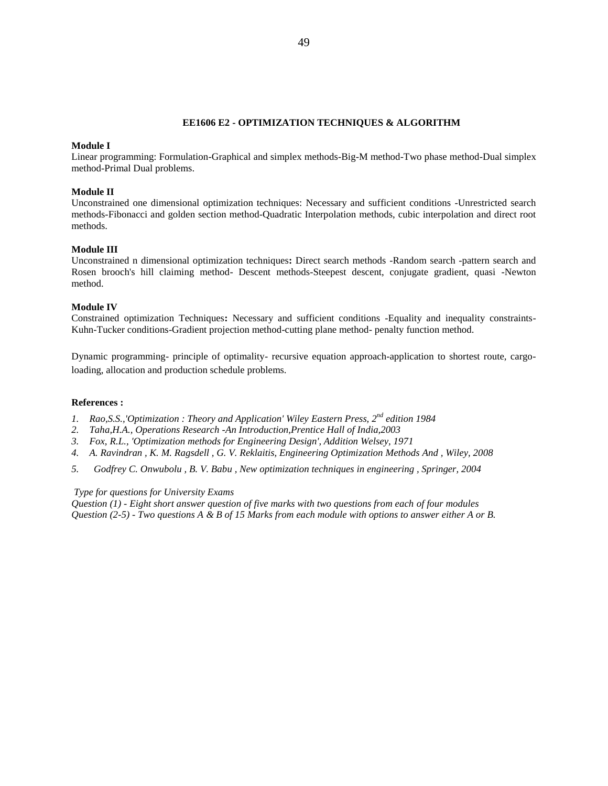### **EE1606 E2 - OPTIMIZATION TECHNIQUES & ALGORITHM**

### **Module I**

Linear programming: Formulation-Graphical and simplex methods-Big-M method-Two phase method-Dual simplex method-Primal Dual problems.

### **Module II**

Unconstrained one dimensional optimization techniques: Necessary and sufficient conditions -Unrestricted search methods-Fibonacci and golden section method-Quadratic Interpolation methods, cubic interpolation and direct root methods.

#### **Module III**

Unconstrained n dimensional optimization techniques**:** Direct search methods -Random search -pattern search and Rosen brooch's hill claiming method- Descent methods-Steepest descent, conjugate gradient, quasi -Newton method.

### **Module IV**

Constrained optimization Techniques**:** Necessary and sufficient conditions -Equality and inequality constraints-Kuhn-Tucker conditions-Gradient projection method-cutting plane method- penalty function method.

Dynamic programming- principle of optimality- recursive equation approach-application to shortest route, cargoloading, allocation and production schedule problems.

#### **References :**

- *1. Rao,S.S.,'Optimization : Theory and Application' Wiley Eastern Press, 2nd edition 1984*
- *2. Taha,H.A., Operations Research -An Introduction,Prentice Hall of India,2003*
- *3. Fox, R.L., 'Optimization methods for Engineering Design', Addition Welsey, 1971*
- *4. A. Ravindran , K. M. Ragsdell , G. V. Reklaitis, Engineering Optimization Methods And , Wiley, 2008*
- *5. Godfrey C. Onwubolu , B. V. Babu , New optimization techniques in engineering , Springer, 2004*

#### *Type for questions for University Exams*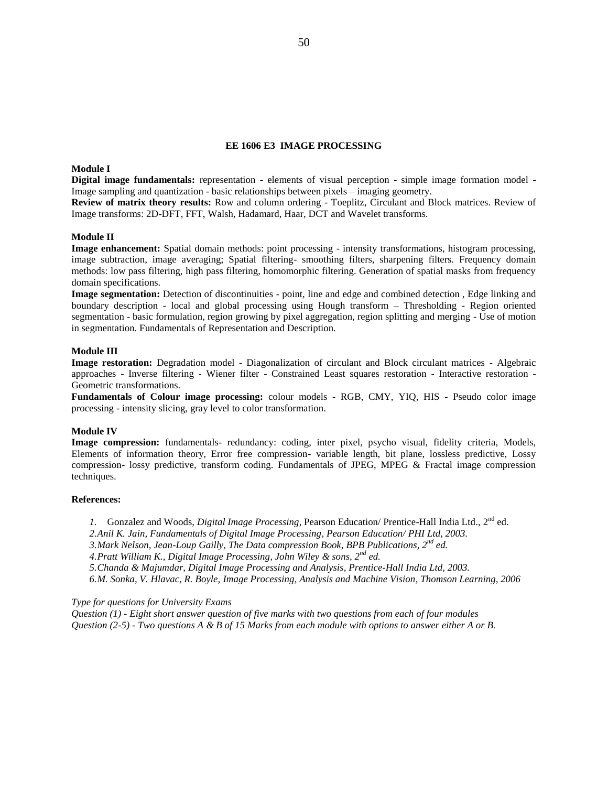### **EE 1606 E3 IMAGE PROCESSING**

# **Module I**

**Digital image fundamentals:** representation - elements of visual perception - simple image formation model - Image sampling and quantization - basic relationships between pixels – imaging geometry.

**Review of matrix theory results:** Row and column ordering - Toeplitz, Circulant and Block matrices. Review of Image transforms: 2D-DFT, FFT, Walsh, Hadamard, Haar, DCT and Wavelet transforms.

#### **Module II**

**Image enhancement:** Spatial domain methods: point processing - intensity transformations, histogram processing, image subtraction, image averaging; Spatial filtering- smoothing filters, sharpening filters. Frequency domain methods: low pass filtering, high pass filtering, homomorphic filtering. Generation of spatial masks from frequency domain specifications.

**Image segmentation:** Detection of discontinuities - point, line and edge and combined detection , Edge linking and boundary description - local and global processing using Hough transform – Thresholding - Region oriented segmentation - basic formulation, region growing by pixel aggregation, region splitting and merging - Use of motion in segmentation. Fundamentals of Representation and Description.

#### **Module III**

**Image restoration:** Degradation model - Diagonalization of circulant and Block circulant matrices - Algebraic approaches - Inverse filtering - Wiener filter - Constrained Least squares restoration - Interactive restoration - Geometric transformations.

**Fundamentals of Colour image processing:** colour models - RGB, CMY, YIQ, HIS - Pseudo color image processing - intensity slicing, gray level to color transformation.

### **Module IV**

**Image compression:** fundamentals- redundancy: coding, inter pixel, psycho visual, fidelity criteria, Models, Elements of information theory, Error free compression- variable length, bit plane, lossless predictive, Lossy compression- lossy predictive, transform coding. Fundamentals of JPEG, MPEG & Fractal image compression techniques.

#### **References:**

*1.* Gonzalez and Woods, *Digital Image Processing*, Pearson Education/ Prentice-Hall India Ltd., 2<sup>nd</sup> ed.

- *2.Anil K. Jain, Fundamentals of Digital Image Processing, Pearson Education/ PHI Ltd, 2003.*
- *3.Mark Nelson, Jean-Loup Gailly, The Data compression Book, BPB Publications, 2nd ed.*
- *4.Pratt William K., Digital Image Processing, John Wiley & sons, 2nd ed.*

*5.Chanda & Majumdar, Digital Image Processing and Analysis, Prentice-Hall India Ltd, 2003.*

*6.M. Sonka, V. Hlavac, R. Boyle, Image Processing, Analysis and Machine Vision, Thomson Learning, 2006* 

*Type for questions for University Exams*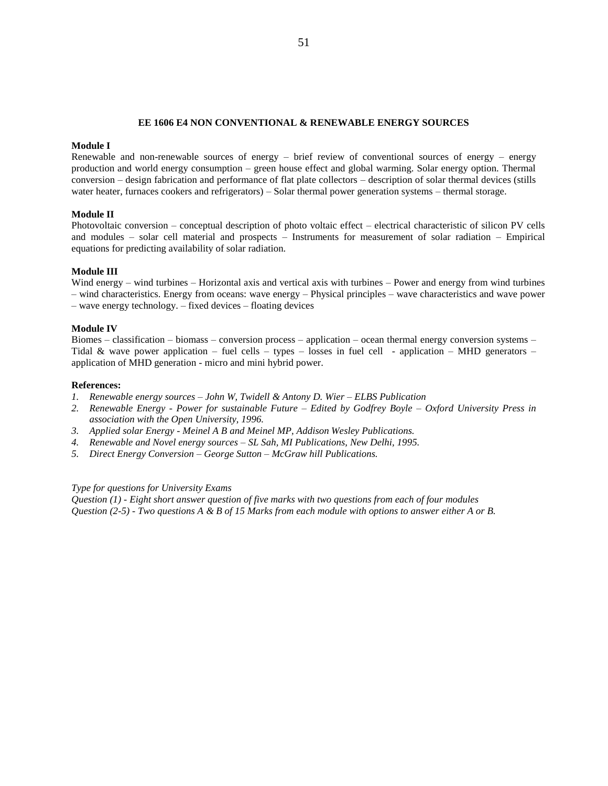### **EE 1606 E4 NON CONVENTIONAL & RENEWABLE ENERGY SOURCES**

### **Module I**

Renewable and non-renewable sources of energy – brief review of conventional sources of energy – energy production and world energy consumption – green house effect and global warming. Solar energy option. Thermal conversion – design fabrication and performance of flat plate collectors – description of solar thermal devices (stills water heater, furnaces cookers and refrigerators) – Solar thermal power generation systems – thermal storage.

### **Module II**

Photovoltaic conversion – conceptual description of photo voltaic effect – electrical characteristic of silicon PV cells and modules – solar cell material and prospects – Instruments for measurement of solar radiation – Empirical equations for predicting availability of solar radiation.

### **Module III**

Wind energy – wind turbines – Horizontal axis and vertical axis with turbines – Power and energy from wind turbines – wind characteristics. Energy from oceans: wave energy – Physical principles – wave characteristics and wave power – wave energy technology. – fixed devices – floating devices

### **Module IV**

Biomes – classification – biomass – conversion process – application – ocean thermal energy conversion systems – Tidal & wave power application – fuel cells – types – losses in fuel cell - application – MHD generators – application of MHD generation - micro and mini hybrid power.

### **References:**

- *1. Renewable energy sources – John W, Twidell & Antony D. Wier – ELBS Publication*
- *2. Renewable Energy - Power for sustainable Future – Edited by Godfrey Boyle – Oxford University Press in association with the Open University, 1996.*
- *3. Applied solar Energy - Meinel A B and Meinel MP, Addison Wesley Publications.*
- *4. Renewable and Novel energy sources – SL Sah, MI Publications, New Delhi, 1995.*
- *5. Direct Energy Conversion – George Sutton – McGraw hill Publications.*

#### *Type for questions for University Exams*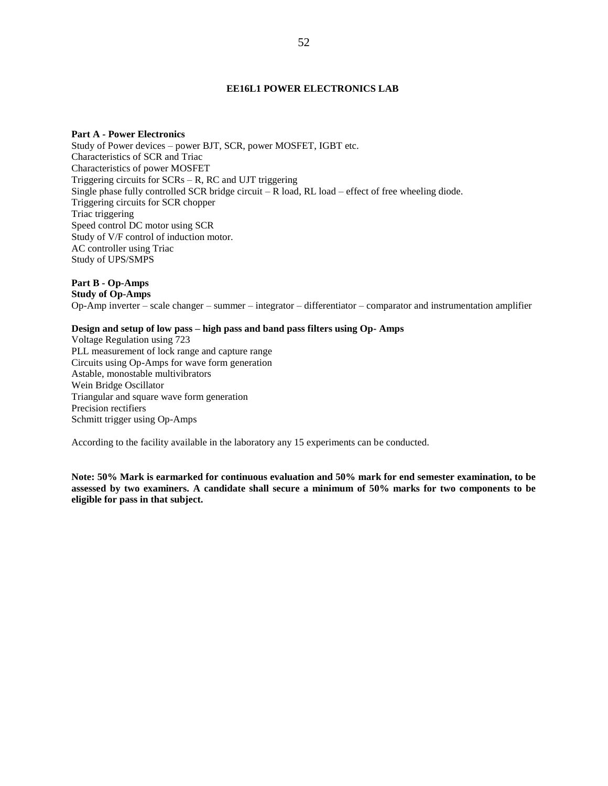### **EE16L1 POWER ELECTRONICS LAB**

# **Part A - Power Electronics**

Study of Power devices – power BJT, SCR, power MOSFET, IGBT etc. Characteristics of SCR and Triac Characteristics of power MOSFET Triggering circuits for SCRs – R, RC and UJT triggering Single phase fully controlled SCR bridge circuit  $-R$  load,  $RL$  load  $-$  effect of free wheeling diode. Triggering circuits for SCR chopper Triac triggering Speed control DC motor using SCR Study of V/F control of induction motor. AC controller using Triac Study of UPS/SMPS

# **Part B - Op-Amps**

**Study of Op-Amps**

Op-Amp inverter – scale changer – summer – integrator – differentiator – comparator and instrumentation amplifier

# **Design and setup of low pass – high pass and band pass filters using Op- Amps**

Voltage Regulation using 723 PLL measurement of lock range and capture range Circuits using Op-Amps for wave form generation Astable, monostable multivibrators Wein Bridge Oscillator Triangular and square wave form generation Precision rectifiers Schmitt trigger using Op-Amps

According to the facility available in the laboratory any 15 experiments can be conducted.

**Note: 50% Mark is earmarked for continuous evaluation and 50% mark for end semester examination, to be assessed by two examiners. A candidate shall secure a minimum of 50% marks for two components to be eligible for pass in that subject.**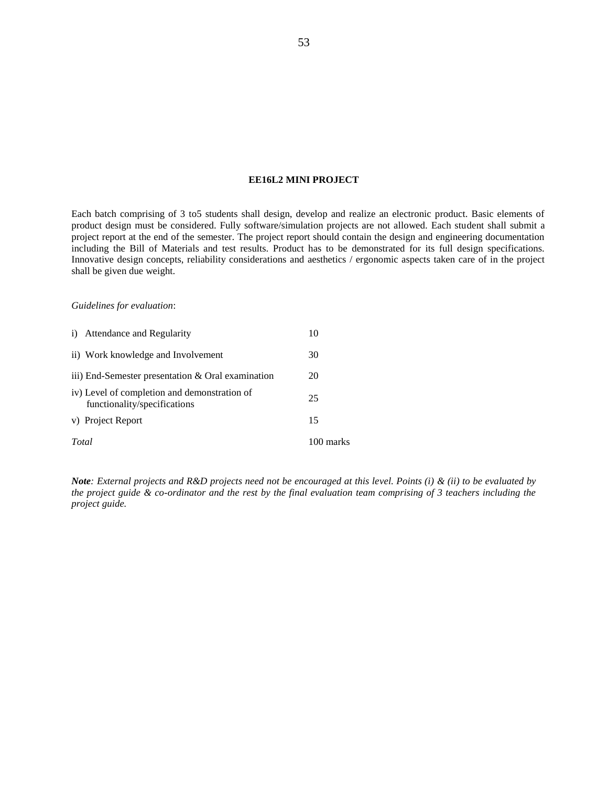# **EE16L2 MINI PROJECT**

Each batch comprising of 3 to5 students shall design, develop and realize an electronic product. Basic elements of product design must be considered. Fully software/simulation projects are not allowed. Each student shall submit a project report at the end of the semester. The project report should contain the design and engineering documentation including the Bill of Materials and test results. Product has to be demonstrated for its full design specifications. Innovative design concepts, reliability considerations and aesthetics / ergonomic aspects taken care of in the project shall be given due weight.

### *Guidelines for evaluation*:

| Total |                                                                              | 100 marks |
|-------|------------------------------------------------------------------------------|-----------|
|       | v) Project Report                                                            | 15        |
|       | iv) Level of completion and demonstration of<br>functionality/specifications | 25        |
|       | iii) End-Semester presentation & Oral examination                            | 20        |
|       | ii) Work knowledge and Involvement                                           | 30        |
|       | i) Attendance and Regularity                                                 | 10        |

*Note: External projects and R&D projects need not be encouraged at this level. Points (i) & (ii) to be evaluated by the project guide & co-ordinator and the rest by the final evaluation team comprising of 3 teachers including the project guide.*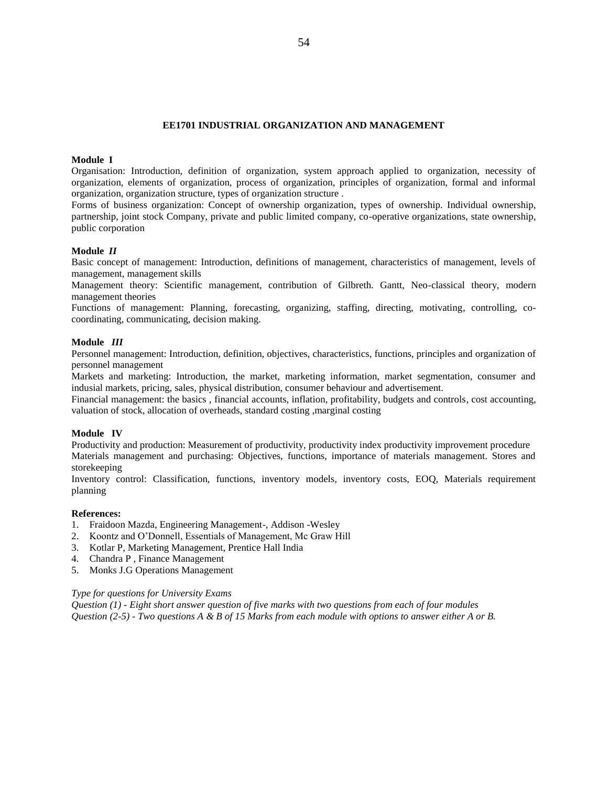# **EE1701 INDUSTRIAL ORGANIZATION AND MANAGEMENT**

### **Module I**

Organisation: Introduction, definition of organization, system approach applied to organization, necessity of organization, elements of organization, process of organization, principles of organization, formal and informal organization, organization structure, types of organization structure .

Forms of business organization: Concept of ownership organization, types of ownership. Individual ownership, partnership, joint stock Company, private and public limited company, co-operative organizations, state ownership, public corporation

### **Module** *II*

Basic concept of management: Introduction, definitions of management, characteristics of management, levels of management, management skills

Management theory: Scientific management, contribution of Gilbreth. Gantt, Neo-classical theory, modern management theories

Functions of management: Planning, forecasting, organizing, staffing, directing, motivating, controlling, cocoordinating, communicating, decision making.

### **Module** *III*

Personnel management: Introduction, definition, objectives, characteristics, functions, principles and organization of personnel management

Markets and marketing: Introduction, the market, marketing information, market segmentation, consumer and indusial markets, pricing, sales, physical distribution, consumer behaviour and advertisement.

Financial management: the basics , financial accounts, inflation, profitability, budgets and controls, cost accounting, valuation of stock, allocation of overheads, standard costing ,marginal costing

### **Module IV**

Productivity and production: Measurement of productivity, productivity index productivity improvement procedure Materials management and purchasing: Objectives, functions, importance of materials management. Stores and storekeeping

Inventory control: Classification, functions, inventory models, inventory costs, EOQ, Materials requirement planning

### **References:**

- 1. Fraidoon Mazda, Engineering Management-, Addison -Wesley
- 2. Koontz and O'Donnell, Essentials of Management, Mc Graw Hill
- 3. Kotlar P, Marketing Management, Prentice Hall India
- 4. Chandra P , Finance Management
- 5. Monks J.G Operations Management

#### *Type for questions for University Exams*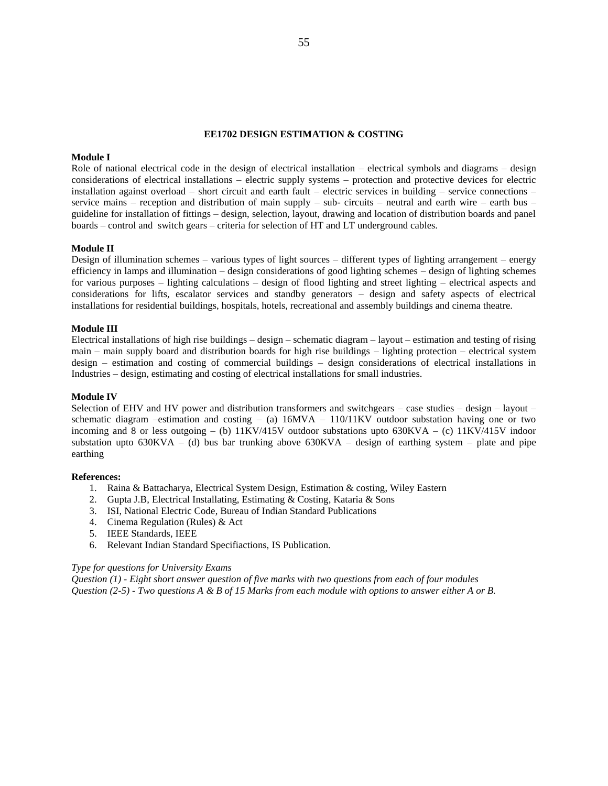#### **EE1702 DESIGN ESTIMATION & COSTING**

# **Module I**

Role of national electrical code in the design of electrical installation – electrical symbols and diagrams – design considerations of electrical installations – electric supply systems – protection and protective devices for electric installation against overload – short circuit and earth fault – electric services in building – service connections – service mains – reception and distribution of main supply – sub- circuits – neutral and earth wire – earth bus – guideline for installation of fittings – design, selection, layout, drawing and location of distribution boards and panel boards – control and switch gears – criteria for selection of HT and LT underground cables.

### **Module II**

Design of illumination schemes – various types of light sources – different types of lighting arrangement – energy efficiency in lamps and illumination – design considerations of good lighting schemes – design of lighting schemes for various purposes – lighting calculations – design of flood lighting and street lighting – electrical aspects and considerations for lifts, escalator services and standby generators – design and safety aspects of electrical installations for residential buildings, hospitals, hotels, recreational and assembly buildings and cinema theatre.

### **Module III**

Electrical installations of high rise buildings – design – schematic diagram – layout – estimation and testing of rising main – main supply board and distribution boards for high rise buildings – lighting protection – electrical system design – estimation and costing of commercial buildings – design considerations of electrical installations in Industries – design, estimating and costing of electrical installations for small industries.

# **Module IV**

Selection of EHV and HV power and distribution transformers and switchgears – case studies – design – layout – schematic diagram –estimation and costing – (a) 16MVA – 110/11KV outdoor substation having one or two incoming and 8 or less outgoing – (b)  $11KV/415V$  outdoor substations upto  $630KVA - (c) 11KV/415V$  indoor substation upto  $630KVA - (d)$  bus bar trunking above  $630KVA -$  design of earthing system – plate and pipe earthing

#### **References:**

- 1. Raina & Battacharya, Electrical System Design, Estimation & costing, Wiley Eastern
- 2. Gupta J.B, Electrical Installating, Estimating & Costing, Kataria & Sons
- 3. ISI, National Electric Code, Bureau of Indian Standard Publications
- 4. Cinema Regulation (Rules) & Act
- 5. IEEE Standards, IEEE
- 6. Relevant Indian Standard Specifiactions, IS Publication.

#### *Type for questions for University Exams*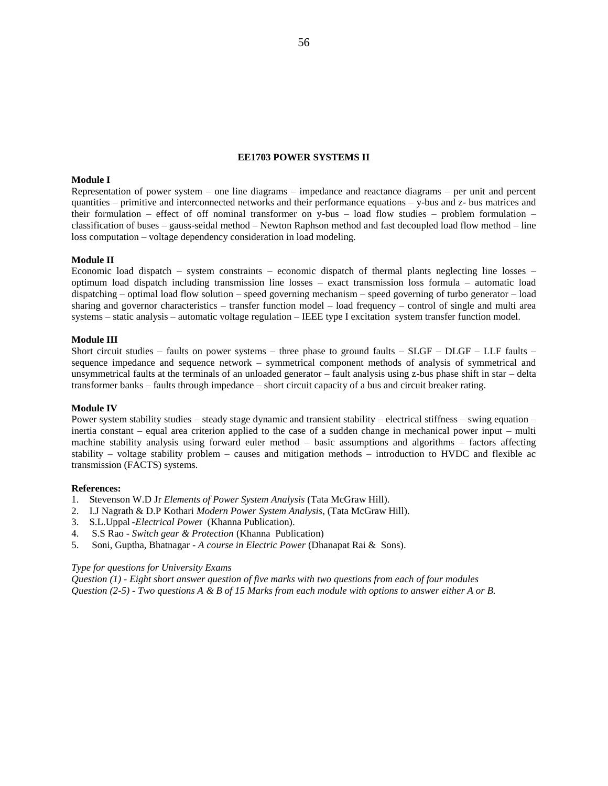## **EE1703 POWER SYSTEMS II**

# **Module I**

Representation of power system – one line diagrams – impedance and reactance diagrams – per unit and percent quantities – primitive and interconnected networks and their performance equations – y-bus and z- bus matrices and their formulation – effect of off nominal transformer on y-bus – load flow studies – problem formulation – classification of buses – gauss-seidal method – Newton Raphson method and fast decoupled load flow method – line loss computation – voltage dependency consideration in load modeling.

#### **Module II**

Economic load dispatch – system constraints – economic dispatch of thermal plants neglecting line losses – optimum load dispatch including transmission line losses – exact transmission loss formula – automatic load dispatching – optimal load flow solution – speed governing mechanism – speed governing of turbo generator – load sharing and governor characteristics – transfer function model – load frequency – control of single and multi area systems – static analysis – automatic voltage regulation – IEEE type I excitation system transfer function model.

#### **Module III**

Short circuit studies – faults on power systems – three phase to ground faults –  $SLGF - DLGF - LLF$  faults – sequence impedance and sequence network – symmetrical component methods of analysis of symmetrical and unsymmetrical faults at the terminals of an unloaded generator – fault analysis using z-bus phase shift in star – delta transformer banks – faults through impedance – short circuit capacity of a bus and circuit breaker rating.

### **Module IV**

Power system stability studies – steady stage dynamic and transient stability – electrical stiffness – swing equation – inertia constant – equal area criterion applied to the case of a sudden change in mechanical power input – multi machine stability analysis using forward euler method – basic assumptions and algorithms – factors affecting stability – voltage stability problem – causes and mitigation methods – introduction to HVDC and flexible ac transmission (FACTS) systems.

#### **References:**

- 1. Stevenson W.D Jr *Elements of Power System Analysis* (Tata McGraw Hill).
- 2. I.J Nagrath & D.P Kothari *Modern Power System Analysis*, (Tata McGraw Hill).
- 3. S.L.Uppal -*Electrical Powe*r (Khanna Publication).
- 4. S.S Rao *Switch gear & Protection* (Khanna Publication)
- 5. Soni, Guptha, Bhatnagar *A course in Electric Power* (Dhanapat Rai & Sons).

### *Type for questions for University Exams*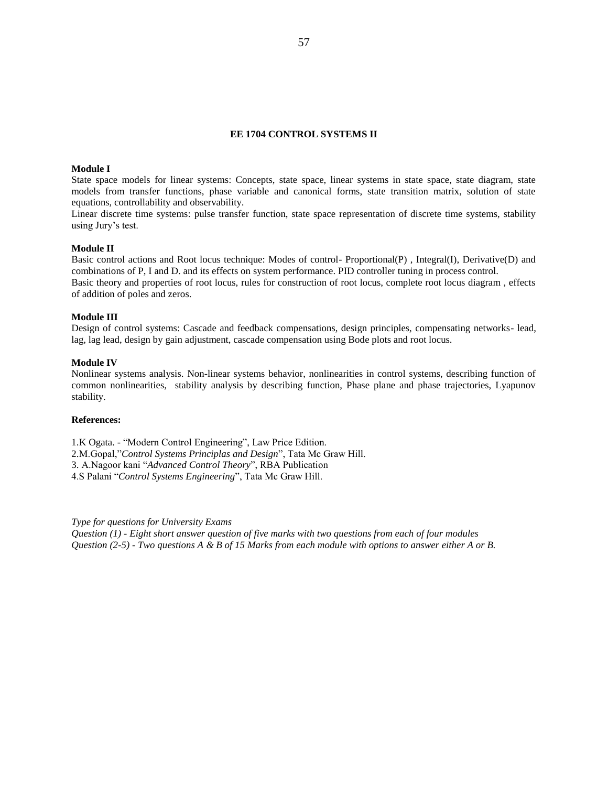# **EE 1704 CONTROL SYSTEMS II**

### **Module I**

State space models for linear systems: Concepts, state space, linear systems in state space, state diagram, state models from transfer functions, phase variable and canonical forms, state transition matrix, solution of state equations, controllability and observability.

Linear discrete time systems: pulse transfer function, state space representation of discrete time systems, stability using Jury's test.

### **Module II**

Basic control actions and Root locus technique: Modes of control- Proportional(P) , Integral(I), Derivative(D) and combinations of P, I and D. and its effects on system performance. PID controller tuning in process control. Basic theory and properties of root locus, rules for construction of root locus, complete root locus diagram , effects of addition of poles and zeros.

### **Module III**

Design of control systems: Cascade and feedback compensations, design principles, compensating networks- lead, lag, lag lead, design by gain adjustment, cascade compensation using Bode plots and root locus.

# **Module IV**

Nonlinear systems analysis. Non-linear systems behavior, nonlinearities in control systems, describing function of common nonlinearities, stability analysis by describing function, Phase plane and phase trajectories, Lyapunov stability.

# **References:**

1.K Ogata. - "Modern Control Engineering", Law Price Edition. 2.M.Gopal,"*Control Systems Principlas and Design*", Tata Mc Graw Hill. 3. A.Nagoor kani "*Advanced Control Theory*", RBA Publication 4.S Palani "*Control Systems Engineering*", Tata Mc Graw Hill.

*Type for questions for University Exams*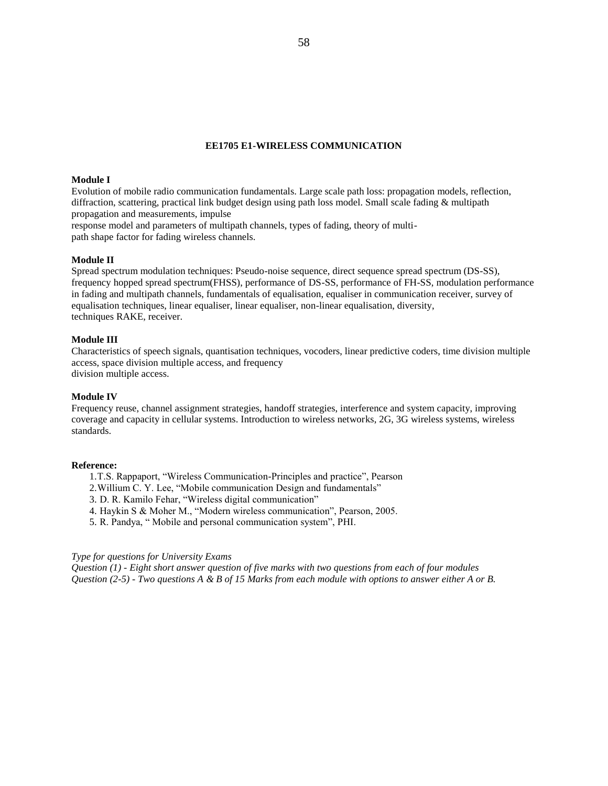#### **EE1705 E1-WIRELESS COMMUNICATION**

# **Module I**

Evolution of mobile radio communication fundamentals. Large scale path loss: propagation models, reflection, diffraction, scattering, practical link budget design using path loss model. Small scale fading & multipath propagation and measurements, impulse

response model and parameters of multipath channels, types of fading, theory of multipath shape factor for fading wireless channels.

# **Module II**

Spread spectrum modulation techniques: Pseudo-noise sequence, direct sequence spread spectrum (DS-SS), frequency hopped spread spectrum(FHSS), performance of DS-SS, performance of FH-SS, modulation performance in fading and multipath channels, fundamentals of equalisation, equaliser in communication receiver, survey of equalisation techniques, linear equaliser, linear equaliser, non-linear equalisation, diversity, techniques RAKE, receiver.

#### **Module III**

Characteristics of speech signals, quantisation techniques, vocoders, linear predictive coders, time division multiple access, space division multiple access, and frequency division multiple access.

#### **Module IV**

Frequency reuse, channel assignment strategies, handoff strategies, interference and system capacity, improving coverage and capacity in cellular systems. Introduction to wireless networks, 2G, 3G wireless systems, wireless standards.

#### **Reference:**

- 1.T.S. Rappaport, "Wireless Communication-Principles and practice", Pearson
- 2.Willium C. Y. Lee, "Mobile communication Design and fundamentals"
- 3. D. R. Kamilo Fehar, "Wireless digital communication"
- 4. Haykin S & Moher M., "Modern wireless communication", Pearson, 2005.
- 5. R. Pandya, " Mobile and personal communication system", PHI.

### *Type for questions for University Exams*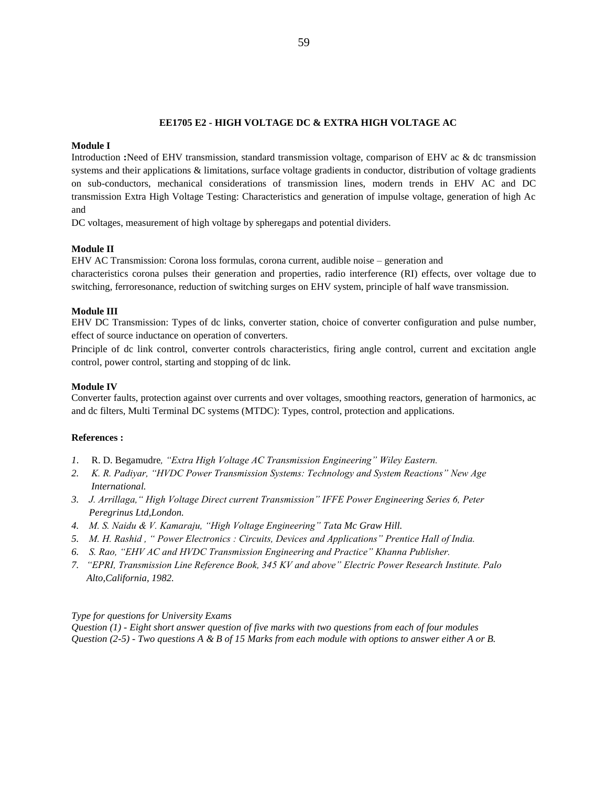# **EE1705 E2 - HIGH VOLTAGE DC & EXTRA HIGH VOLTAGE AC**

# **Module I**

Introduction **:**Need of EHV transmission, standard transmission voltage, comparison of EHV ac & dc transmission systems and their applications & limitations, surface voltage gradients in conductor, distribution of voltage gradients on sub-conductors, mechanical considerations of transmission lines, modern trends in EHV AC and DC transmission Extra High Voltage Testing: Characteristics and generation of impulse voltage, generation of high Ac and

DC voltages, measurement of high voltage by spheregaps and potential dividers.

# **Module II**

EHV AC Transmission: Corona loss formulas, corona current, audible noise – generation and characteristics corona pulses their generation and properties, radio interference (RI) effects, over voltage due to switching, ferroresonance, reduction of switching surges on EHV system, principle of half wave transmission.

# **Module III**

EHV DC Transmission: Types of dc links, converter station, choice of converter configuration and pulse number, effect of source inductance on operation of converters.

Principle of dc link control, converter controls characteristics, firing angle control, current and excitation angle control, power control, starting and stopping of dc link.

# **Module IV**

Converter faults, protection against over currents and over voltages, smoothing reactors, generation of harmonics, ac and dc filters, Multi Terminal DC systems (MTDC): Types, control, protection and applications.

### **References :**

- *1*. R. D. Begamudre*, "Extra High Voltage AC Transmission Engineering" Wiley Eastern.*
- *2. K. R. Padiyar, "HVDC Power Transmission Systems: Technology and System Reactions" New Age International.*
- *3. J. Arrillaga," High Voltage Direct current Transmission" IFFE Power Engineering Series 6, Peter Peregrinus Ltd,London.*
- *4. M. S. Naidu & V. Kamaraju, "High Voltage Engineering" Tata Mc Graw Hill.*
- *5. M. H. Rashid , " Power Electronics : Circuits, Devices and Applications" Prentice Hall of India.*
- *6. S. Rao, "EHV AC and HVDC Transmission Engineering and Practice" Khanna Publisher.*
- *7. "EPRI, Transmission Line Reference Book, 345 KV and above" Electric Power Research Institute. Palo Alto,California, 1982.*

### *Type for questions for University Exams*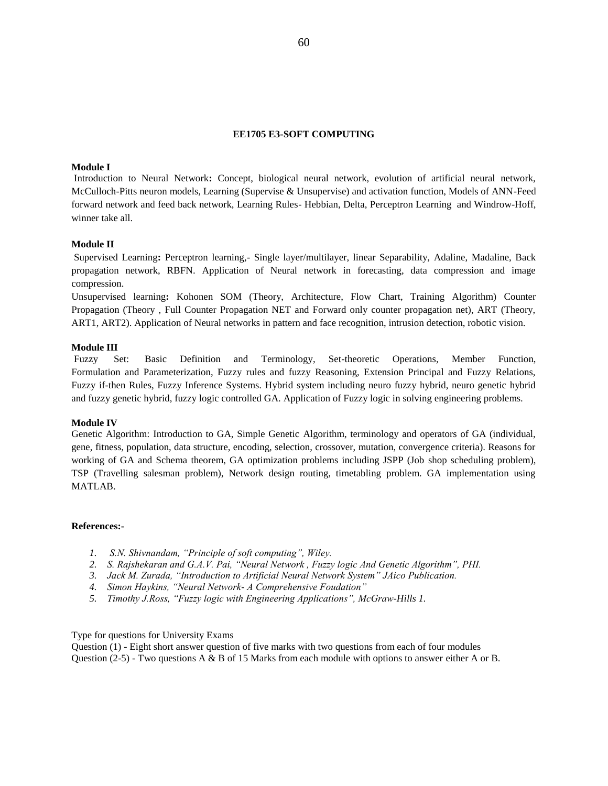# **EE1705 E3-SOFT COMPUTING**

### **Module I**

Introduction to Neural Network**:** Concept, biological neural network, evolution of artificial neural network, McCulloch-Pitts neuron models, Learning (Supervise & Unsupervise) and activation function, Models of ANN-Feed forward network and feed back network, Learning Rules- Hebbian, Delta, Perceptron Learning and Windrow-Hoff, winner take all.

# **Module II**

Supervised Learning**:** Perceptron learning,- Single layer/multilayer, linear Separability, Adaline, Madaline, Back propagation network, RBFN. Application of Neural network in forecasting, data compression and image compression.

Unsupervised learning**:** Kohonen SOM (Theory, Architecture, Flow Chart, Training Algorithm) Counter Propagation (Theory , Full Counter Propagation NET and Forward only counter propagation net), ART (Theory, ART1, ART2). Application of Neural networks in pattern and face recognition, intrusion detection, robotic vision.

### **Module III**

Fuzzy Set: Basic Definition and Terminology, Set-theoretic Operations, Member Function, Formulation and Parameterization, Fuzzy rules and fuzzy Reasoning, Extension Principal and Fuzzy Relations, Fuzzy if-then Rules, Fuzzy Inference Systems. Hybrid system including neuro fuzzy hybrid, neuro genetic hybrid and fuzzy genetic hybrid, fuzzy logic controlled GA. Application of Fuzzy logic in solving engineering problems.

### **Module IV**

Genetic Algorithm: Introduction to GA, Simple Genetic Algorithm, terminology and operators of GA (individual, gene, fitness, population, data structure, encoding, selection, crossover, mutation, convergence criteria). Reasons for working of GA and Schema theorem, GA optimization problems including JSPP (Job shop scheduling problem), TSP (Travelling salesman problem), Network design routing, timetabling problem. GA implementation using MATLAB.

### **References:-**

- *1. S.N. Shivnandam, "Principle of soft computing", Wiley.*
- *2. S. Rajshekaran and G.A.V. Pai, "Neural Network , Fuzzy logic And Genetic Algorithm", PHI.*
- *3. Jack M. Zurada, "Introduction to Artificial Neural Network System" JAico Publication.*
- *4. Simon Haykins, "Neural Network- A Comprehensive Foudation"*
- *5. Timothy J.Ross, "Fuzzy logic with Engineering Applications", McGraw-Hills 1.*

Type for questions for University Exams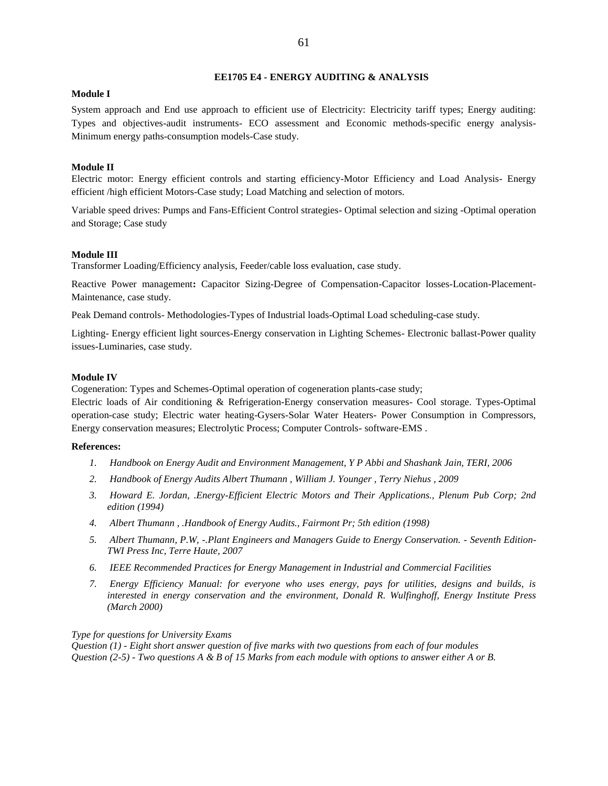# **EE1705 E4 - ENERGY AUDITING & ANALYSIS**

# **Module I**

System approach and End use approach to efficient use of Electricity: Electricity tariff types; Energy auditing: Types and objectives-audit instruments- ECO assessment and Economic methods-specific energy analysis-Minimum energy paths-consumption models-Case study.

# **Module II**

Electric motor: Energy efficient controls and starting efficiency-Motor Efficiency and Load Analysis- Energy efficient /high efficient Motors-Case study; Load Matching and selection of motors.

Variable speed drives: Pumps and Fans-Efficient Control strategies- Optimal selection and sizing -Optimal operation and Storage; Case study

# **Module III**

Transformer Loading/Efficiency analysis, Feeder/cable loss evaluation, case study.

Reactive Power management**:** Capacitor Sizing-Degree of Compensation-Capacitor losses-Location-Placement-Maintenance, case study.

Peak Demand controls- Methodologies-Types of Industrial loads-Optimal Load scheduling-case study.

Lighting- Energy efficient light sources-Energy conservation in Lighting Schemes- Electronic ballast-Power quality issues-Luminaries, case study.

### **Module IV**

Cogeneration: Types and Schemes-Optimal operation of cogeneration plants-case study;

Electric loads of Air conditioning & Refrigeration-Energy conservation measures- Cool storage. Types-Optimal operation-case study; Electric water heating-Gysers-Solar Water Heaters- Power Consumption in Compressors, Energy conservation measures; Electrolytic Process; Computer Controls- software-EMS .

# **References:**

- *1. Handbook on Energy Audit and Environment Management, Y P Abbi and Shashank Jain, TERI, 2006*
- *2. Handbook of Energy Audits Albert Thumann , William J. Younger , Terry Niehus , 2009*
- *3. Howard E. Jordan, .Energy-Efficient Electric Motors and Their Applications., Plenum Pub Corp; 2nd edition (1994)*
- *4. Albert Thumann , .Handbook of Energy Audits., Fairmont Pr; 5th edition (1998)*
- *5. Albert Thumann, P.W, -.Plant Engineers and Managers Guide to Energy Conservation. - Seventh Edition-TWI Press Inc, Terre Haute, 2007*
- *6. IEEE Recommended Practices for Energy Management in Industrial and Commercial Facilities*
- *7. Energy Efficiency Manual: for everyone who uses energy, pays for utilities, designs and builds, is interested in energy conservation and the environment, Donald R. Wulfinghoff, Energy Institute Press (March 2000)*

# *Type for questions for University Exams*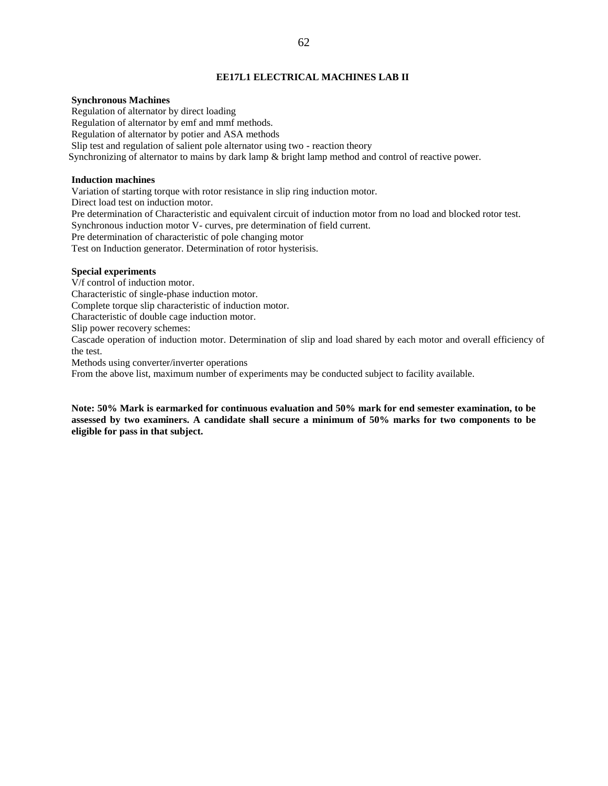# **EE17L1 ELECTRICAL MACHINES LAB II**

# **Synchronous Machines**

Regulation of alternator by direct loading Regulation of alternator by emf and mmf methods. Regulation of alternator by potier and ASA methods Slip test and regulation of salient pole alternator using two - reaction theory Synchronizing of alternator to mains by dark lamp & bright lamp method and control of reactive power.

# **Induction machines**

Variation of starting torque with rotor resistance in slip ring induction motor. Direct load test on induction motor. Pre determination of Characteristic and equivalent circuit of induction motor from no load and blocked rotor test. Synchronous induction motor V- curves, pre determination of field current. Pre determination of characteristic of pole changing motor Test on Induction generator. Determination of rotor hysterisis.

### **Special experiments**

V/f control of induction motor.

Characteristic of single-phase induction motor.

Complete torque slip characteristic of induction motor.

Characteristic of double cage induction motor.

Slip power recovery schemes:

Cascade operation of induction motor. Determination of slip and load shared by each motor and overall efficiency of the test.

Methods using converter/inverter operations

From the above list, maximum number of experiments may be conducted subject to facility available.

**Note: 50% Mark is earmarked for continuous evaluation and 50% mark for end semester examination, to be assessed by two examiners. A candidate shall secure a minimum of 50% marks for two components to be eligible for pass in that subject.**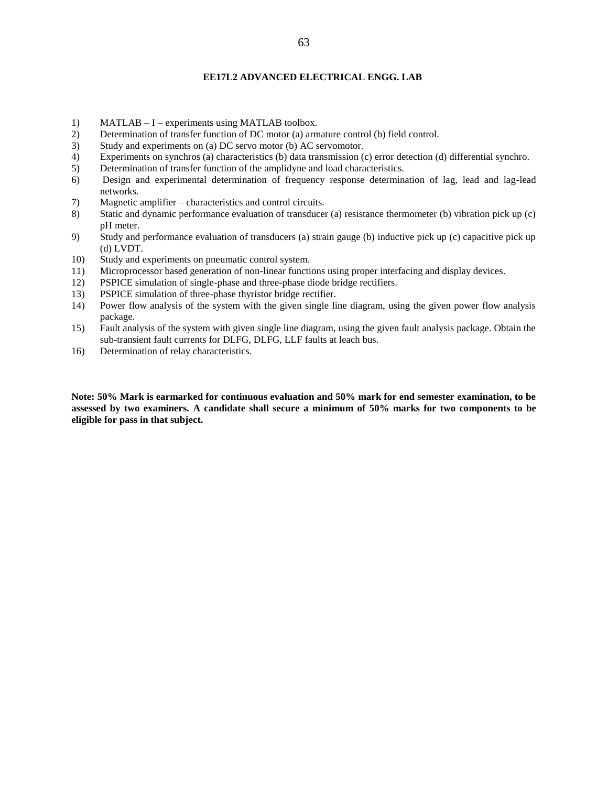# **EE17L2 ADVANCED ELECTRICAL ENGG. LAB**

- 1) MATLAB I experiments using MATLAB toolbox.
- 2) Determination of transfer function of DC motor (a) armature control (b) field control.
- 3) Study and experiments on (a) DC servo motor (b) AC servomotor.
- 4) Experiments on synchros (a) characteristics (b) data transmission (c) error detection (d) differential synchro.
- 5) Determination of transfer function of the amplidyne and load characteristics.
- 6) Design and experimental determination of frequency response determination of lag, lead and lag-lead networks.
- 7) Magnetic amplifier characteristics and control circuits.
- 8) Static and dynamic performance evaluation of transducer (a) resistance thermometer (b) vibration pick up (c) pH meter.
- 9) Study and performance evaluation of transducers (a) strain gauge (b) inductive pick up (c) capacitive pick up (d) LVDT.
- 10) Study and experiments on pneumatic control system.
- 11) Microprocessor based generation of non-linear functions using proper interfacing and display devices.
- 12) PSPICE simulation of single-phase and three-phase diode bridge rectifiers.
- 13) PSPICE simulation of three-phase thyristor bridge rectifier.
- 14) Power flow analysis of the system with the given single line diagram, using the given power flow analysis package.
- 15) Fault analysis of the system with given single line diagram, using the given fault analysis package. Obtain the sub-transient fault currents for DLFG, DLFG, LLF faults at leach bus.
- 16) Determination of relay characteristics.

**Note: 50% Mark is earmarked for continuous evaluation and 50% mark for end semester examination, to be assessed by two examiners. A candidate shall secure a minimum of 50% marks for two components to be eligible for pass in that subject.**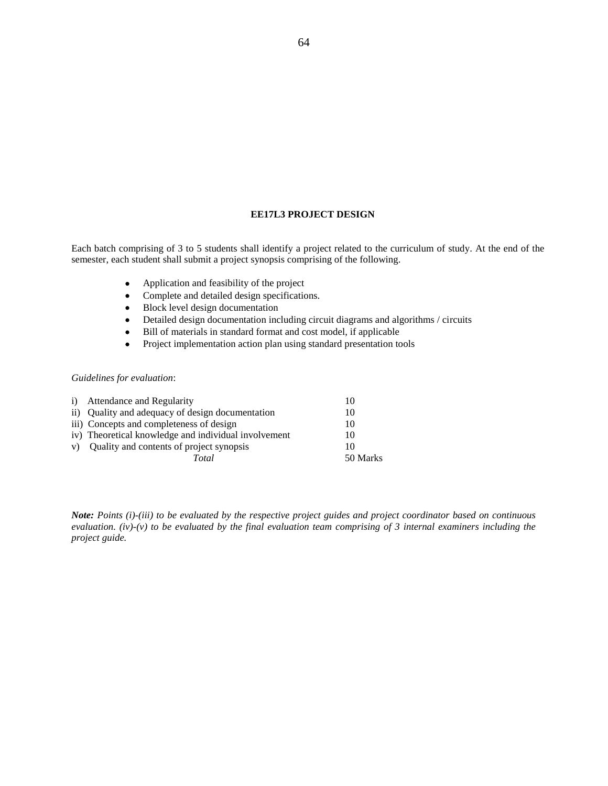# **EE17L3 PROJECT DESIGN**

Each batch comprising of 3 to 5 students shall identify a project related to the curriculum of study. At the end of the semester, each student shall submit a project synopsis comprising of the following.

- Application and feasibility of the project
- Complete and detailed design specifications.
- Block level design documentation
- Detailed design documentation including circuit diagrams and algorithms / circuits
- Bill of materials in standard format and cost model, if applicable
- Project implementation action plan using standard presentation tools

# *Guidelines for evaluation*:

| i) Attendance and Regularity                         | 10       |
|------------------------------------------------------|----------|
| ii) Quality and adequacy of design documentation     | 10       |
| iii) Concepts and completeness of design             | 10       |
| iv) Theoretical knowledge and individual involvement | 10       |
| v) Quality and contents of project synopsis          | 10       |
| Total                                                | 50 Marks |

*Note: Points (i)-(iii) to be evaluated by the respective project guides and project coordinator based on continuous evaluation. (iv)-(v) to be evaluated by the final evaluation team comprising of 3 internal examiners including the project guide.*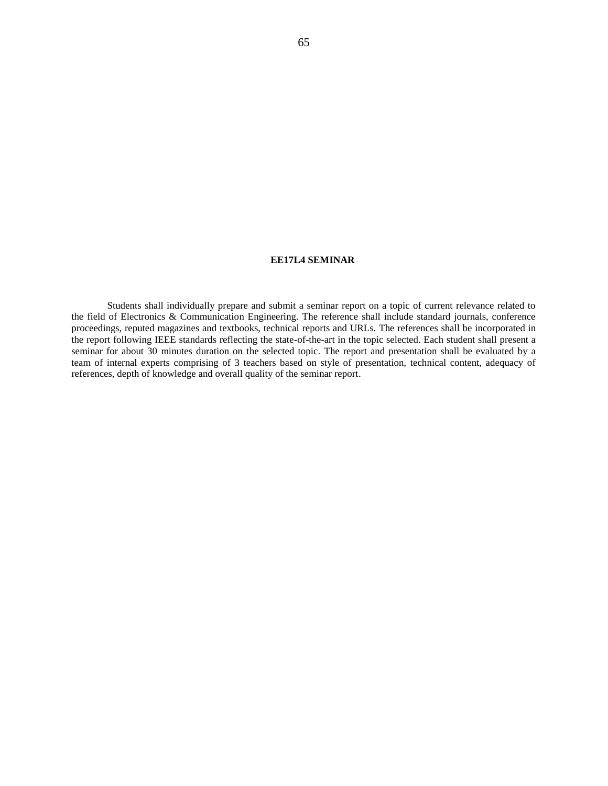#### **EE17L4 SEMINAR**

Students shall individually prepare and submit a seminar report on a topic of current relevance related to the field of Electronics & Communication Engineering. The reference shall include standard journals, conference proceedings, reputed magazines and textbooks, technical reports and URLs. The references shall be incorporated in the report following IEEE standards reflecting the state-of-the-art in the topic selected. Each student shall present a seminar for about 30 minutes duration on the selected topic. The report and presentation shall be evaluated by a team of internal experts comprising of 3 teachers based on style of presentation, technical content, adequacy of references, depth of knowledge and overall quality of the seminar report.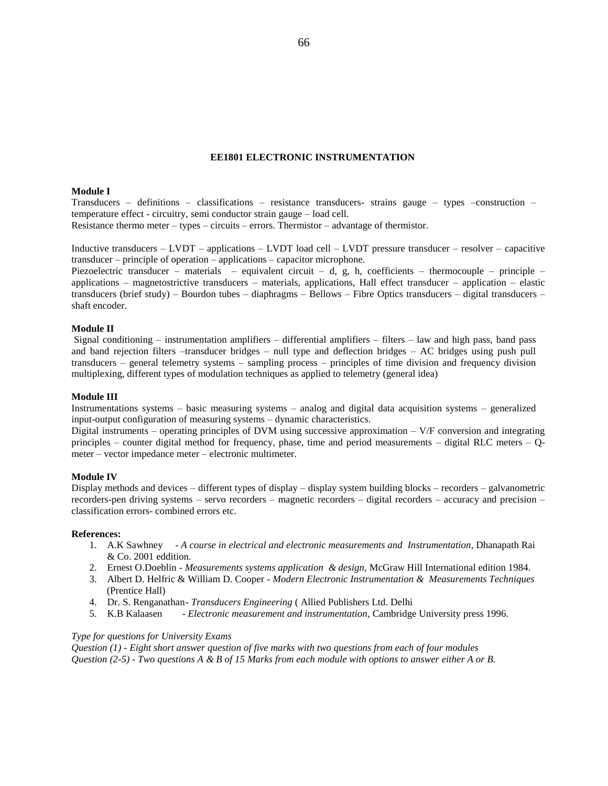### **EE1801 ELECTRONIC INSTRUMENTATION**

## **Module I**

Transducers – definitions – classifications – resistance transducers- strains gauge – types –construction – temperature effect - circuitry, semi conductor strain gauge – load cell. Resistance thermo meter – types – circuits – errors. Thermistor – advantage of thermistor.

Inductive transducers – LVDT – applications – LVDT load cell – LVDT pressure transducer – resolver – capacitive transducer – principle of operation – applications – capacitor microphone.

Piezoelectric transducer – materials – equivalent circuit – d, g, h, coefficients – thermocouple – principle – applications – magnetostrictive transducers – materials, applications, Hall effect transducer – application – elastic transducers (brief study) – Bourdon tubes – diaphragms – Bellows – Fibre Optics transducers – digital transducers – shaft encoder.

### **Module II**

Signal conditioning – instrumentation amplifiers – differential amplifiers – filters – law and high pass, band pass and band rejection filters –transducer bridges – null type and deflection bridges – AC bridges using push pull transducers – general telemetry systems – sampling process – principles of time division and frequency division multiplexing, different types of modulation techniques as applied to telemetry (general idea)

#### **Module III**

Instrumentations systems – basic measuring systems – analog and digital data acquisition systems – generalized input-output configuration of measuring systems – dynamic characteristics.

Digital instruments – operating principles of DVM using successive approximation – V/F conversion and integrating principles – counter digital method for frequency, phase, time and period measurements – digital RLC meters – Qmeter – vector impedance meter – electronic multimeter.

### **Module IV**

Display methods and devices – different types of display – display system building blocks – recorders – galvanometric recorders-pen driving systems – servo recorders – magnetic recorders – digital recorders – accuracy and precision – classification errors- combined errors etc.

#### **References:**

- 1. A.K Sawhney *A course in electrical and electronic measurements and Instrumentation*, Dhanapath Rai & Co. 2001 eddition.
- 2. Ernest O.Doeblin *Measurements systems application & design,* McGraw Hill International edition 1984.
- 3. Albert D. Helfric & William D. Cooper *Modern Electronic Instrumentation & Measurements Techniques* (Prentice Hall)
- 4. Dr. S. Renganathan- *Transducers Engineering* ( Allied Publishers Ltd. Delhi
- 5. K.B Kalaasen *Electronic measurement and instrumentation*, Cambridge University press 1996.

### *Type for questions for University Exams*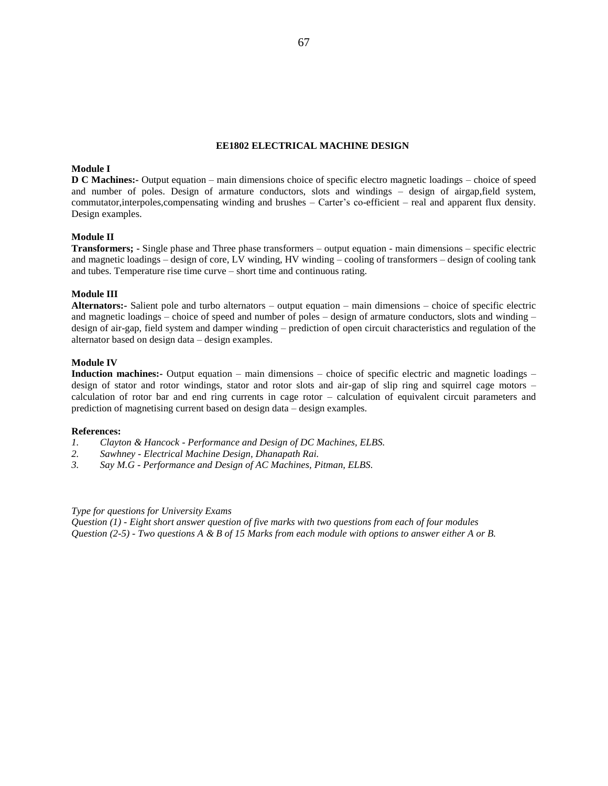### **EE1802 ELECTRICAL MACHINE DESIGN**

# **Module I**

**D C Machines:-** Output equation – main dimensions choice of specific electro magnetic loadings – choice of speed and number of poles. Design of armature conductors, slots and windings – design of airgap,field system, commutator,interpoles,compensating winding and brushes – Carter's co-efficient – real and apparent flux density. Design examples.

### **Module II**

**Transformers; -** Single phase and Three phase transformers – output equation - main dimensions – specific electric and magnetic loadings – design of core, LV winding, HV winding – cooling of transformers – design of cooling tank and tubes. Temperature rise time curve – short time and continuous rating.

## **Module III**

**Alternators:-** Salient pole and turbo alternators – output equation – main dimensions – choice of specific electric and magnetic loadings – choice of speed and number of poles – design of armature conductors, slots and winding – design of air-gap, field system and damper winding – prediction of open circuit characteristics and regulation of the alternator based on design data – design examples.

## **Module IV**

**Induction machines:-** Output equation – main dimensions – choice of specific electric and magnetic loadings – design of stator and rotor windings, stator and rotor slots and air-gap of slip ring and squirrel cage motors – calculation of rotor bar and end ring currents in cage rotor – calculation of equivalent circuit parameters and prediction of magnetising current based on design data – design examples.

#### **References:**

- *1. Clayton & Hancock - Performance and Design of DC Machines, ELBS.*
- *2. Sawhney - Electrical Machine Design, Dhanapath Rai.*
- *3. Say M.G - Performance and Design of AC Machines, Pitman, ELBS.*

#### *Type for questions for University Exams*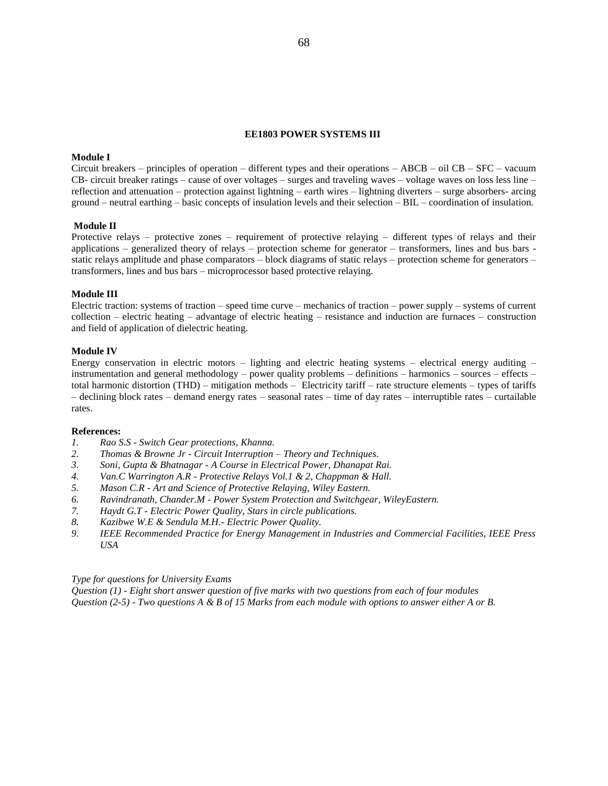### **EE1803 POWER SYSTEMS III**

# **Module I**

Circuit breakers – principles of operation – different types and their operations – ABCB – oil CB – SFC – vacuum CB- circuit breaker ratings – cause of over voltages – surges and traveling waves – voltage waves on loss less line – reflection and attenuation – protection against lightning – earth wires – lightning diverters – surge absorbers- arcing ground – neutral earthing – basic concepts of insulation levels and their selection – BIL – coordination of insulation.

# **Module II**

Protective relays – protective zones – requirement of protective relaying – different types of relays and their applications – generalized theory of relays – protection scheme for generator – transformers, lines and bus bars static relays amplitude and phase comparators – block diagrams of static relays – protection scheme for generators – transformers, lines and bus bars – microprocessor based protective relaying.

### **Module III**

Electric traction: systems of traction – speed time curve – mechanics of traction – power supply – systems of current collection – electric heating – advantage of electric heating – resistance and induction are furnaces – construction and field of application of dielectric heating.

### **Module IV**

Energy conservation in electric motors – lighting and electric heating systems – electrical energy auditing – instrumentation and general methodology – power quality problems – definitions – harmonics – sources – effects – total harmonic distortion (THD) – mitigation methods – Electricity tariff – rate structure elements – types of tariffs – declining block rates – demand energy rates – seasonal rates – time of day rates – interruptible rates – curtailable rates.

#### **References:**

- *1. Rao S.S - Switch Gear protections, Khanna.*
- *2. Thomas & Browne Jr - Circuit Interruption – Theory and Techniques.*
- *3. Soni, Gupta & Bhatnagar - A Course in Electrical Power, Dhanapat Rai.*
- *4. Van.C Warrington A.R - Protective Relays Vol.1 & 2, Chappman & Hall.*
- *5. Mason C.R - Art and Science of Protective Relaying, Wiley Eastern.*
- *6. Ravindranath, Chander.M - Power System Protection and Switchgear, WileyEastern.*
- *7. Haydt G.T - Electric Power Quality, Stars in circle publications.*
- *8. Kazibwe W.E & Sendula M.H.- Electric Power Quality.*
- *9. IEEE Recommended Practice for Energy Management in Industries and Commercial Facilities, IEEE Press USA*

*Type for questions for University Exams*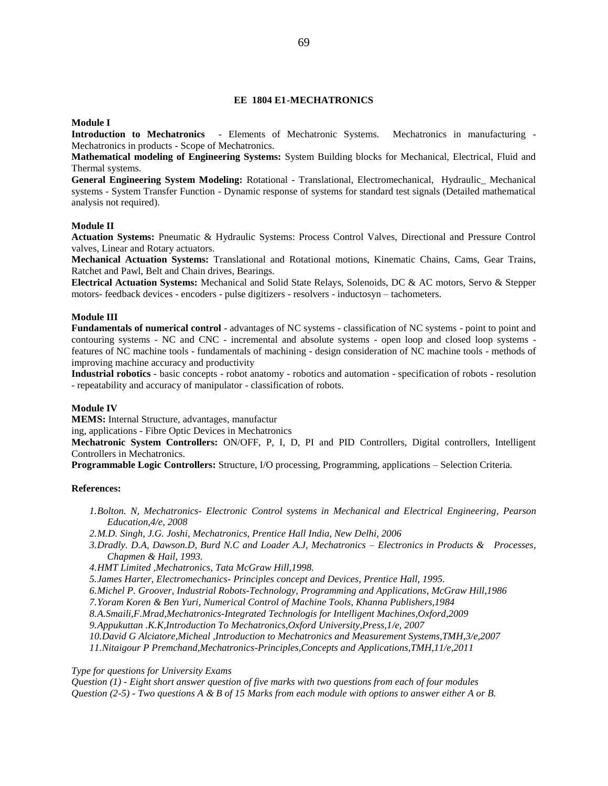# **EE 1804 E1-MECHATRONICS**

### **Module I**

**Introduction to Mechatronics** - Elements of Mechatronic Systems. Mechatronics in manufacturing - Mechatronics in products - Scope of Mechatronics.

**Mathematical modeling of Engineering Systems:** System Building blocks for Mechanical, Electrical, Fluid and Thermal systems.

**General Engineering System Modeling:** Rotational - Translational, Electromechanical, Hydraulic\_ Mechanical systems - System Transfer Function - Dynamic response of systems for standard test signals (Detailed mathematical analysis not required).

### **Module II**

**Actuation Systems:** Pneumatic & Hydraulic Systems: Process Control Valves, Directional and Pressure Control valves, Linear and Rotary actuators.

**Mechanical Actuation Systems:** Translational and Rotational motions, Kinematic Chains, Cams, Gear Trains, Ratchet and Pawl, Belt and Chain drives, Bearings.

**Electrical Actuation Systems:** Mechanical and Solid State Relays, Solenoids, DC & AC motors, Servo & Stepper motors- feedback devices - encoders - pulse digitizers - resolvers - inductosyn – tachometers.

#### **Module III**

**Fundamentals of numerical control** - advantages of NC systems - classification of NC systems - point to point and contouring systems - NC and CNC - incremental and absolute systems - open loop and closed loop systems features of NC machine tools - fundamentals of machining - design consideration of NC machine tools - methods of improving machine accuracy and productivity

**Industrial robotics** - basic concepts - robot anatomy - robotics and automation - specification of robots - resolution - repeatability and accuracy of manipulator - classification of robots.

# **Module IV**

**MEMS:** Internal Structure, advantages, manufactur

ing, applications - Fibre Optic Devices in Mechatronics

**Mechatronic System Controllers:** ON/OFF, P, I, D, PI and PID Controllers, Digital controllers, Intelligent Controllers in Mechatronics.

**Programmable Logic Controllers:** Structure, I/O processing, Programming, applications – Selection Criteria.

#### **References:**

*1.Bolton. N, Mechatronics- Electronic Control systems in Mechanical and Electrical Engineering, Pearson Education,4/e, 2008*

*2.M.D. Singh, J.G. Joshi, Mechatronics, Prentice Hall India, New Delhi, 2006*

*3.Dradly. D.A, Dawson.D, Burd N.C and Loader A.J, Mechatronics – Electronics in Products & Processes, Chapmen & Hail, 1993.*

*4.HMT Limited ,Mechatronics, Tata McGraw Hill,1998.*

*5.James Harter, Electromechanics- Principles concept and Devices, Prentice Hall, 1995.*

*6.Michel P. Groover, Industrial Robots-Technology, Programming and Applications, McGraw Hill,1986*

*7.Yoram Koren & Ben Yuri, Numerical Control of Machine Tools, Khanna Publishers,1984*

*8.A.Smaili,F.Mrad,Mechatronics-Integrated Technologis for Intelligent Machines,Oxford,2009*

*9.Appukuttan .K.K,Introduction To Mechatronics,Oxford University,Press,1/e, 2007*

*10.David G Alciatore,Micheal ,Introduction to Mechatronics and Measurement Systems,TMH,3/e,2007*

*11.Nitaigour P Premchand,Mechatronics-Principles,Concepts and Applications,TMH,11/e,2011*

*Type for questions for University Exams*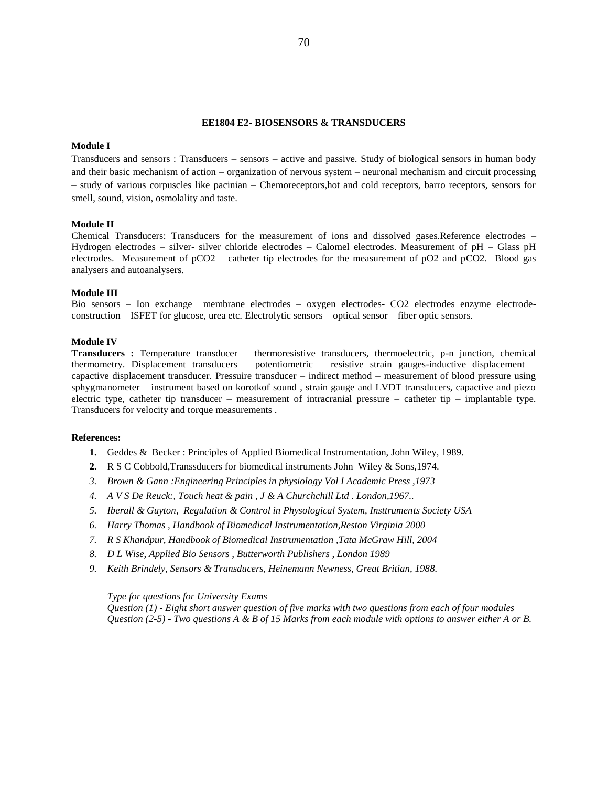#### **EE1804 E2- BIOSENSORS & TRANSDUCERS**

### **Module I**

Transducers and sensors : Transducers – sensors – active and passive. Study of biological sensors in human body and their basic mechanism of action – organization of nervous system – neuronal mechanism and circuit processing – study of various corpuscles like pacinian – Chemoreceptors,hot and cold receptors, barro receptors, sensors for smell, sound, vision, osmolality and taste.

# **Module II**

Chemical Transducers: Transducers for the measurement of ions and dissolved gases.Reference electrodes – Hydrogen electrodes – silver- silver chloride electrodes – Calomel electrodes. Measurement of pH – Glass pH electrodes. Measurement of pCO2 – catheter tip electrodes for the measurement of pO2 and pCO2. Blood gas analysers and autoanalysers.

#### **Module III**

Bio sensors – Ion exchange membrane electrodes – oxygen electrodes- CO2 electrodes enzyme electrodeconstruction – ISFET for glucose, urea etc. Electrolytic sensors – optical sensor – fiber optic sensors.

#### **Module IV**

**Transducers :** Temperature transducer – thermoresistive transducers, thermoelectric, p-n junction, chemical thermometry. Displacement transducers – potentiometric – resistive strain gauges-inductive displacement – capactive displacement transducer. Pressuire transducer – indirect method – measurement of blood pressure using sphygmanometer – instrument based on korotkof sound , strain gauge and LVDT transducers, capactive and piezo electric type, catheter tip transducer – measurement of intracranial pressure – catheter tip – implantable type. Transducers for velocity and torque measurements .

#### **References:**

- **1.** Geddes & Becker : Principles of Applied Biomedical Instrumentation, John Wiley, 1989.
- **2.** R S C Cobbold,Transsducers for biomedical instruments John Wiley & Sons,1974.
- *3. Brown & Gann :Engineering Principles in physiology Vol I Academic Press ,1973*
- *4. A V S De Reuck:, Touch heat & pain , J & A Churchchill Ltd . London,1967..*
- *5. Iberall & Guyton, Regulation & Control in Physological System, Insttruments Society USA*
- *6. Harry Thomas , Handbook of Biomedical Instrumentation,Reston Virginia 2000*
- *7. R S Khandpur, Handbook of Biomedical Instrumentation ,Tata McGraw Hill, 2004*
- *8. D L Wise, Applied Bio Sensors , Butterworth Publishers , London 1989*
- *9. Keith Brindely, Sensors & Transducers, Heinemann Newness, Great Britian, 1988.*

*Type for questions for University Exams*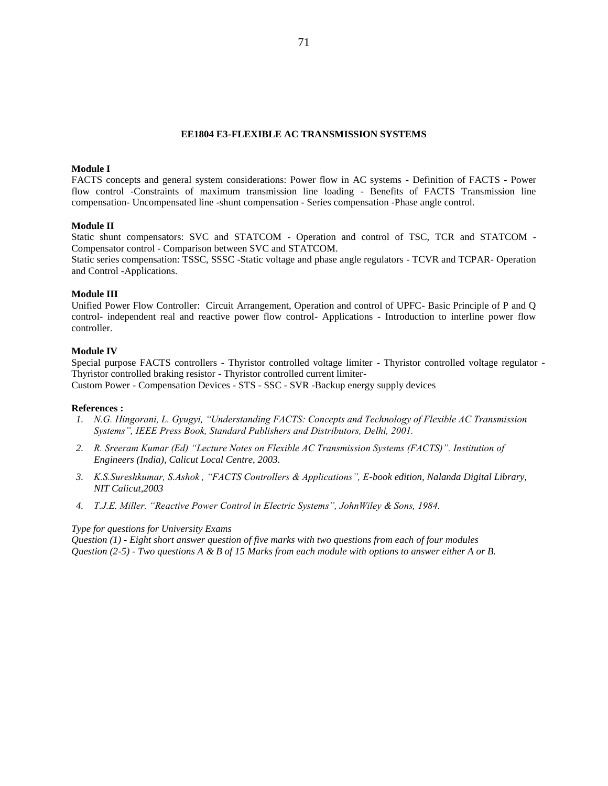### **EE1804 E3-FLEXIBLE AC TRANSMISSION SYSTEMS**

### **Module I**

FACTS concepts and general system considerations: Power flow in AC systems - Definition of FACTS - Power flow control -Constraints of maximum transmission line loading - Benefits of FACTS Transmission line compensation- Uncompensated line -shunt compensation - Series compensation -Phase angle control.

#### **Module II**

Static shunt compensators: SVC and STATCOM - Operation and control of TSC, TCR and STATCOM - Compensator control - Comparison between SVC and STATCOM.

Static series compensation: TSSC, SSSC -Static voltage and phase angle regulators - TCVR and TCPAR- Operation and Control -Applications.

### **Module III**

Unified Power Flow Controller: Circuit Arrangement, Operation and control of UPFC- Basic Principle of P and Q control- independent real and reactive power flow control- Applications - Introduction to interline power flow controller.

#### **Module IV**

Special purpose FACTS controllers - Thyristor controlled voltage limiter - Thyristor controlled voltage regulator - Thyristor controlled braking resistor - Thyristor controlled current limiter-Custom Power - Compensation Devices - STS - SSC - SVR -Backup energy supply devices

#### **References :**

- *1. N.G. Hingorani, L. Gyugyi, "Understanding FACTS: Concepts and Technology of Flexible AC Transmission Systems", IEEE Press Book, Standard Publishers and Distributors, Delhi, 2001.*
- *2. R. Sreeram Kumar (Ed) "Lecture Notes on Flexible AC Transmission Systems (FACTS)". Institution of Engineers (India), Calicut Local Centre, 2003.*
- *3. K.S.Sureshkumar, S.Ashok , "FACTS Controllers & Applications", E-book edition, Nalanda Digital Library, NIT Calicut,2003*
- *4. T.J.E. Miller. "Reactive Power Control in Electric Systems", JohnWiley & Sons, 1984.*

#### *Type for questions for University Exams*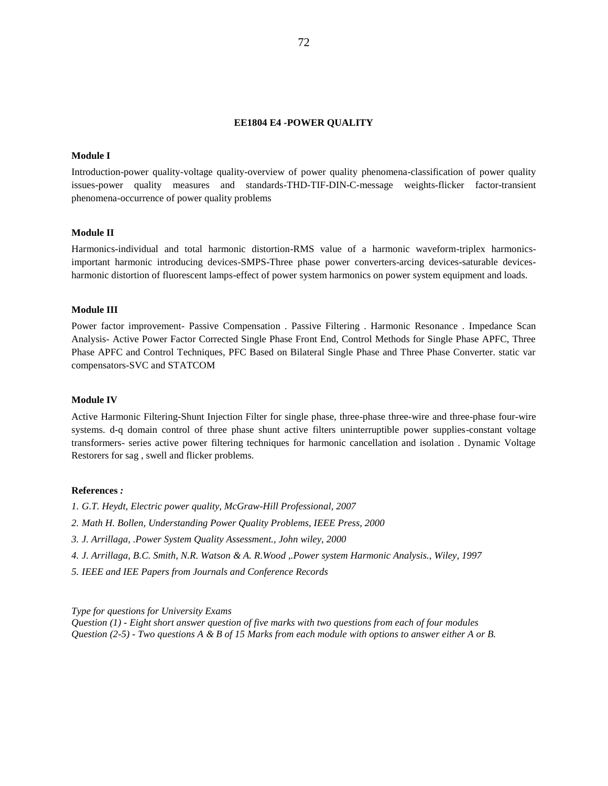#### **EE1804 E4 -POWER QUALITY**

#### **Module I**

Introduction-power quality-voltage quality-overview of power quality phenomena-classification of power quality issues-power quality measures and standards-THD-TIF-DIN-C-message weights-flicker factor-transient phenomena-occurrence of power quality problems

#### **Module II**

Harmonics-individual and total harmonic distortion-RMS value of a harmonic waveform-triplex harmonicsimportant harmonic introducing devices-SMPS-Three phase power converters-arcing devices-saturable devicesharmonic distortion of fluorescent lamps-effect of power system harmonics on power system equipment and loads.

# **Module III**

Power factor improvement- Passive Compensation . Passive Filtering . Harmonic Resonance . Impedance Scan Analysis- Active Power Factor Corrected Single Phase Front End, Control Methods for Single Phase APFC, Three Phase APFC and Control Techniques, PFC Based on Bilateral Single Phase and Three Phase Converter. static var compensators-SVC and STATCOM

#### **Module IV**

Active Harmonic Filtering-Shunt Injection Filter for single phase, three-phase three-wire and three-phase four-wire systems. d-q domain control of three phase shunt active filters uninterruptible power supplies-constant voltage transformers- series active power filtering techniques for harmonic cancellation and isolation . Dynamic Voltage Restorers for sag , swell and flicker problems.

# **References** *:*

- *1. G.T. Heydt, Electric power quality, McGraw-Hill Professional, 2007*
- *2. Math H. Bollen, Understanding Power Quality Problems, IEEE Press, 2000*
- *3. J. Arrillaga, .Power System Quality Assessment., John wiley, 2000*
- *4. J. Arrillaga, B.C. Smith, N.R. Watson & A. R.Wood ,.Power system Harmonic Analysis., Wiley, 1997*
- *5. IEEE and IEE Papers from Journals and Conference Records*

*Type for questions for University Exams*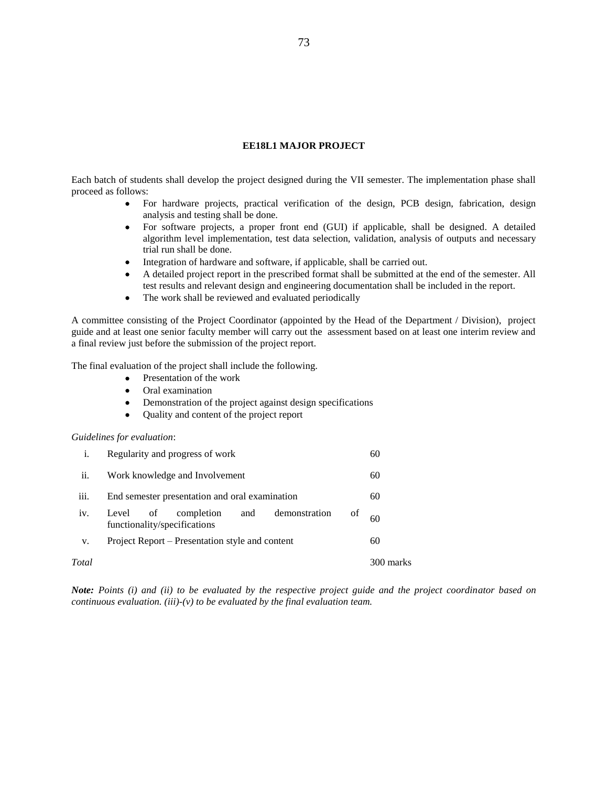## **EE18L1 MAJOR PROJECT**

Each batch of students shall develop the project designed during the VII semester. The implementation phase shall proceed as follows:

- For hardware projects, practical verification of the design, PCB design, fabrication, design analysis and testing shall be done.
- For software projects, a proper front end (GUI) if applicable, shall be designed. A detailed algorithm level implementation, test data selection, validation, analysis of outputs and necessary trial run shall be done.
- Integration of hardware and software, if applicable, shall be carried out.
- A detailed project report in the prescribed format shall be submitted at the end of the semester. All test results and relevant design and engineering documentation shall be included in the report.
- The work shall be reviewed and evaluated periodically

A committee consisting of the Project Coordinator (appointed by the Head of the Department / Division), project guide and at least one senior faculty member will carry out the assessment based on at least one interim review and a final review just before the submission of the project report.

The final evaluation of the project shall include the following.

- Presentation of the work
- Oral examination
- Demonstration of the project against design specifications
- Quality and content of the project report

## *Guidelines for evaluation*:

|       | Regularity and progress of work                                                      | 60        |
|-------|--------------------------------------------------------------------------------------|-----------|
| ii.   | Work knowledge and Involvement                                                       | 60        |
| iii.  | End semester presentation and oral examination                                       | 60        |
| iv.   | demonstration<br>completion<br>Level of<br>and<br>οf<br>functionality/specifications | 60        |
| V.    | Project Report – Presentation style and content                                      | 60        |
| Total |                                                                                      | 300 marks |

*Note: Points (i) and (ii) to be evaluated by the respective project guide and the project coordinator based on continuous evaluation. (iii)-(v) to be evaluated by the final evaluation team.*